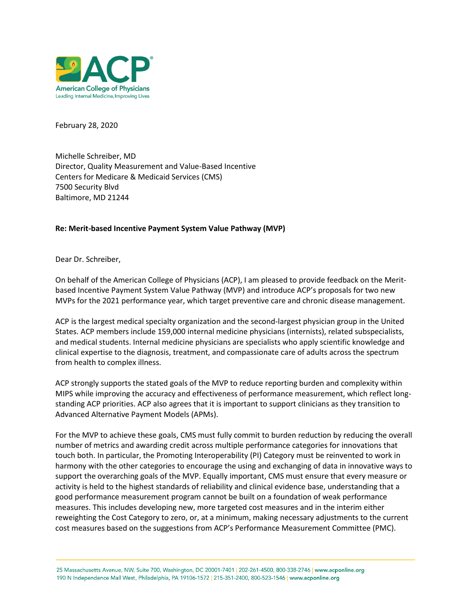

February 28, 2020

Michelle Schreiber, MD Director, Quality Measurement and Value-Based Incentive Centers for Medicare & Medicaid Services (CMS) 7500 Security Blvd Baltimore, MD 21244

#### **Re: Merit-based Incentive Payment System Value Pathway (MVP)**

Dear Dr. Schreiber,

On behalf of the American College of Physicians (ACP), I am pleased to provide feedback on the Meritbased Incentive Payment System Value Pathway (MVP) and introduce ACP's proposals for two new MVPs for the 2021 performance year, which target preventive care and chronic disease management.

ACP is the largest medical specialty organization and the second-largest physician group in the United States. ACP members include 159,000 internal medicine physicians (internists), related subspecialists, and medical students. Internal medicine physicians are specialists who apply scientific knowledge and clinical expertise to the diagnosis, treatment, and compassionate care of adults across the spectrum from health to complex illness.

ACP strongly supports the stated goals of the MVP to reduce reporting burden and complexity within MIPS while improving the accuracy and effectiveness of performance measurement, which reflect longstanding ACP priorities. ACP also agrees that it is important to support clinicians as they transition to Advanced Alternative Payment Models (APMs).

For the MVP to achieve these goals, CMS must fully commit to burden reduction by reducing the overall number of metrics and awarding credit across multiple performance categories for innovations that touch both. In particular, the Promoting Interoperability (PI) Category must be reinvented to work in harmony with the other categories to encourage the using and exchanging of data in innovative ways to support the overarching goals of the MVP. Equally important, CMS must ensure that every measure or activity is held to the highest standards of reliability and clinical evidence base, understanding that a good performance measurement program cannot be built on a foundation of weak performance measures. This includes developing new, more targeted cost measures and in the interim either reweighting the Cost Category to zero, or, at a minimum, making necessary adjustments to the current cost measures based on the suggestions from ACP's Performance Measurement Committee (PMC).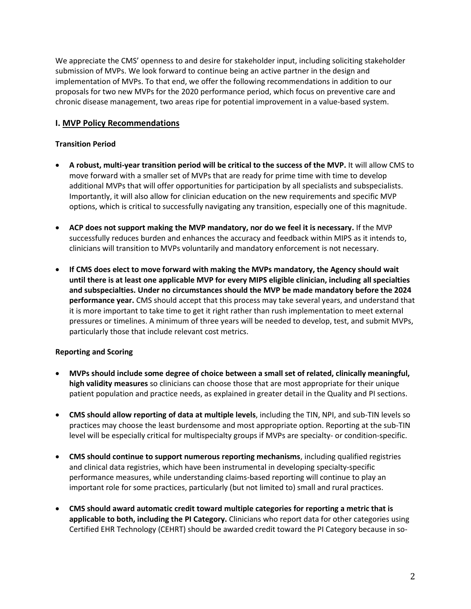We appreciate the CMS' openness to and desire for stakeholder input, including soliciting stakeholder submission of MVPs. We look forward to continue being an active partner in the design and implementation of MVPs. To that end, we offer the following recommendations in addition to our proposals for two new MVPs for the 2020 performance period, which focus on preventive care and chronic disease management, two areas ripe for potential improvement in a value-based system.

#### **I. MVP Policy Recommendations**

#### **Transition Period**

- **A robust, multi-year transition period will be critical to the success of the MVP.** It will allow CMS to move forward with a smaller set of MVPs that are ready for prime time with time to develop additional MVPs that will offer opportunities for participation by all specialists and subspecialists. Importantly, it will also allow for clinician education on the new requirements and specific MVP options, which is critical to successfully navigating any transition, especially one of this magnitude.
- **ACP does not support making the MVP mandatory, nor do we feel it is necessary.** If the MVP successfully reduces burden and enhances the accuracy and feedback within MIPS as it intends to, clinicians will transition to MVPs voluntarily and mandatory enforcement is not necessary.
- **If CMS does elect to move forward with making the MVPs mandatory, the Agency should wait until there is at least one applicable MVP for every MIPS eligible clinician, including all specialties and subspecialties. Under no circumstances should the MVP be made mandatory before the 2024 performance year.** CMS should accept that this process may take several years, and understand that it is more important to take time to get it right rather than rush implementation to meet external pressures or timelines. A minimum of three years will be needed to develop, test, and submit MVPs, particularly those that include relevant cost metrics.

#### **Reporting and Scoring**

- **MVPs should include some degree of choice between a small set of related, clinically meaningful, high validity measures** so clinicians can choose those that are most appropriate for their unique patient population and practice needs, as explained in greater detail in the Quality and PI sections.
- **CMS should allow reporting of data at multiple levels**, including the TIN, NPI, and sub-TIN levels so practices may choose the least burdensome and most appropriate option. Reporting at the sub-TIN level will be especially critical for multispecialty groups if MVPs are specialty- or condition-specific.
- **CMS should continue to support numerous reporting mechanisms**, including qualified registries and clinical data registries, which have been instrumental in developing specialty-specific performance measures, while understanding claims-based reporting will continue to play an important role for some practices, particularly (but not limited to) small and rural practices.
- **CMS should award automatic credit toward multiple categories for reporting a metric that is applicable to both, including the PI Category.** Clinicians who report data for other categories using Certified EHR Technology (CEHRT) should be awarded credit toward the PI Category because in so-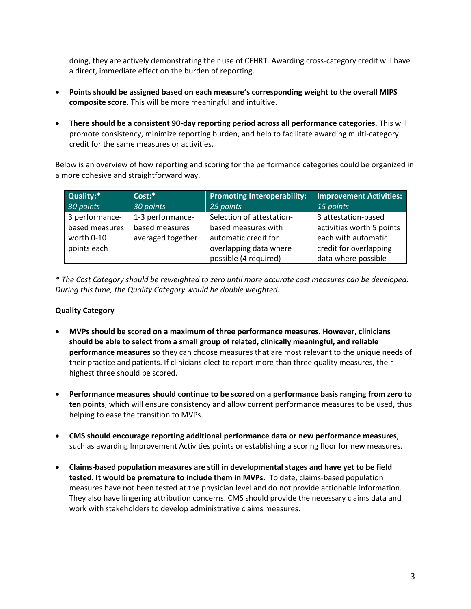doing, they are actively demonstrating their use of CEHRT. Awarding cross-category credit will have a direct, immediate effect on the burden of reporting.

- **Points should be assigned based on each measure's corresponding weight to the overall MIPS composite score.** This will be more meaningful and intuitive.
- **There should be a consistent 90-day reporting period across all performance categories.** This will promote consistency, minimize reporting burden, and help to facilitate awarding multi-category credit for the same measures or activities.

Below is an overview of how reporting and scoring for the performance categories could be organized in a more cohesive and straightforward way.

| Quality:*      | $Cost:$ *         | <b>Promoting Interoperability:</b> | <b>Improvement Activities:</b> |
|----------------|-------------------|------------------------------------|--------------------------------|
| 30 points      | 30 points         | 25 points                          | 15 points                      |
| 3 performance- | 1-3 performance-  | Selection of attestation-          | 3 attestation-based            |
| based measures | based measures    | based measures with                | activities worth 5 points      |
| worth 0-10     | averaged together | automatic credit for               | each with automatic            |
| points each    |                   | overlapping data where             | credit for overlapping         |
|                |                   | possible (4 required)              | data where possible            |

*\* The Cost Category should be reweighted to zero until more accurate cost measures can be developed. During this time, the Quality Category would be double weighted.* 

#### **Quality Category**

- **MVPs should be scored on a maximum of three performance measures. However, clinicians should be able to select from a small group of related, clinically meaningful, and reliable performance measures** so they can choose measures that are most relevant to the unique needs of their practice and patients. If clinicians elect to report more than three quality measures, their highest three should be scored.
- **Performance measures should continue to be scored on a performance basis ranging from zero to ten points**, which will ensure consistency and allow current performance measures to be used, thus helping to ease the transition to MVPs.
- **CMS should encourage reporting additional performance data or new performance measures**, such as awarding Improvement Activities points or establishing a scoring floor for new measures.
- **Claims-based population measures are still in developmental stages and have yet to be field tested. It would be premature to include them in MVPs.** To date, claims-based population measures have not been tested at the physician level and do not provide actionable information. They also have lingering attribution concerns. CMS should provide the necessary claims data and work with stakeholders to develop administrative claims measures.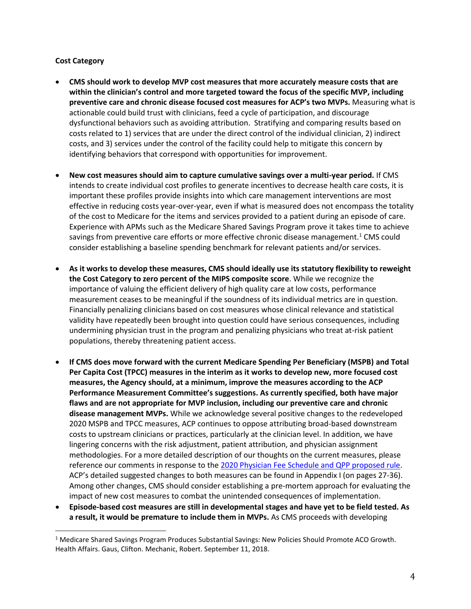#### **Cost Category**

- **CMS should work to develop MVP cost measures that more accurately measure costs that are within the clinician's control and more targeted toward the focus of the specific MVP, including preventive care and chronic disease focused cost measures for ACP's two MVPs.** Measuring what is actionable could build trust with clinicians, feed a cycle of participation, and discourage dysfunctional behaviors such as avoiding attribution. Stratifying and comparing results based on costs related to 1) services that are under the direct control of the individual clinician, 2) indirect costs, and 3) services under the control of the facility could help to mitigate this concern by identifying behaviors that correspond with opportunities for improvement.
- **New cost measures should aim to capture cumulative savings over a multi-year period.** If CMS intends to create individual cost profiles to generate incentives to decrease health care costs, it is important these profiles provide insights into which care management interventions are most effective in reducing costs year-over-year, even if what is measured does not encompass the totality of the cost to Medicare for the items and services provided to a patient during an episode of care. Experience with APMs such as the Medicare Shared Savings Program prove it takes time to achieve savings from preventive care efforts or more effective chronic disease management.<sup>1</sup> CMS could consider establishing a baseline spending benchmark for relevant patients and/or services.
- **As it works to develop these measures, CMS should ideally use its statutory flexibility to reweight the Cost Category to zero percent of the MIPS composite score**. While we recognize the importance of valuing the efficient delivery of high quality care at low costs, performance measurement ceases to be meaningful if the soundness of its individual metrics are in question. Financially penalizing clinicians based on cost measures whose clinical relevance and statistical validity have repeatedly been brought into question could have serious consequences, including undermining physician trust in the program and penalizing physicians who treat at-risk patient populations, thereby threatening patient access.
- **If CMS does move forward with the current Medicare Spending Per Beneficiary (MSPB) and Total Per Capita Cost (TPCC) measures in the interim as it works to develop new, more focused cost measures, the Agency should, at a minimum, improve the measures according to the ACP Performance Measurement Committee's suggestions. As currently specified, both have major flaws and are not appropriate for MVP inclusion, including our preventive care and chronic disease management MVPs.** While we acknowledge several positive changes to the redeveloped 2020 MSPB and TPCC measures, ACP continues to oppose attributing broad-based downstream costs to upstream clinicians or practices, particularly at the clinician level. In addition, we have lingering concerns with the risk adjustment, patient attribution, and physician assignment methodologies. For a more detailed description of our thoughts on the current measures, please reference our comments in response to the [2020 Physician Fee Schedule and QPP proposed rule.](https://www.acponline.org/acp_policy/letters/acp_comments_proposed_2020_pfs-qpp_rule_september_2019.pdf) ACP's detailed suggested changes to both measures can be found in Appendix I (on pages 27-36). Among other changes, CMS should consider establishing a pre-mortem approach for evaluating the impact of new cost measures to combat the unintended consequences of implementation.
- **Episode-based cost measures are still in developmental stages and have yet to be field tested. As a result, it would be premature to include them in MVPs.** As CMS proceeds with developing

<sup>&</sup>lt;sup>1</sup> Medicare Shared Savings Program Produces Substantial Savings: New Policies Should Promote ACO Growth. Health Affairs. Gaus, Clifton. Mechanic, Robert. September 11, 2018.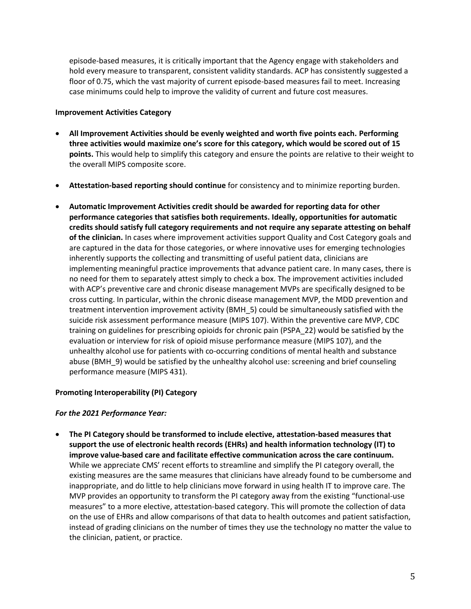episode-based measures, it is critically important that the Agency engage with stakeholders and hold every measure to transparent, consistent validity standards. ACP has consistently suggested a floor of 0.75, which the vast majority of current episode-based measures fail to meet. Increasing case minimums could help to improve the validity of current and future cost measures.

#### **Improvement Activities Category**

- **All Improvement Activities should be evenly weighted and worth five points each. Performing three activities would maximize one's score for this category, which would be scored out of 15 points.** This would help to simplify this category and ensure the points are relative to their weight to the overall MIPS composite score.
- **Attestation-based reporting should continue** for consistency and to minimize reporting burden.
- **Automatic Improvement Activities credit should be awarded for reporting data for other performance categories that satisfies both requirements. Ideally, opportunities for automatic credits should satisfy full category requirements and not require any separate attesting on behalf of the clinician.** In cases where improvement activities support Quality and Cost Category goals and are captured in the data for those categories, or where innovative uses for emerging technologies inherently supports the collecting and transmitting of useful patient data, clinicians are implementing meaningful practice improvements that advance patient care. In many cases, there is no need for them to separately attest simply to check a box. The improvement activities included with ACP's preventive care and chronic disease management MVPs are specifically designed to be cross cutting. In particular, within the chronic disease management MVP, the MDD prevention and treatment intervention improvement activity (BMH\_5) could be simultaneously satisfied with the suicide risk assessment performance measure (MIPS 107). Within the preventive care MVP, CDC training on guidelines for prescribing opioids for chronic pain (PSPA\_22) would be satisfied by the evaluation or interview for risk of opioid misuse performance measure (MIPS 107), and the unhealthy alcohol use for patients with co-occurring conditions of mental health and substance abuse (BMH\_9) would be satisfied by the unhealthy alcohol use: screening and brief counseling performance measure (MIPS 431).

#### **Promoting Interoperability (PI) Category**

#### *For the 2021 Performance Year:*

• **The PI Category should be transformed to include elective, attestation-based measures that support the use of electronic health records (EHRs) and health information technology (IT) to improve value-based care and facilitate effective communication across the care continuum.**  While we appreciate CMS' recent efforts to streamline and simplify the PI category overall, the existing measures are the same measures that clinicians have already found to be cumbersome and inappropriate, and do little to help clinicians move forward in using health IT to improve care. The MVP provides an opportunity to transform the PI category away from the existing "functional-use measures" to a more elective, attestation-based category. This will promote the collection of data on the use of EHRs and allow comparisons of that data to health outcomes and patient satisfaction, instead of grading clinicians on the number of times they use the technology no matter the value to the clinician, patient, or practice.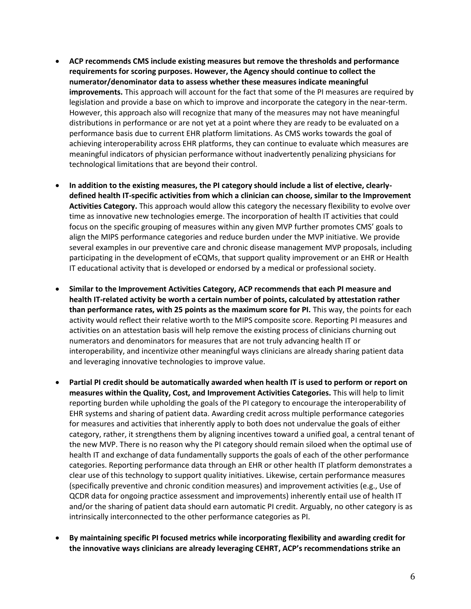- **ACP recommends CMS include existing measures but remove the thresholds and performance requirements for scoring purposes. However, the Agency should continue to collect the numerator/denominator data to assess whether these measures indicate meaningful improvements.** This approach will account for the fact that some of the PI measures are required by legislation and provide a base on which to improve and incorporate the category in the near-term. However, this approach also will recognize that many of the measures may not have meaningful distributions in performance or are not yet at a point where they are ready to be evaluated on a performance basis due to current EHR platform limitations. As CMS works towards the goal of achieving interoperability across EHR platforms, they can continue to evaluate which measures are meaningful indicators of physician performance without inadvertently penalizing physicians for technological limitations that are beyond their control.
- **In addition to the existing measures, the PI category should include a list of elective, clearlydefined health IT-specific activities from which a clinician can choose, similar to the Improvement Activities Category.** This approach would allow this category the necessary flexibility to evolve over time as innovative new technologies emerge. The incorporation of health IT activities that could focus on the specific grouping of measures within any given MVP further promotes CMS' goals to align the MIPS performance categories and reduce burden under the MVP initiative. We provide several examples in our preventive care and chronic disease management MVP proposals, including participating in the development of eCQMs, that support quality improvement or an EHR or Health IT educational activity that is developed or endorsed by a medical or professional society.
- **Similar to the Improvement Activities Category, ACP recommends that each PI measure and health IT-related activity be worth a certain number of points, calculated by attestation rather than performance rates, with 25 points as the maximum score for PI.** This way, the points for each activity would reflect their relative worth to the MIPS composite score. Reporting PI measures and activities on an attestation basis will help remove the existing process of clinicians churning out numerators and denominators for measures that are not truly advancing health IT or interoperability, and incentivize other meaningful ways clinicians are already sharing patient data and leveraging innovative technologies to improve value.
- **Partial PI credit should be automatically awarded when health IT is used to perform or report on measures within the Quality, Cost, and Improvement Activities Categories.** This will help to limit reporting burden while upholding the goals of the PI category to encourage the interoperability of EHR systems and sharing of patient data. Awarding credit across multiple performance categories for measures and activities that inherently apply to both does not undervalue the goals of either category, rather, it strengthens them by aligning incentives toward a unified goal, a central tenant of the new MVP. There is no reason why the PI category should remain siloed when the optimal use of health IT and exchange of data fundamentally supports the goals of each of the other performance categories. Reporting performance data through an EHR or other health IT platform demonstrates a clear use of this technology to support quality initiatives. Likewise, certain performance measures (specifically preventive and chronic condition measures) and improvement activities (e.g., Use of QCDR data for ongoing practice assessment and improvements) inherently entail use of health IT and/or the sharing of patient data should earn automatic PI credit. Arguably, no other category is as intrinsically interconnected to the other performance categories as PI.
- **By maintaining specific PI focused metrics while incorporating flexibility and awarding credit for the innovative ways clinicians are already leveraging CEHRT, ACP's recommendations strike an**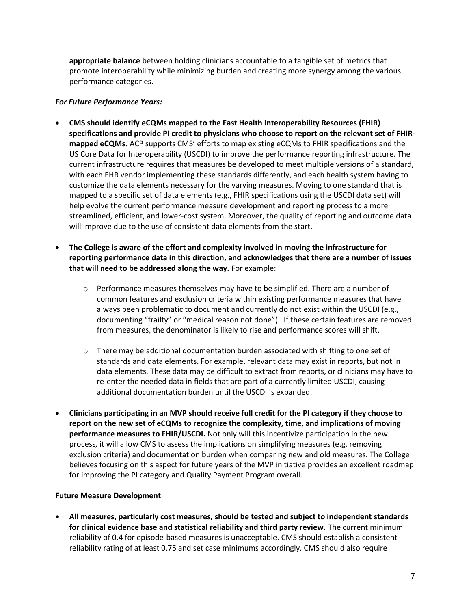**appropriate balance** between holding clinicians accountable to a tangible set of metrics that promote interoperability while minimizing burden and creating more synergy among the various performance categories.

#### *For Future Performance Years:*

- **CMS should identify eCQMs mapped to the Fast Health Interoperability Resources (FHIR) specifications and provide PI credit to physicians who choose to report on the relevant set of FHIRmapped eCQMs.** ACP supports CMS' efforts to map existing eCQMs to FHIR specifications and the US Core Data for Interoperability (USCDI) to improve the performance reporting infrastructure. The current infrastructure requires that measures be developed to meet multiple versions of a standard, with each EHR vendor implementing these standards differently, and each health system having to customize the data elements necessary for the varying measures. Moving to one standard that is mapped to a specific set of data elements (e.g., FHIR specifications using the USCDI data set) will help evolve the current performance measure development and reporting process to a more streamlined, efficient, and lower-cost system. Moreover, the quality of reporting and outcome data will improve due to the use of consistent data elements from the start.
- **The College is aware of the effort and complexity involved in moving the infrastructure for reporting performance data in this direction, and acknowledges that there are a number of issues that will need to be addressed along the way.** For example:
	- $\circ$  Performance measures themselves may have to be simplified. There are a number of common features and exclusion criteria within existing performance measures that have always been problematic to document and currently do not exist within the USCDI (e.g., documenting "frailty" or "medical reason not done"). If these certain features are removed from measures, the denominator is likely to rise and performance scores will shift.
	- $\circ$  There may be additional documentation burden associated with shifting to one set of standards and data elements. For example, relevant data may exist in reports, but not in data elements. These data may be difficult to extract from reports, or clinicians may have to re-enter the needed data in fields that are part of a currently limited USCDI, causing additional documentation burden until the USCDI is expanded.
- **Clinicians participating in an MVP should receive full credit for the PI category if they choose to report on the new set of eCQMs to recognize the complexity, time, and implications of moving performance measures to FHIR/USCDI.** Not only will this incentivize participation in the new process, it will allow CMS to assess the implications on simplifying measures (e.g. removing exclusion criteria) and documentation burden when comparing new and old measures. The College believes focusing on this aspect for future years of the MVP initiative provides an excellent roadmap for improving the PI category and Quality Payment Program overall.

#### **Future Measure Development**

• **All measures, particularly cost measures, should be tested and subject to independent standards for clinical evidence base and statistical reliability and third party review.** The current minimum reliability of 0.4 for episode-based measures is unacceptable. CMS should establish a consistent reliability rating of at least 0.75 and set case minimums accordingly. CMS should also require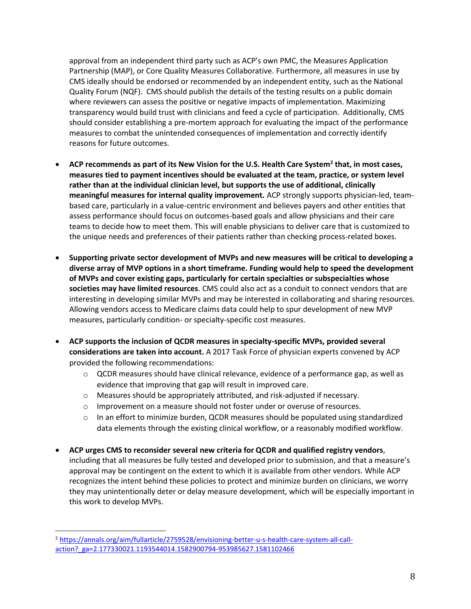approval from an independent third party such as ACP's own PMC, the Measures Application Partnership (MAP), or Core Quality Measures Collaborative. Furthermore, all measures in use by CMS ideally should be endorsed or recommended by an independent entity, such as the National Quality Forum (NQF). CMS should publish the details of the testing results on a public domain where reviewers can assess the positive or negative impacts of implementation. Maximizing transparency would build trust with clinicians and feed a cycle of participation. Additionally, CMS should consider establishing a pre-mortem approach for evaluating the impact of the performance measures to combat the unintended consequences of implementation and correctly identify reasons for future outcomes.

- **ACP recommends as part of its New Vision for the U.S. Health Care System<sup>2</sup> that, in most cases, measures tied to payment incentives should be evaluated at the team, practice, or system level rather than at the individual clinician level, but supports the use of additional, clinically meaningful measures for internal quality improvement***.* ACP strongly supports physician-led, teambased care, particularly in a value-centric environment and believes payers and other entities that assess performance should focus on outcomes-based goals and allow physicians and their care teams to decide how to meet them. This will enable physicians to deliver care that is customized to the unique needs and preferences of their patients rather than checking process-related boxes.
- **Supporting private sector development of MVPs and new measures will be critical to developing a diverse array of MVP options in a short timeframe. Funding would help to speed the development of MVPs and cover existing gaps, particularly for certain specialties or subspecialties whose societies may have limited resources**. CMS could also act as a conduit to connect vendors that are interesting in developing similar MVPs and may be interested in collaborating and sharing resources. Allowing vendors access to Medicare claims data could help to spur development of new MVP measures, particularly condition- or specialty-specific cost measures.
- **ACP supports the inclusion of QCDR measures in specialty-specific MVPs, provided several considerations are taken into account.** A 2017 Task Force of physician experts convened by ACP provided the following recommendations:
	- $\circ$  QCDR measures should have clinical relevance, evidence of a performance gap, as well as evidence that improving that gap will result in improved care.
	- o Measures should be appropriately attributed, and risk-adjusted if necessary.
	- o Improvement on a measure should not foster under or overuse of resources.
	- $\circ$  In an effort to minimize burden, QCDR measures should be populated using standardized data elements through the existing clinical workflow, or a reasonably modified workflow.
- **ACP urges CMS to reconsider several new criteria for QCDR and qualified registry vendors**, including that all measures be fully tested and developed prior to submission, and that a measure's approval may be contingent on the extent to which it is available from other vendors. While ACP recognizes the intent behind these policies to protect and minimize burden on clinicians, we worry they may unintentionally deter or delay measure development, which will be especially important in this work to develop MVPs.

<sup>2</sup> [https://annals.org/aim/fullarticle/2759528/envisioning-better-u-s-health-care-system-all-call](https://annals.org/aim/fullarticle/2759528/envisioning-better-u-s-health-care-system-all-call-action?_ga=2.177330021.1193544014.1582900794-953985627.1581102466)[action?\\_ga=2.177330021.1193544014.1582900794-953985627.1581102466](https://annals.org/aim/fullarticle/2759528/envisioning-better-u-s-health-care-system-all-call-action?_ga=2.177330021.1193544014.1582900794-953985627.1581102466)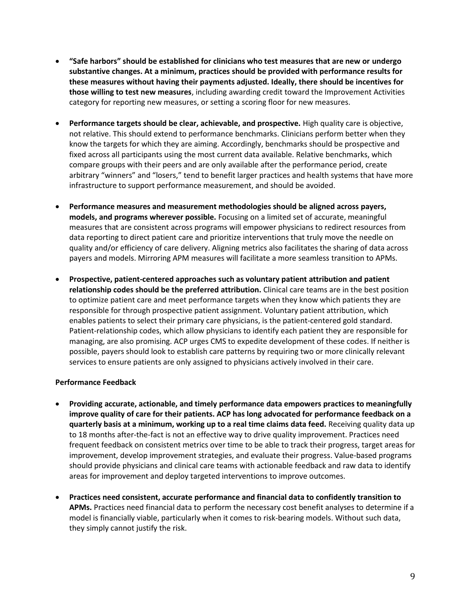- **"Safe harbors" should be established for clinicians who test measures that are new or undergo substantive changes. At a minimum, practices should be provided with performance results for these measures without having their payments adjusted. Ideally, there should be incentives for those willing to test new measures**, including awarding credit toward the Improvement Activities category for reporting new measures, or setting a scoring floor for new measures.
- **Performance targets should be clear, achievable, and prospective.** High quality care is objective, not relative. This should extend to performance benchmarks. Clinicians perform better when they know the targets for which they are aiming. Accordingly, benchmarks should be prospective and fixed across all participants using the most current data available. Relative benchmarks, which compare groups with their peers and are only available after the performance period, create arbitrary "winners" and "losers," tend to benefit larger practices and health systems that have more infrastructure to support performance measurement, and should be avoided.
- **Performance measures and measurement methodologies should be aligned across payers, models, and programs wherever possible.** Focusing on a limited set of accurate, meaningful measures that are consistent across programs will empower physicians to redirect resources from data reporting to direct patient care and prioritize interventions that truly move the needle on quality and/or efficiency of care delivery. Aligning metrics also facilitates the sharing of data across payers and models. Mirroring APM measures will facilitate a more seamless transition to APMs.
- **Prospective, patient-centered approaches such as voluntary patient attribution and patient relationship codes should be the preferred attribution.** Clinical care teams are in the best position to optimize patient care and meet performance targets when they know which patients they are responsible for through prospective patient assignment. Voluntary patient attribution, which enables patients to select their primary care physicians, is the patient-centered gold standard. Patient-relationship codes, which allow physicians to identify each patient they are responsible for managing, are also promising. ACP urges CMS to expedite development of these codes. If neither is possible, payers should look to establish care patterns by requiring two or more clinically relevant services to ensure patients are only assigned to physicians actively involved in their care.

#### **Performance Feedback**

- **Providing accurate, actionable, and timely performance data empowers practices to meaningfully improve quality of care for their patients. ACP has long advocated for performance feedback on a quarterly basis at a minimum, working up to a real time claims data feed.** Receiving quality data up to 18 months after-the-fact is not an effective way to drive quality improvement. Practices need frequent feedback on consistent metrics over time to be able to track their progress, target areas for improvement, develop improvement strategies, and evaluate their progress. Value-based programs should provide physicians and clinical care teams with actionable feedback and raw data to identify areas for improvement and deploy targeted interventions to improve outcomes.
- **Practices need consistent, accurate performance and financial data to confidently transition to APMs.** Practices need financial data to perform the necessary cost benefit analyses to determine if a model is financially viable, particularly when it comes to risk-bearing models. Without such data, they simply cannot justify the risk.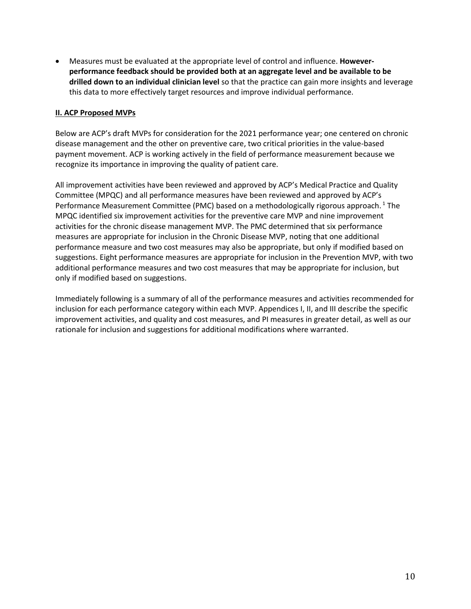• Measures must be evaluated at the appropriate level of control and influence. **Howeverperformance feedback should be provided both at an aggregate level and be available to be drilled down to an individual clinician level** so that the practice can gain more insights and leverage this data to more effectively target resources and improve individual performance.

#### **II. ACP Proposed MVPs**

Below are ACP's draft MVPs for consideration for the 2021 performance year; one centered on chronic disease management and the other on preventive care, two critical priorities in the value-based payment movement. ACP is working actively in the field of performance measurement because we recognize its importance in improving the quality of patient care.

All improvement activities have been reviewed and approved by ACP's Medical Practice and Quality Committee (MPQC) and all performance measures have been reviewed and approved by ACP's Performance Measurement Committee (PMC) based on a methodologically rigorous approach.<sup>1</sup> The MPQC identified six improvement activities for the preventive care MVP and nine improvement activities for the chronic disease management MVP. The PMC determined that six performance measures are appropriate for inclusion in the Chronic Disease MVP, noting that one additional performance measure and two cost measures may also be appropriate, but only if modified based on suggestions. Eight performance measures are appropriate for inclusion in the Prevention MVP, with two additional performance measures and two cost measures that may be appropriate for inclusion, but only if modified based on suggestions.

Immediately following is a summary of all of the performance measures and activities recommended for inclusion for each performance category within each MVP. Appendices I, II, and III describe the specific improvement activities, and quality and cost measures, and PI measures in greater detail, as well as our rationale for inclusion and suggestions for additional modifications where warranted.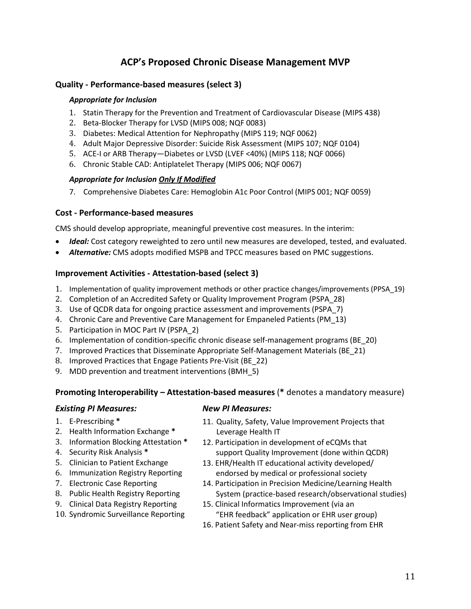## **ACP's Proposed Chronic Disease Management MVP**

#### **Quality - Performance-based measures (select 3)**

#### *Appropriate for Inclusion*

- 1. Statin Therapy for the Prevention and Treatment of Cardiovascular Disease (MIPS 438)
- 2. Beta-Blocker Therapy for LVSD (MIPS 008; NQF 0083)
- 3. Diabetes: Medical Attention for Nephropathy (MIPS 119; NQF 0062)
- 4. Adult Major Depressive Disorder: Suicide Risk Assessment (MIPS 107; NQF 0104)
- 5. ACE-I or ARB Therapy—Diabetes or LVSD (LVEF <40%) (MIPS 118; NQF 0066)
- 6. Chronic Stable CAD: Antiplatelet Therapy (MIPS 006; NQF 0067)

#### *Appropriate for Inclusion Only If Modified*

7. Comprehensive Diabetes Care: Hemoglobin A1c Poor Control (MIPS 001; NQF 0059)

#### **Cost - Performance-based measures**

CMS should develop appropriate, meaningful preventive cost measures. In the interim:

- **Ideal:** Cost category reweighted to zero until new measures are developed, tested, and evaluated.
- *Alternative:* CMS adopts modified MSPB and TPCC measures based on PMC suggestions.

#### **Improvement Activities - Attestation-based (select 3)**

- 1. Implementation of quality improvement methods or other practice changes/improvements (PPSA\_19)
- 2. Completion of an Accredited Safety or Quality Improvement Program (PSPA\_28)
- 3. Use of QCDR data for ongoing practice assessment and improvements (PSPA\_7)
- 4. Chronic Care and Preventive Care Management for Empaneled Patients (PM\_13)
- 5. Participation in MOC Part IV (PSPA\_2)
- 6. Implementation of condition-specific chronic disease self-management programs (BE\_20)
- 7. Improved Practices that Disseminate Appropriate Self-Management Materials (BE\_21)
- 8. Improved Practices that Engage Patients Pre-Visit (BE\_22)
- 9. MDD prevention and treatment interventions (BMH\_5)

#### **Promoting Interoperability – Attestation-based measures** (**\*** denotes a mandatory measure)

#### *Existing PI Measures:*

- 1. E-Prescribing **\***
- 2. Health Information Exchange **\***
- 3. Information Blocking Attestation **\***
- 4. Security Risk Analysis **\***
- 5. Clinician to Patient Exchange
- 6. Immunization Registry Reporting
- 7. Electronic Case Reporting
- 8. Public Health Registry Reporting
- 9. Clinical Data Registry Reporting
- 10. Syndromic Surveillance Reporting

#### *New PI Measures:*

- 11. Quality, Safety, Value Improvement Projects that Leverage Health IT
- 12. Participation in development of eCQMs that support Quality Improvement (done within QCDR)
- 13. EHR/Health IT educational activity developed/ endorsed by medical or professional society
- 14. Participation in Precision Medicine/Learning Health System (practice-based research/observational studies)
- 15. Clinical Informatics Improvement (via an "EHR feedback" application or EHR user group)
- 16. Patient Safety and Near-miss reporting from EHR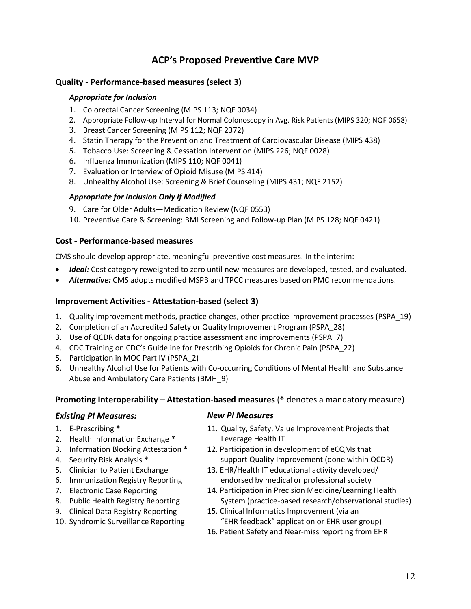## **ACP's Proposed Preventive Care MVP**

#### **Quality - Performance-based measures (select 3)**

#### *Appropriate for Inclusion*

- 1. Colorectal Cancer Screening (MIPS 113; NQF 0034)
- 2. Appropriate Follow-up Interval for Normal Colonoscopy in Avg. Risk Patients (MIPS 320; NQF 0658)
- 3. Breast Cancer Screening (MIPS 112; NQF 2372)
- 4. Statin Therapy for the Prevention and Treatment of Cardiovascular Disease (MIPS 438)
- 5. Tobacco Use: Screening & Cessation Intervention (MIPS 226; NQF 0028)
- 6. Influenza Immunization (MIPS 110; NQF 0041)
- 7. Evaluation or Interview of Opioid Misuse (MIPS 414)
- 8. Unhealthy Alcohol Use: Screening & Brief Counseling (MIPS 431; NQF 2152)

#### *Appropriate for Inclusion Only If Modified*

- 9. Care for Older Adults—Medication Review (NQF 0553)
- 10. Preventive Care & Screening: BMI Screening and Follow-up Plan (MIPS 128; NQF 0421)

#### **Cost - Performance-based measures**

CMS should develop appropriate, meaningful preventive cost measures. In the interim:

- *Ideal:* Cost category reweighted to zero until new measures are developed, tested, and evaluated.
- *Alternative:* CMS adopts modified MSPB and TPCC measures based on PMC recommendations.

#### **Improvement Activities - Attestation-based (select 3)**

- 1. Quality improvement methods, practice changes, other practice improvement processes (PSPA\_19)
- 2. Completion of an Accredited Safety or Quality Improvement Program (PSPA\_28)
- 3. Use of QCDR data for ongoing practice assessment and improvements (PSPA\_7)
- 4. CDC Training on CDC's Guideline for Prescribing Opioids for Chronic Pain (PSPA\_22)
- 5. Participation in MOC Part IV (PSPA\_2)
- 6. Unhealthy Alcohol Use for Patients with Co-occurring Conditions of Mental Health and Substance Abuse and Ambulatory Care Patients (BMH\_9)

#### **Promoting Interoperability – Attestation-based measures** (**\*** denotes a mandatory measure)

#### *Existing PI Measures:*

- 1. E-Prescribing **\***
- 2. Health Information Exchange **\***
- 3. Information Blocking Attestation **\***
- 4. Security Risk Analysis **\***
- 5. Clinician to Patient Exchange
- 6. Immunization Registry Reporting
- 7. Electronic Case Reporting
- 8. Public Health Registry Reporting
- 9. Clinical Data Registry Reporting
- 10. Syndromic Surveillance Reporting

#### *New PI Measures*

- 11. Quality, Safety, Value Improvement Projects that Leverage Health IT
- 12. Participation in development of eCQMs that support Quality Improvement (done within QCDR)
- 13. EHR/Health IT educational activity developed/ endorsed by medical or professional society
- 14. Participation in Precision Medicine/Learning Health System (practice-based research/observational studies)
- 15. Clinical Informatics Improvement (via an "EHR feedback" application or EHR user group)
- 16. Patient Safety and Near-miss reporting from EHR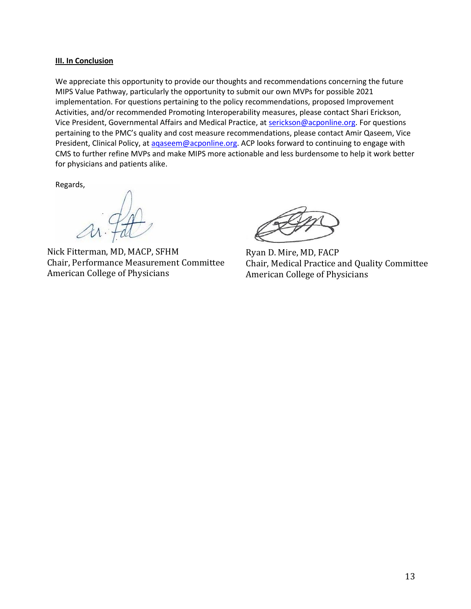#### **III. In Conclusion**

We appreciate this opportunity to provide our thoughts and recommendations concerning the future MIPS Value Pathway, particularly the opportunity to submit our own MVPs for possible 2021 implementation. For questions pertaining to the policy recommendations, proposed Improvement Activities, and/or recommended Promoting Interoperability measures, please contact Shari Erickson, Vice President, Governmental Affairs and Medical Practice, at [serickson@acponline.org.](mailto:serickson@acponline.org) For questions pertaining to the PMC's quality and cost measure recommendations, please contact Amir Qaseem, Vice President, Clinical Policy, at agaseem@acponline.org. ACP looks forward to continuing to engage with CMS to further refine MVPs and make MIPS more actionable and less burdensome to help it work better for physicians and patients alike.

Regards,

Nick Fitterman, MD, MACP, SFHM Chair, Performance Measurement Committee American College of Physicians

Ryan D. Mire, MD, FACP Chair, Medical Practice and Quality Committee American College of Physicians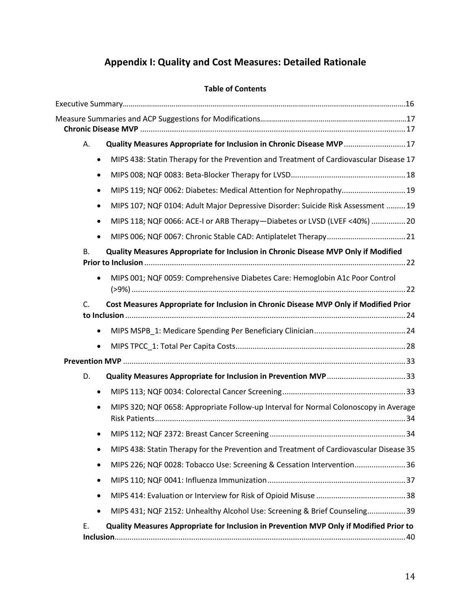# **Appendix I: Quality and Cost Measures: Detailed Rationale**

#### **Table of Contents**

| А.        | Quality Measures Appropriate for Inclusion in Chronic Disease MVP  17                  |  |
|-----------|----------------------------------------------------------------------------------------|--|
| $\bullet$ | MIPS 438: Statin Therapy for the Prevention and Treatment of Cardiovascular Disease 17 |  |
| $\bullet$ |                                                                                        |  |
| $\bullet$ | MIPS 119; NQF 0062: Diabetes: Medical Attention for Nephropathy 19                     |  |
| $\bullet$ | MIPS 107; NQF 0104: Adult Major Depressive Disorder: Suicide Risk Assessment  19       |  |
| $\bullet$ | MIPS 118; NQF 0066: ACE-I or ARB Therapy-Diabetes or LVSD (LVEF <40%)  20              |  |
|           |                                                                                        |  |
| В.        | Quality Measures Appropriate for Inclusion in Chronic Disease MVP Only if Modified     |  |
|           | MIPS 001; NQF 0059: Comprehensive Diabetes Care: Hemoglobin A1c Poor Control           |  |
| C.        | Cost Measures Appropriate for Inclusion in Chronic Disease MVP Only if Modified Prior  |  |
| $\bullet$ |                                                                                        |  |
| $\bullet$ |                                                                                        |  |
|           |                                                                                        |  |
| D.        |                                                                                        |  |
| $\bullet$ |                                                                                        |  |
| $\bullet$ | MIPS 320; NQF 0658: Appropriate Follow-up Interval for Normal Colonoscopy in Average   |  |
|           |                                                                                        |  |
|           | MIPS 438: Statin Therapy for the Prevention and Treatment of Cardiovascular Disease 35 |  |
| $\bullet$ | MIPS 226; NQF 0028: Tobacco Use: Screening & Cessation Intervention 36                 |  |
| $\bullet$ |                                                                                        |  |
| ٠         |                                                                                        |  |
| $\bullet$ | MIPS 431; NQF 2152: Unhealthy Alcohol Use: Screening & Brief Counseling39              |  |
| Ε.        | Quality Measures Appropriate for Inclusion in Prevention MVP Only if Modified Prior to |  |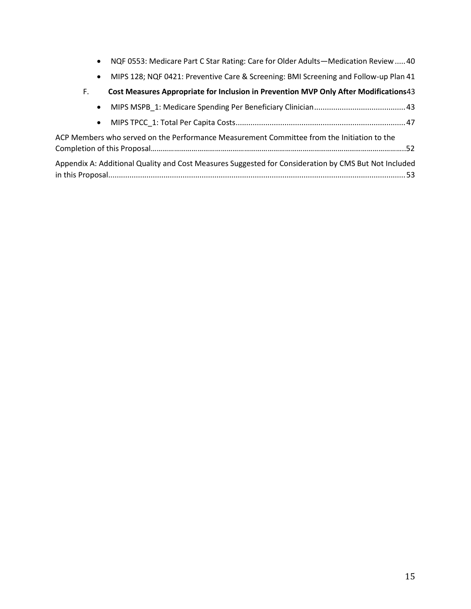|  |  | NQF 0553: Medicare Part C Star Rating: Care for Older Adults-Medication Review  40 |  |  |  |  |
|--|--|------------------------------------------------------------------------------------|--|--|--|--|
|--|--|------------------------------------------------------------------------------------|--|--|--|--|

• [MIPS 128; NQF 0421: Preventive Care & Screening: BMI Screening and Follow-up Plan](#page-40-0) 41

|  | Cost Measures Appropriate for Inclusion in Prevention MVP Only After Modifications43 |
|--|--------------------------------------------------------------------------------------|
|--|--------------------------------------------------------------------------------------|

- [MIPS MSPB\\_1: Medicare Spending Per Beneficiary Clinician...........................................43](#page-42-1)
- [MIPS TPCC\\_1: Total Per Capita Costs................................................................................47](#page-46-0)

| ACP Members who served on the Performance Measurement Committee from the Initiation to the           |
|------------------------------------------------------------------------------------------------------|
|                                                                                                      |
| Appendix A: Additional Quality and Cost Measures Suggested for Consideration by CMS But Not Included |
|                                                                                                      |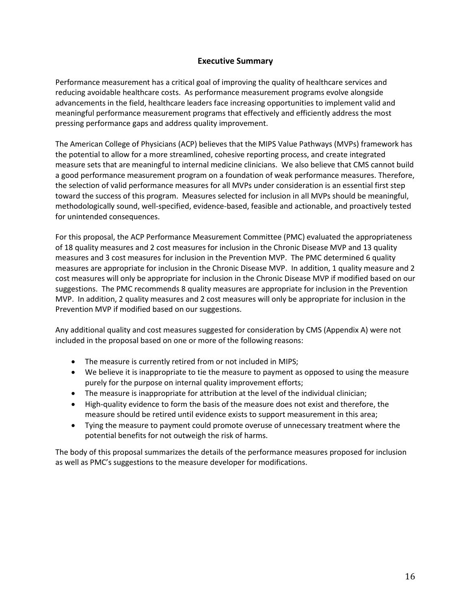#### **Executive Summary**

Performance measurement has a critical goal of improving the quality of healthcare services and reducing avoidable healthcare costs. As performance measurement programs evolve alongside advancements in the field, healthcare leaders face increasing opportunities to implement valid and meaningful performance measurement programs that effectively and efficiently address the most pressing performance gaps and address quality improvement.

The American College of Physicians (ACP) believes that the MIPS Value Pathways (MVPs) framework has the potential to allow for a more streamlined, cohesive reporting process, and create integrated measure sets that are meaningful to internal medicine clinicians. We also believe that CMS cannot build a good performance measurement program on a foundation of weak performance measures. Therefore, the selection of valid performance measures for all MVPs under consideration is an essential first step toward the success of this program. Measures selected for inclusion in all MVPs should be meaningful, methodologically sound, well-specified, evidence-based, feasible and actionable, and proactively tested for unintended consequences.

For this proposal, the ACP Performance Measurement Committee (PMC) evaluated the appropriateness of 18 quality measures and 2 cost measures for inclusion in the Chronic Disease MVP and 13 quality measures and 3 cost measures for inclusion in the Prevention MVP. The PMC determined 6 quality measures are appropriate for inclusion in the Chronic Disease MVP. In addition, 1 quality measure and 2 cost measures will only be appropriate for inclusion in the Chronic Disease MVP if modified based on our suggestions. The PMC recommends 8 quality measures are appropriate for inclusion in the Prevention MVP. In addition, 2 quality measures and 2 cost measures will only be appropriate for inclusion in the Prevention MVP if modified based on our suggestions.

Any additional quality and cost measures suggested for consideration by CMS (Appendix A) were not included in the proposal based on one or more of the following reasons:

- The measure is currently retired from or not included in MIPS;
- We believe it is inappropriate to tie the measure to payment as opposed to using the measure purely for the purpose on internal quality improvement efforts;
- The measure is inappropriate for attribution at the level of the individual clinician;
- High-quality evidence to form the basis of the measure does not exist and therefore, the measure should be retired until evidence exists to support measurement in this area;
- Tying the measure to payment could promote overuse of unnecessary treatment where the potential benefits for not outweigh the risk of harms.

The body of this proposal summarizes the details of the performance measures proposed for inclusion as well as PMC's suggestions to the measure developer for modifications.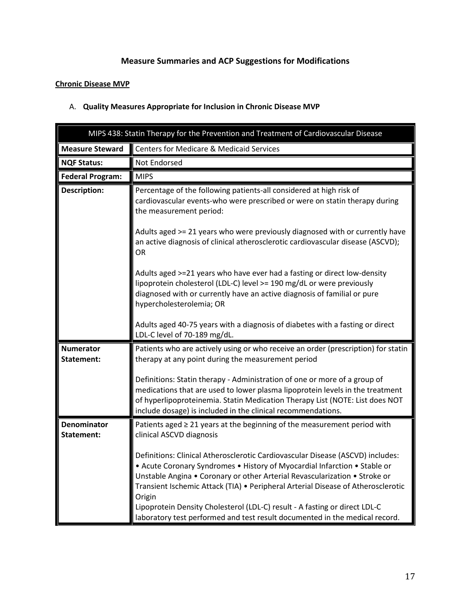## **Measure Summaries and ACP Suggestions for Modifications**

### <span id="page-16-0"></span>**Chronic Disease MVP**

<span id="page-16-1"></span>

|  |  |  |  |  | A. Quality Measures Appropriate for Inclusion in Chronic Disease MVP |
|--|--|--|--|--|----------------------------------------------------------------------|
|--|--|--|--|--|----------------------------------------------------------------------|

<span id="page-16-2"></span>

| MIPS 438: Statin Therapy for the Prevention and Treatment of Cardiovascular Disease |                                                                                                                                                                                                                                                                                                                                                                                                                                                                                                                                                                                                                                                                                                                                            |  |
|-------------------------------------------------------------------------------------|--------------------------------------------------------------------------------------------------------------------------------------------------------------------------------------------------------------------------------------------------------------------------------------------------------------------------------------------------------------------------------------------------------------------------------------------------------------------------------------------------------------------------------------------------------------------------------------------------------------------------------------------------------------------------------------------------------------------------------------------|--|
| <b>Measure Steward</b>                                                              | <b>Centers for Medicare &amp; Medicaid Services</b>                                                                                                                                                                                                                                                                                                                                                                                                                                                                                                                                                                                                                                                                                        |  |
| <b>NQF Status:</b>                                                                  | Not Endorsed                                                                                                                                                                                                                                                                                                                                                                                                                                                                                                                                                                                                                                                                                                                               |  |
| <b>Federal Program:</b>                                                             | <b>MIPS</b>                                                                                                                                                                                                                                                                                                                                                                                                                                                                                                                                                                                                                                                                                                                                |  |
| <b>Description:</b>                                                                 | Percentage of the following patients-all considered at high risk of<br>cardiovascular events-who were prescribed or were on statin therapy during<br>the measurement period:<br>Adults aged >= 21 years who were previously diagnosed with or currently have<br>an active diagnosis of clinical atherosclerotic cardiovascular disease (ASCVD);<br><b>OR</b><br>Adults aged >=21 years who have ever had a fasting or direct low-density<br>lipoprotein cholesterol (LDL-C) level >= 190 mg/dL or were previously<br>diagnosed with or currently have an active diagnosis of familial or pure<br>hypercholesterolemia; OR<br>Adults aged 40-75 years with a diagnosis of diabetes with a fasting or direct<br>LDL-C level of 70-189 mg/dL. |  |
| <b>Numerator</b><br>Statement:                                                      | Patients who are actively using or who receive an order (prescription) for statin<br>therapy at any point during the measurement period<br>Definitions: Statin therapy - Administration of one or more of a group of<br>medications that are used to lower plasma lipoprotein levels in the treatment<br>of hyperlipoproteinemia. Statin Medication Therapy List (NOTE: List does NOT<br>include dosage) is included in the clinical recommendations.                                                                                                                                                                                                                                                                                      |  |
| <b>Denominator</b><br>Statement:                                                    | Patients aged $\geq$ 21 years at the beginning of the measurement period with<br>clinical ASCVD diagnosis<br>Definitions: Clinical Atherosclerotic Cardiovascular Disease (ASCVD) includes:<br>• Acute Coronary Syndromes • History of Myocardial Infarction • Stable or<br>Unstable Angina • Coronary or other Arterial Revascularization • Stroke or<br>Transient Ischemic Attack (TIA) · Peripheral Arterial Disease of Atherosclerotic<br>Origin<br>Lipoprotein Density Cholesterol (LDL-C) result - A fasting or direct LDL-C<br>laboratory test performed and test result documented in the medical record.                                                                                                                          |  |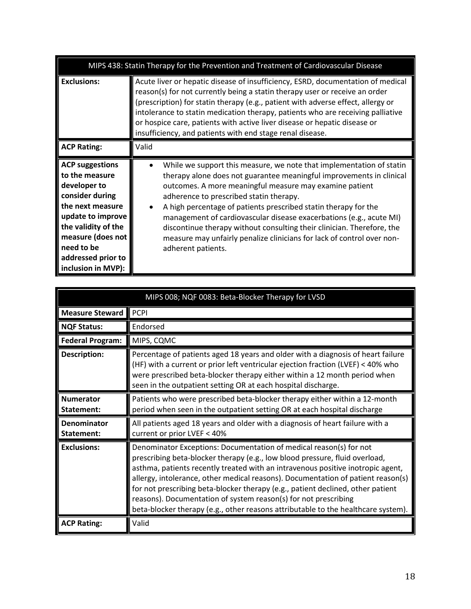| MIPS 438: Statin Therapy for the Prevention and Treatment of Cardiovascular Disease                                                                                                                                        |                                                                                                                                                                                                                                                                                                                                                                                                                                                                                                                                                                        |  |
|----------------------------------------------------------------------------------------------------------------------------------------------------------------------------------------------------------------------------|------------------------------------------------------------------------------------------------------------------------------------------------------------------------------------------------------------------------------------------------------------------------------------------------------------------------------------------------------------------------------------------------------------------------------------------------------------------------------------------------------------------------------------------------------------------------|--|
| <b>Exclusions:</b>                                                                                                                                                                                                         | Acute liver or hepatic disease of insufficiency, ESRD, documentation of medical<br>reason(s) for not currently being a statin therapy user or receive an order<br>(prescription) for statin therapy (e.g., patient with adverse effect, allergy or<br>intolerance to statin medication therapy, patients who are receiving palliative<br>or hospice care, patients with active liver disease or hepatic disease or<br>insufficiency, and patients with end stage renal disease.                                                                                        |  |
| <b>ACP Rating:</b>                                                                                                                                                                                                         | Valid                                                                                                                                                                                                                                                                                                                                                                                                                                                                                                                                                                  |  |
| <b>ACP suggestions</b><br>to the measure<br>developer to<br>consider during<br>the next measure<br>update to improve<br>the validity of the<br>measure (does not<br>need to be<br>addressed prior to<br>inclusion in MVP): | While we support this measure, we note that implementation of statin<br>therapy alone does not guarantee meaningful improvements in clinical<br>outcomes. A more meaningful measure may examine patient<br>adherence to prescribed statin therapy.<br>A high percentage of patients prescribed statin therapy for the<br>management of cardiovascular disease exacerbations (e.g., acute MI)<br>discontinue therapy without consulting their clinician. Therefore, the<br>measure may unfairly penalize clinicians for lack of control over non-<br>adherent patients. |  |

<span id="page-17-0"></span>

|                                  | MIPS 008; NQF 0083: Beta-Blocker Therapy for LVSD                                                                                                                                                                                                                                                                                                                                                                                                                                                                                                                   |  |  |
|----------------------------------|---------------------------------------------------------------------------------------------------------------------------------------------------------------------------------------------------------------------------------------------------------------------------------------------------------------------------------------------------------------------------------------------------------------------------------------------------------------------------------------------------------------------------------------------------------------------|--|--|
| <b>Measure Steward</b>           | PCPI                                                                                                                                                                                                                                                                                                                                                                                                                                                                                                                                                                |  |  |
| <b>NQF Status:</b>               | Endorsed                                                                                                                                                                                                                                                                                                                                                                                                                                                                                                                                                            |  |  |
| <b>Federal Program:</b>          | MIPS, CQMC                                                                                                                                                                                                                                                                                                                                                                                                                                                                                                                                                          |  |  |
| <b>Description:</b>              | Percentage of patients aged 18 years and older with a diagnosis of heart failure<br>(HF) with a current or prior left ventricular ejection fraction (LVEF) < 40% who<br>were prescribed beta-blocker therapy either within a 12 month period when<br>seen in the outpatient setting OR at each hospital discharge.                                                                                                                                                                                                                                                  |  |  |
| <b>Numerator</b><br>Statement:   | Patients who were prescribed beta-blocker therapy either within a 12-month<br>period when seen in the outpatient setting OR at each hospital discharge                                                                                                                                                                                                                                                                                                                                                                                                              |  |  |
| <b>Denominator</b><br>Statement: | All patients aged 18 years and older with a diagnosis of heart failure with a<br>current or prior LVEF < 40%                                                                                                                                                                                                                                                                                                                                                                                                                                                        |  |  |
| <b>Exclusions:</b>               | Denominator Exceptions: Documentation of medical reason(s) for not<br>prescribing beta-blocker therapy (e.g., low blood pressure, fluid overload,<br>asthma, patients recently treated with an intravenous positive inotropic agent,<br>allergy, intolerance, other medical reasons). Documentation of patient reason(s)<br>for not prescribing beta-blocker therapy (e.g., patient declined, other patient<br>reasons). Documentation of system reason(s) for not prescribing<br>beta-blocker therapy (e.g., other reasons attributable to the healthcare system). |  |  |
| <b>ACP Rating:</b>               | Valid                                                                                                                                                                                                                                                                                                                                                                                                                                                                                                                                                               |  |  |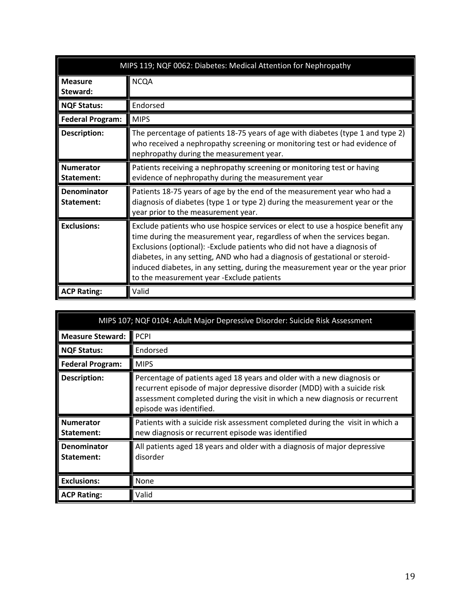<span id="page-18-0"></span>

|                                | MIPS 119; NQF 0062: Diabetes: Medical Attention for Nephropathy                                                                                                                                                                                                                                                                                                                                                                                         |  |  |
|--------------------------------|---------------------------------------------------------------------------------------------------------------------------------------------------------------------------------------------------------------------------------------------------------------------------------------------------------------------------------------------------------------------------------------------------------------------------------------------------------|--|--|
| <b>Measure</b><br>Steward:     | <b>NCQA</b>                                                                                                                                                                                                                                                                                                                                                                                                                                             |  |  |
| <b>NQF Status:</b>             | Endorsed                                                                                                                                                                                                                                                                                                                                                                                                                                                |  |  |
| <b>Federal Program:</b>        | <b>MIPS</b>                                                                                                                                                                                                                                                                                                                                                                                                                                             |  |  |
| <b>Description:</b>            | The percentage of patients 18-75 years of age with diabetes (type 1 and type 2)<br>who received a nephropathy screening or monitoring test or had evidence of<br>nephropathy during the measurement year.                                                                                                                                                                                                                                               |  |  |
| <b>Numerator</b><br>Statement: | Patients receiving a nephropathy screening or monitoring test or having<br>evidence of nephropathy during the measurement year                                                                                                                                                                                                                                                                                                                          |  |  |
| Denominator<br>Statement:      | Patients 18-75 years of age by the end of the measurement year who had a<br>diagnosis of diabetes (type 1 or type 2) during the measurement year or the<br>year prior to the measurement year.                                                                                                                                                                                                                                                          |  |  |
| <b>Exclusions:</b>             | Exclude patients who use hospice services or elect to use a hospice benefit any<br>time during the measurement year, regardless of when the services began.<br>Exclusions (optional): -Exclude patients who did not have a diagnosis of<br>diabetes, in any setting, AND who had a diagnosis of gestational or steroid-<br>induced diabetes, in any setting, during the measurement year or the year prior<br>to the measurement year -Exclude patients |  |  |
| <b>ACP Rating:</b>             | Valid                                                                                                                                                                                                                                                                                                                                                                                                                                                   |  |  |

<span id="page-18-1"></span>

| MIPS 107; NQF 0104: Adult Major Depressive Disorder: Suicide Risk Assessment |                                                                                                                                                                                                                                                              |  |
|------------------------------------------------------------------------------|--------------------------------------------------------------------------------------------------------------------------------------------------------------------------------------------------------------------------------------------------------------|--|
| <b>Measure Steward:</b>                                                      | <b>PCPI</b>                                                                                                                                                                                                                                                  |  |
| <b>NQF Status:</b>                                                           | Endorsed                                                                                                                                                                                                                                                     |  |
| <b>Federal Program:</b>                                                      | <b>MIPS</b>                                                                                                                                                                                                                                                  |  |
| <b>Description:</b>                                                          | Percentage of patients aged 18 years and older with a new diagnosis or<br>recurrent episode of major depressive disorder (MDD) with a suicide risk<br>assessment completed during the visit in which a new diagnosis or recurrent<br>episode was identified. |  |
| <b>Numerator</b><br>Statement:                                               | Patients with a suicide risk assessment completed during the visit in which a<br>new diagnosis or recurrent episode was identified                                                                                                                           |  |
| <b>Denominator</b><br>Statement:                                             | All patients aged 18 years and older with a diagnosis of major depressive<br>disorder                                                                                                                                                                        |  |
| <b>Exclusions:</b>                                                           | None                                                                                                                                                                                                                                                         |  |
| <b>ACP Rating:</b>                                                           | Valid                                                                                                                                                                                                                                                        |  |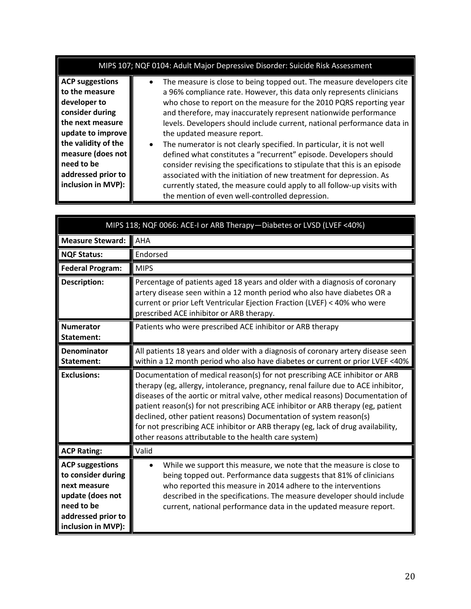| MIPS 107; NQF 0104: Adult Major Depressive Disorder: Suicide Risk Assessment                                                                                                                                               |                                                                                                                                                                                                                                                                                                                                                                                                                                                                                                                                                                                                                                                                                                                                                                                                                                               |  |
|----------------------------------------------------------------------------------------------------------------------------------------------------------------------------------------------------------------------------|-----------------------------------------------------------------------------------------------------------------------------------------------------------------------------------------------------------------------------------------------------------------------------------------------------------------------------------------------------------------------------------------------------------------------------------------------------------------------------------------------------------------------------------------------------------------------------------------------------------------------------------------------------------------------------------------------------------------------------------------------------------------------------------------------------------------------------------------------|--|
| <b>ACP suggestions</b><br>to the measure<br>developer to<br>consider during<br>the next measure<br>update to improve<br>the validity of the<br>measure (does not<br>need to be<br>addressed prior to<br>inclusion in MVP): | The measure is close to being topped out. The measure developers cite<br>a 96% compliance rate. However, this data only represents clinicians<br>who chose to report on the measure for the 2010 PQRS reporting year<br>and therefore, may inaccurately represent nationwide performance<br>levels. Developers should include current, national performance data in<br>the updated measure report.<br>The numerator is not clearly specified. In particular, it is not well<br>$\bullet$<br>defined what constitutes a "recurrent" episode. Developers should<br>consider revising the specifications to stipulate that this is an episode<br>associated with the initiation of new treatment for depression. As<br>currently stated, the measure could apply to all follow-up visits with<br>the mention of even well-controlled depression. |  |

<span id="page-19-0"></span>

| MIPS 118; NQF 0066: ACE-I or ARB Therapy-Diabetes or LVSD (LVEF <40%)                                                                      |                                                                                                                                                                                                                                                                                                                                                                                                                                                                                                                                                           |
|--------------------------------------------------------------------------------------------------------------------------------------------|-----------------------------------------------------------------------------------------------------------------------------------------------------------------------------------------------------------------------------------------------------------------------------------------------------------------------------------------------------------------------------------------------------------------------------------------------------------------------------------------------------------------------------------------------------------|
| Measure Steward:                                                                                                                           | <b>AHA</b>                                                                                                                                                                                                                                                                                                                                                                                                                                                                                                                                                |
| <b>NQF Status:</b>                                                                                                                         | Endorsed                                                                                                                                                                                                                                                                                                                                                                                                                                                                                                                                                  |
| <b>Federal Program:</b>                                                                                                                    | <b>MIPS</b>                                                                                                                                                                                                                                                                                                                                                                                                                                                                                                                                               |
| <b>Description:</b>                                                                                                                        | Percentage of patients aged 18 years and older with a diagnosis of coronary<br>artery disease seen within a 12 month period who also have diabetes OR a<br>current or prior Left Ventricular Ejection Fraction (LVEF) < 40% who were<br>prescribed ACE inhibitor or ARB therapy.                                                                                                                                                                                                                                                                          |
| <b>Numerator</b><br>Statement:                                                                                                             | Patients who were prescribed ACE inhibitor or ARB therapy                                                                                                                                                                                                                                                                                                                                                                                                                                                                                                 |
| Denominator<br>Statement:                                                                                                                  | All patients 18 years and older with a diagnosis of coronary artery disease seen<br>within a 12 month period who also have diabetes or current or prior LVEF <40%                                                                                                                                                                                                                                                                                                                                                                                         |
| <b>Exclusions:</b>                                                                                                                         | Documentation of medical reason(s) for not prescribing ACE inhibitor or ARB<br>therapy (eg, allergy, intolerance, pregnancy, renal failure due to ACE inhibitor,<br>diseases of the aortic or mitral valve, other medical reasons) Documentation of<br>patient reason(s) for not prescribing ACE inhibitor or ARB therapy (eg, patient<br>declined, other patient reasons) Documentation of system reason(s)<br>for not prescribing ACE inhibitor or ARB therapy (eg, lack of drug availability,<br>other reasons attributable to the health care system) |
| <b>ACP Rating:</b>                                                                                                                         | Valid                                                                                                                                                                                                                                                                                                                                                                                                                                                                                                                                                     |
| <b>ACP suggestions</b><br>to consider during<br>next measure<br>update (does not<br>need to be<br>addressed prior to<br>inclusion in MVP): | While we support this measure, we note that the measure is close to<br>being topped out. Performance data suggests that 81% of clinicians<br>who reported this measure in 2014 adhere to the interventions<br>described in the specifications. The measure developer should include<br>current, national performance data in the updated measure report.                                                                                                                                                                                                  |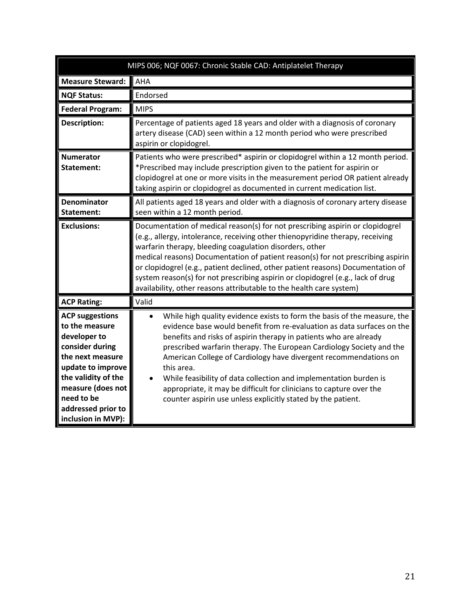<span id="page-20-0"></span>

| MIPS 006; NQF 0067: Chronic Stable CAD: Antiplatelet Therapy                                                                                                                                                               |                                                                                                                                                                                                                                                                                                                                                                                                                                                                                                                                                                                               |
|----------------------------------------------------------------------------------------------------------------------------------------------------------------------------------------------------------------------------|-----------------------------------------------------------------------------------------------------------------------------------------------------------------------------------------------------------------------------------------------------------------------------------------------------------------------------------------------------------------------------------------------------------------------------------------------------------------------------------------------------------------------------------------------------------------------------------------------|
| <b>Measure Steward:</b>                                                                                                                                                                                                    | AHA                                                                                                                                                                                                                                                                                                                                                                                                                                                                                                                                                                                           |
| <b>NQF Status:</b>                                                                                                                                                                                                         | Endorsed                                                                                                                                                                                                                                                                                                                                                                                                                                                                                                                                                                                      |
| <b>Federal Program:</b>                                                                                                                                                                                                    | <b>MIPS</b>                                                                                                                                                                                                                                                                                                                                                                                                                                                                                                                                                                                   |
| <b>Description:</b>                                                                                                                                                                                                        | Percentage of patients aged 18 years and older with a diagnosis of coronary<br>artery disease (CAD) seen within a 12 month period who were prescribed<br>aspirin or clopidogrel.                                                                                                                                                                                                                                                                                                                                                                                                              |
| <b>Numerator</b><br>Statement:                                                                                                                                                                                             | Patients who were prescribed* aspirin or clopidogrel within a 12 month period.<br>*Prescribed may include prescription given to the patient for aspirin or<br>clopidogrel at one or more visits in the measurement period OR patient already<br>taking aspirin or clopidogrel as documented in current medication list.                                                                                                                                                                                                                                                                       |
| <b>Denominator</b><br>Statement:                                                                                                                                                                                           | All patients aged 18 years and older with a diagnosis of coronary artery disease<br>seen within a 12 month period.                                                                                                                                                                                                                                                                                                                                                                                                                                                                            |
| <b>Exclusions:</b>                                                                                                                                                                                                         | Documentation of medical reason(s) for not prescribing aspirin or clopidogrel<br>(e.g., allergy, intolerance, receiving other thienopyridine therapy, receiving<br>warfarin therapy, bleeding coagulation disorders, other<br>medical reasons) Documentation of patient reason(s) for not prescribing aspirin<br>or clopidogrel (e.g., patient declined, other patient reasons) Documentation of<br>system reason(s) for not prescribing aspirin or clopidogrel (e.g., lack of drug<br>availability, other reasons attributable to the health care system)                                    |
| <b>ACP Rating:</b>                                                                                                                                                                                                         | Valid                                                                                                                                                                                                                                                                                                                                                                                                                                                                                                                                                                                         |
| <b>ACP suggestions</b><br>to the measure<br>developer to<br>consider during<br>the next measure<br>update to improve<br>the validity of the<br>measure (does not<br>need to be<br>addressed prior to<br>inclusion in MVP): | While high quality evidence exists to form the basis of the measure, the<br>evidence base would benefit from re-evaluation as data surfaces on the<br>benefits and risks of aspirin therapy in patients who are already<br>prescribed warfarin therapy. The European Cardiology Society and the<br>American College of Cardiology have divergent recommendations on<br>this area.<br>While feasibility of data collection and implementation burden is<br>appropriate, it may be difficult for clinicians to capture over the<br>counter aspirin use unless explicitly stated by the patient. |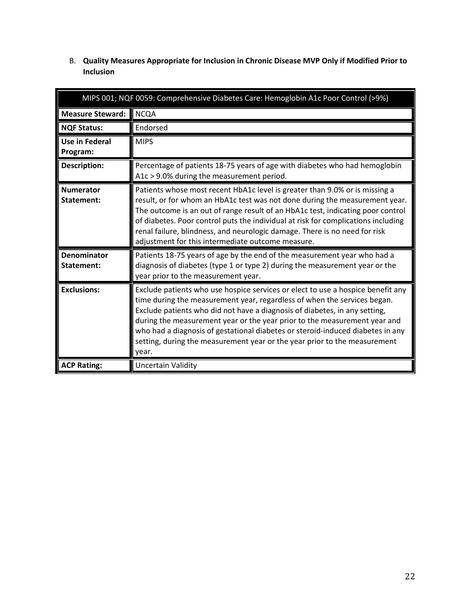<span id="page-21-1"></span>

| MIPS 001; NQF 0059: Comprehensive Diabetes Care: Hemoglobin A1c Poor Control (>9%) |                                                                                                                                                                                                                                                                                                                                                                                                                                                                       |  |
|------------------------------------------------------------------------------------|-----------------------------------------------------------------------------------------------------------------------------------------------------------------------------------------------------------------------------------------------------------------------------------------------------------------------------------------------------------------------------------------------------------------------------------------------------------------------|--|
| <b>Measure Steward:</b>                                                            | <b>NCQA</b>                                                                                                                                                                                                                                                                                                                                                                                                                                                           |  |
| <b>NQF Status:</b>                                                                 | Endorsed                                                                                                                                                                                                                                                                                                                                                                                                                                                              |  |
| Use in Federal<br>Program:                                                         | <b>MIPS</b>                                                                                                                                                                                                                                                                                                                                                                                                                                                           |  |
| <b>Description:</b>                                                                | Percentage of patients 18-75 years of age with diabetes who had hemoglobin<br>A1c > 9.0% during the measurement period.                                                                                                                                                                                                                                                                                                                                               |  |
| <b>Numerator</b><br>Statement:                                                     | Patients whose most recent HbA1c level is greater than 9.0% or is missing a<br>result, or for whom an HbA1c test was not done during the measurement year.<br>The outcome is an out of range result of an HbA1c test, indicating poor control<br>of diabetes. Poor control puts the individual at risk for complications including<br>renal failure, blindness, and neurologic damage. There is no need for risk<br>adjustment for this intermediate outcome measure. |  |
| <b>Denominator</b><br>Statement:                                                   | Patients 18-75 years of age by the end of the measurement year who had a<br>diagnosis of diabetes (type 1 or type 2) during the measurement year or the<br>year prior to the measurement year.                                                                                                                                                                                                                                                                        |  |

**Exclusions: Exclude patients who use hospice services or elect to use a hospice benefit any** 

year.

**ACP Rating:** Uncertain Validity

time during the measurement year, regardless of when the services began. Exclude patients who did not have a diagnosis of diabetes, in any setting, during the measurement year or the year prior to the measurement year and who had a diagnosis of gestational diabetes or steroid-induced diabetes in any setting, during the measurement year or the year prior to the measurement

<span id="page-21-0"></span>B. **Quality Measures Appropriate for Inclusion in Chronic Disease MVP Only if Modified Prior to Inclusion**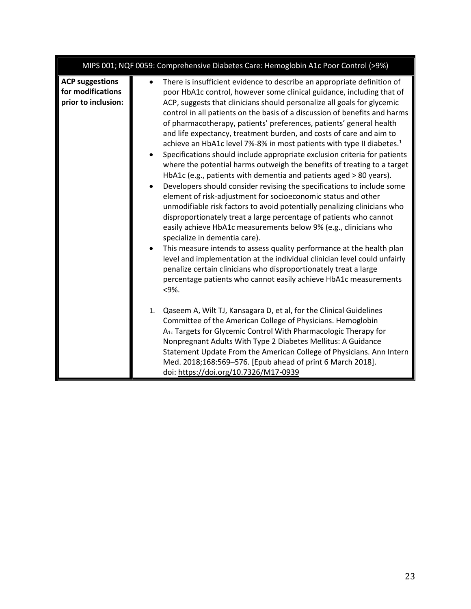|                                                                    | MIPS 001; NQF 0059: Comprehensive Diabetes Care: Hemoglobin A1c Poor Control (>9%)                                                                                                                                                                                                                                                                                                                                                                                                                                                                                                                                                                                                                                                                                                                                                                                                                                                                                                                                                                                                                                                                                                                                                                                                                                                                                                                                                                                                 |
|--------------------------------------------------------------------|------------------------------------------------------------------------------------------------------------------------------------------------------------------------------------------------------------------------------------------------------------------------------------------------------------------------------------------------------------------------------------------------------------------------------------------------------------------------------------------------------------------------------------------------------------------------------------------------------------------------------------------------------------------------------------------------------------------------------------------------------------------------------------------------------------------------------------------------------------------------------------------------------------------------------------------------------------------------------------------------------------------------------------------------------------------------------------------------------------------------------------------------------------------------------------------------------------------------------------------------------------------------------------------------------------------------------------------------------------------------------------------------------------------------------------------------------------------------------------|
| <b>ACP suggestions</b><br>for modifications<br>prior to inclusion: | There is insufficient evidence to describe an appropriate definition of<br>poor HbA1c control, however some clinical guidance, including that of<br>ACP, suggests that clinicians should personalize all goals for glycemic<br>control in all patients on the basis of a discussion of benefits and harms<br>of pharmacotherapy, patients' preferences, patients' general health<br>and life expectancy, treatment burden, and costs of care and aim to<br>achieve an HbA1c level 7%-8% in most patients with type II diabetes. <sup>1</sup><br>Specifications should include appropriate exclusion criteria for patients<br>where the potential harms outweigh the benefits of treating to a target<br>HbA1c (e.g., patients with dementia and patients aged > 80 years).<br>Developers should consider revising the specifications to include some<br>element of risk-adjustment for socioeconomic status and other<br>unmodifiable risk factors to avoid potentially penalizing clinicians who<br>disproportionately treat a large percentage of patients who cannot<br>easily achieve HbA1c measurements below 9% (e.g., clinicians who<br>specialize in dementia care).<br>This measure intends to assess quality performance at the health plan<br>level and implementation at the individual clinician level could unfairly<br>penalize certain clinicians who disproportionately treat a large<br>percentage patients who cannot easily achieve HbA1c measurements<br><9%. |
|                                                                    | Qaseem A, Wilt TJ, Kansagara D, et al, for the Clinical Guidelines<br>1.<br>Committee of the American College of Physicians. Hemoglobin<br>A <sub>1c</sub> Targets for Glycemic Control With Pharmacologic Therapy for<br>Nonpregnant Adults With Type 2 Diabetes Mellitus: A Guidance<br>Statement Update From the American College of Physicians. Ann Intern<br>Med. 2018;168:569-576. [Epub ahead of print 6 March 2018].<br>doi: https://doi.org/10.7326/M17-0939                                                                                                                                                                                                                                                                                                                                                                                                                                                                                                                                                                                                                                                                                                                                                                                                                                                                                                                                                                                                              |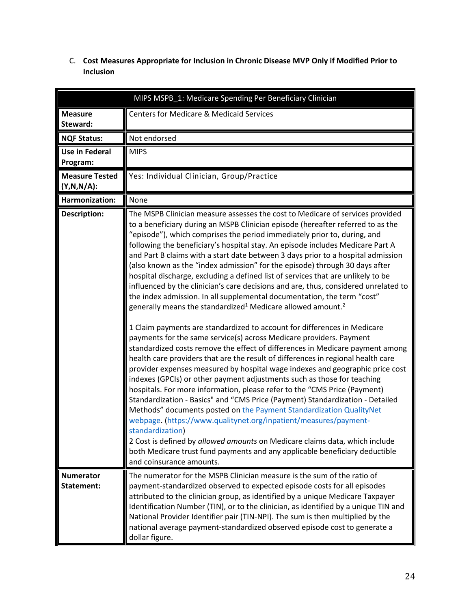<span id="page-23-0"></span>C. **Cost Measures Appropriate for Inclusion in Chronic Disease MVP Only if Modified Prior to Inclusion**

<span id="page-23-1"></span>

| MIPS MSPB_1: Medicare Spending Per Beneficiary Clinician |                                                                                                                                                                                                                                                                                                                                                                                                                                                                                                                                                                                                                                                                                                                                                                                                                                                                                                                                                                                                                                                                                                                                                                                                                                                                                                                                                                                                                                                                                                                                                                                                                                                                                                                                                                                                                                                           |
|----------------------------------------------------------|-----------------------------------------------------------------------------------------------------------------------------------------------------------------------------------------------------------------------------------------------------------------------------------------------------------------------------------------------------------------------------------------------------------------------------------------------------------------------------------------------------------------------------------------------------------------------------------------------------------------------------------------------------------------------------------------------------------------------------------------------------------------------------------------------------------------------------------------------------------------------------------------------------------------------------------------------------------------------------------------------------------------------------------------------------------------------------------------------------------------------------------------------------------------------------------------------------------------------------------------------------------------------------------------------------------------------------------------------------------------------------------------------------------------------------------------------------------------------------------------------------------------------------------------------------------------------------------------------------------------------------------------------------------------------------------------------------------------------------------------------------------------------------------------------------------------------------------------------------------|
| <b>Measure</b><br>Steward:                               | <b>Centers for Medicare &amp; Medicaid Services</b>                                                                                                                                                                                                                                                                                                                                                                                                                                                                                                                                                                                                                                                                                                                                                                                                                                                                                                                                                                                                                                                                                                                                                                                                                                                                                                                                                                                                                                                                                                                                                                                                                                                                                                                                                                                                       |
| <b>NQF Status:</b>                                       | Not endorsed                                                                                                                                                                                                                                                                                                                                                                                                                                                                                                                                                                                                                                                                                                                                                                                                                                                                                                                                                                                                                                                                                                                                                                                                                                                                                                                                                                                                                                                                                                                                                                                                                                                                                                                                                                                                                                              |
| <b>Use in Federal</b><br>Program:                        | <b>MIPS</b>                                                                                                                                                                                                                                                                                                                                                                                                                                                                                                                                                                                                                                                                                                                                                                                                                                                                                                                                                                                                                                                                                                                                                                                                                                                                                                                                                                                                                                                                                                                                                                                                                                                                                                                                                                                                                                               |
| <b>Measure Tested</b><br>$(Y,N,N/A)$ :                   | Yes: Individual Clinician, Group/Practice                                                                                                                                                                                                                                                                                                                                                                                                                                                                                                                                                                                                                                                                                                                                                                                                                                                                                                                                                                                                                                                                                                                                                                                                                                                                                                                                                                                                                                                                                                                                                                                                                                                                                                                                                                                                                 |
| Harmonization:                                           | None                                                                                                                                                                                                                                                                                                                                                                                                                                                                                                                                                                                                                                                                                                                                                                                                                                                                                                                                                                                                                                                                                                                                                                                                                                                                                                                                                                                                                                                                                                                                                                                                                                                                                                                                                                                                                                                      |
| <b>Description:</b>                                      | The MSPB Clinician measure assesses the cost to Medicare of services provided<br>to a beneficiary during an MSPB Clinician episode (hereafter referred to as the<br>"episode"), which comprises the period immediately prior to, during, and<br>following the beneficiary's hospital stay. An episode includes Medicare Part A<br>and Part B claims with a start date between 3 days prior to a hospital admission<br>(also known as the "index admission" for the episode) through 30 days after<br>hospital discharge, excluding a defined list of services that are unlikely to be<br>influenced by the clinician's care decisions and are, thus, considered unrelated to<br>the index admission. In all supplemental documentation, the term "cost"<br>generally means the standardized <sup>1</sup> Medicare allowed amount. <sup>2</sup><br>1 Claim payments are standardized to account for differences in Medicare<br>payments for the same service(s) across Medicare providers. Payment<br>standardized costs remove the effect of differences in Medicare payment among<br>health care providers that are the result of differences in regional health care<br>provider expenses measured by hospital wage indexes and geographic price cost<br>indexes (GPCIs) or other payment adjustments such as those for teaching<br>hospitals. For more information, please refer to the "CMS Price (Payment)<br>Standardization - Basics" and "CMS Price (Payment) Standardization - Detailed<br>Methods" documents posted on the Payment Standardization QualityNet<br>webpage. (https://www.qualitynet.org/inpatient/measures/payment-<br>standardization)<br>2 Cost is defined by allowed amounts on Medicare claims data, which include<br>both Medicare trust fund payments and any applicable beneficiary deductible<br>and coinsurance amounts. |
| <b>Numerator</b>                                         | The numerator for the MSPB Clinician measure is the sum of the ratio of                                                                                                                                                                                                                                                                                                                                                                                                                                                                                                                                                                                                                                                                                                                                                                                                                                                                                                                                                                                                                                                                                                                                                                                                                                                                                                                                                                                                                                                                                                                                                                                                                                                                                                                                                                                   |
| Statement:                                               | payment-standardized observed to expected episode costs for all episodes<br>attributed to the clinician group, as identified by a unique Medicare Taxpayer<br>Identification Number (TIN), or to the clinician, as identified by a unique TIN and<br>National Provider Identifier pair (TIN-NPI). The sum is then multiplied by the<br>national average payment-standardized observed episode cost to generate a<br>dollar figure.                                                                                                                                                                                                                                                                                                                                                                                                                                                                                                                                                                                                                                                                                                                                                                                                                                                                                                                                                                                                                                                                                                                                                                                                                                                                                                                                                                                                                        |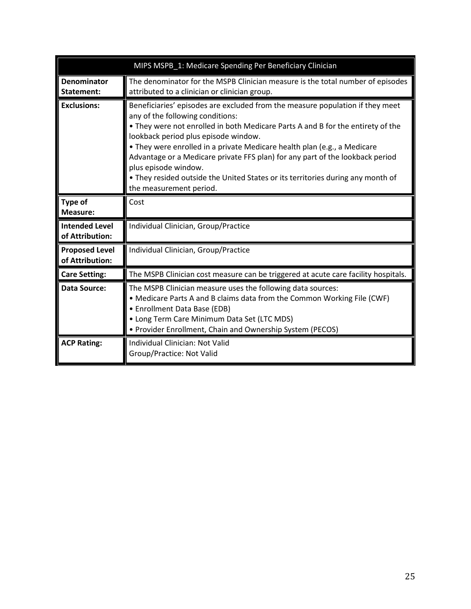|                                          | MIPS MSPB_1: Medicare Spending Per Beneficiary Clinician                                                                                                                                                                                                                                                                                                                                                                                                                                                                                        |  |
|------------------------------------------|-------------------------------------------------------------------------------------------------------------------------------------------------------------------------------------------------------------------------------------------------------------------------------------------------------------------------------------------------------------------------------------------------------------------------------------------------------------------------------------------------------------------------------------------------|--|
| Denominator<br>Statement:                | The denominator for the MSPB Clinician measure is the total number of episodes<br>attributed to a clinician or clinician group.                                                                                                                                                                                                                                                                                                                                                                                                                 |  |
| <b>Exclusions:</b>                       | Beneficiaries' episodes are excluded from the measure population if they meet<br>any of the following conditions:<br>. They were not enrolled in both Medicare Parts A and B for the entirety of the<br>lookback period plus episode window.<br>• They were enrolled in a private Medicare health plan (e.g., a Medicare<br>Advantage or a Medicare private FFS plan) for any part of the lookback period<br>plus episode window.<br>. They resided outside the United States or its territories during any month of<br>the measurement period. |  |
| Type of<br><b>Measure:</b>               | Cost                                                                                                                                                                                                                                                                                                                                                                                                                                                                                                                                            |  |
| <b>Intended Level</b><br>of Attribution: | Individual Clinician, Group/Practice                                                                                                                                                                                                                                                                                                                                                                                                                                                                                                            |  |
| <b>Proposed Level</b><br>of Attribution: | Individual Clinician, Group/Practice                                                                                                                                                                                                                                                                                                                                                                                                                                                                                                            |  |
| <b>Care Setting:</b>                     | The MSPB Clinician cost measure can be triggered at acute care facility hospitals.                                                                                                                                                                                                                                                                                                                                                                                                                                                              |  |
| Data Source:                             | The MSPB Clinician measure uses the following data sources:<br>• Medicare Parts A and B claims data from the Common Working File (CWF)<br>• Enrollment Data Base (EDB)<br>• Long Term Care Minimum Data Set (LTC MDS)<br>• Provider Enrollment, Chain and Ownership System (PECOS)                                                                                                                                                                                                                                                              |  |
| <b>ACP Rating:</b>                       | Individual Clinician: Not Valid<br>Group/Practice: Not Valid                                                                                                                                                                                                                                                                                                                                                                                                                                                                                    |  |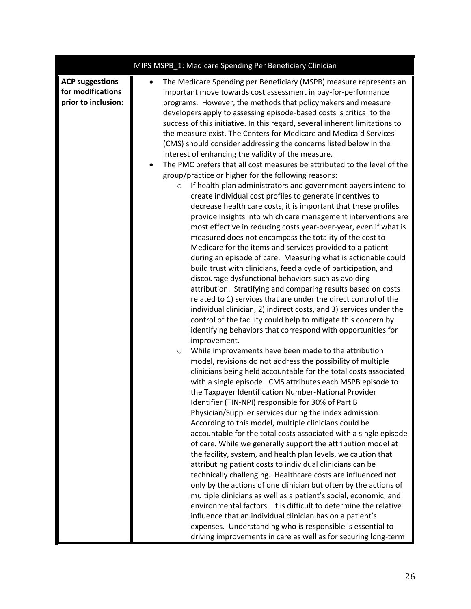|                                                                    | MIPS MSPB_1: Medicare Spending Per Beneficiary Clinician                                                                                                                                                                                                                                                                                                                                                                                                                                                                                                                                                                                                                                                                                                                                                                                                                                                                                                                                                                                                                                                                                                                                                                                                                                                                                                                                                                                                                                                                                                                                                                                                                                                                                                                                                                                                                                                                                                                                                                                                                                                                                                                                                                                                                                                                                                                                                                                                                                                                                                                                                                                                                                                                                                                                                                                                                                                                                                                      |
|--------------------------------------------------------------------|-------------------------------------------------------------------------------------------------------------------------------------------------------------------------------------------------------------------------------------------------------------------------------------------------------------------------------------------------------------------------------------------------------------------------------------------------------------------------------------------------------------------------------------------------------------------------------------------------------------------------------------------------------------------------------------------------------------------------------------------------------------------------------------------------------------------------------------------------------------------------------------------------------------------------------------------------------------------------------------------------------------------------------------------------------------------------------------------------------------------------------------------------------------------------------------------------------------------------------------------------------------------------------------------------------------------------------------------------------------------------------------------------------------------------------------------------------------------------------------------------------------------------------------------------------------------------------------------------------------------------------------------------------------------------------------------------------------------------------------------------------------------------------------------------------------------------------------------------------------------------------------------------------------------------------------------------------------------------------------------------------------------------------------------------------------------------------------------------------------------------------------------------------------------------------------------------------------------------------------------------------------------------------------------------------------------------------------------------------------------------------------------------------------------------------------------------------------------------------------------------------------------------------------------------------------------------------------------------------------------------------------------------------------------------------------------------------------------------------------------------------------------------------------------------------------------------------------------------------------------------------------------------------------------------------------------------------------------------------|
| <b>ACP suggestions</b><br>for modifications<br>prior to inclusion: | The Medicare Spending per Beneficiary (MSPB) measure represents an<br>important move towards cost assessment in pay-for-performance<br>programs. However, the methods that policymakers and measure<br>developers apply to assessing episode-based costs is critical to the<br>success of this initiative. In this regard, several inherent limitations to<br>the measure exist. The Centers for Medicare and Medicaid Services<br>(CMS) should consider addressing the concerns listed below in the<br>interest of enhancing the validity of the measure.<br>The PMC prefers that all cost measures be attributed to the level of the<br>٠<br>group/practice or higher for the following reasons:<br>If health plan administrators and government payers intend to<br>$\circ$<br>create individual cost profiles to generate incentives to<br>decrease health care costs, it is important that these profiles<br>provide insights into which care management interventions are<br>most effective in reducing costs year-over-year, even if what is<br>measured does not encompass the totality of the cost to<br>Medicare for the items and services provided to a patient<br>during an episode of care. Measuring what is actionable could<br>build trust with clinicians, feed a cycle of participation, and<br>discourage dysfunctional behaviors such as avoiding<br>attribution. Stratifying and comparing results based on costs<br>related to 1) services that are under the direct control of the<br>individual clinician, 2) indirect costs, and 3) services under the<br>control of the facility could help to mitigate this concern by<br>identifying behaviors that correspond with opportunities for<br>improvement.<br>While improvements have been made to the attribution<br>O<br>model, revisions do not address the possibility of multiple<br>clinicians being held accountable for the total costs associated<br>with a single episode. CMS attributes each MSPB episode to<br>the Taxpayer Identification Number-National Provider<br>Identifier (TIN-NPI) responsible for 30% of Part B<br>Physician/Supplier services during the index admission.<br>According to this model, multiple clinicians could be<br>accountable for the total costs associated with a single episode<br>of care. While we generally support the attribution model at<br>the facility, system, and health plan levels, we caution that<br>attributing patient costs to individual clinicians can be<br>technically challenging. Healthcare costs are influenced not<br>only by the actions of one clinician but often by the actions of<br>multiple clinicians as well as a patient's social, economic, and<br>environmental factors. It is difficult to determine the relative<br>influence that an individual clinician has on a patient's<br>expenses. Understanding who is responsible is essential to<br>driving improvements in care as well as for securing long-term |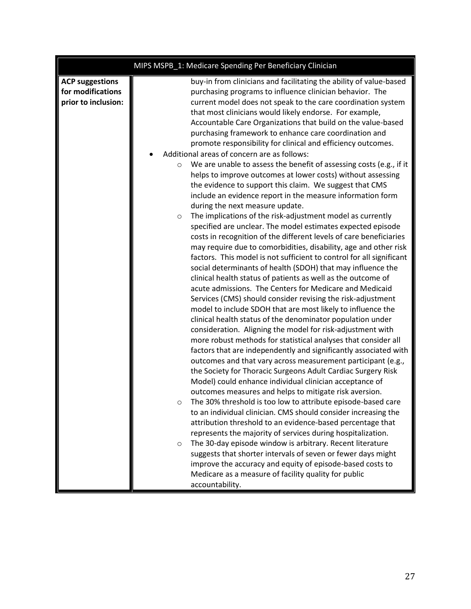|                                                                    | MIPS MSPB_1: Medicare Spending Per Beneficiary Clinician                                                                                                                                                                                                                                                                                                                                                                                                                                                                                                                                                                                                                                                                                                                                                                                                                                                                                                                                                                                                                                                                                                                                                                                                                                                                                                                                                                                                                                                                                                                                                                                                                                                                                                                                                                                                                                                                                                                                                                                                                                                                    |
|--------------------------------------------------------------------|-----------------------------------------------------------------------------------------------------------------------------------------------------------------------------------------------------------------------------------------------------------------------------------------------------------------------------------------------------------------------------------------------------------------------------------------------------------------------------------------------------------------------------------------------------------------------------------------------------------------------------------------------------------------------------------------------------------------------------------------------------------------------------------------------------------------------------------------------------------------------------------------------------------------------------------------------------------------------------------------------------------------------------------------------------------------------------------------------------------------------------------------------------------------------------------------------------------------------------------------------------------------------------------------------------------------------------------------------------------------------------------------------------------------------------------------------------------------------------------------------------------------------------------------------------------------------------------------------------------------------------------------------------------------------------------------------------------------------------------------------------------------------------------------------------------------------------------------------------------------------------------------------------------------------------------------------------------------------------------------------------------------------------------------------------------------------------------------------------------------------------|
| <b>ACP suggestions</b><br>for modifications<br>prior to inclusion: | buy-in from clinicians and facilitating the ability of value-based<br>purchasing programs to influence clinician behavior. The<br>current model does not speak to the care coordination system<br>that most clinicians would likely endorse. For example,<br>Accountable Care Organizations that build on the value-based<br>purchasing framework to enhance care coordination and<br>promote responsibility for clinical and efficiency outcomes.                                                                                                                                                                                                                                                                                                                                                                                                                                                                                                                                                                                                                                                                                                                                                                                                                                                                                                                                                                                                                                                                                                                                                                                                                                                                                                                                                                                                                                                                                                                                                                                                                                                                          |
|                                                                    | Additional areas of concern are as follows:<br>We are unable to assess the benefit of assessing costs (e.g., if it<br>$\circ$<br>helps to improve outcomes at lower costs) without assessing<br>the evidence to support this claim. We suggest that CMS<br>include an evidence report in the measure information form<br>during the next measure update.<br>The implications of the risk-adjustment model as currently<br>$\circ$<br>specified are unclear. The model estimates expected episode<br>costs in recognition of the different levels of care beneficiaries<br>may require due to comorbidities, disability, age and other risk<br>factors. This model is not sufficient to control for all significant<br>social determinants of health (SDOH) that may influence the<br>clinical health status of patients as well as the outcome of<br>acute admissions. The Centers for Medicare and Medicaid<br>Services (CMS) should consider revising the risk-adjustment<br>model to include SDOH that are most likely to influence the<br>clinical health status of the denominator population under<br>consideration. Aligning the model for risk-adjustment with<br>more robust methods for statistical analyses that consider all<br>factors that are independently and significantly associated with<br>outcomes and that vary across measurement participant (e.g.,<br>the Society for Thoracic Surgeons Adult Cardiac Surgery Risk<br>Model) could enhance individual clinician acceptance of<br>outcomes measures and helps to mitigate risk aversion.<br>The 30% threshold is too low to attribute episode-based care<br>$\circ$<br>to an individual clinician. CMS should consider increasing the<br>attribution threshold to an evidence-based percentage that<br>represents the majority of services during hospitalization.<br>The 30-day episode window is arbitrary. Recent literature<br>$\circ$<br>suggests that shorter intervals of seven or fewer days might<br>improve the accuracy and equity of episode-based costs to<br>Medicare as a measure of facility quality for public<br>accountability. |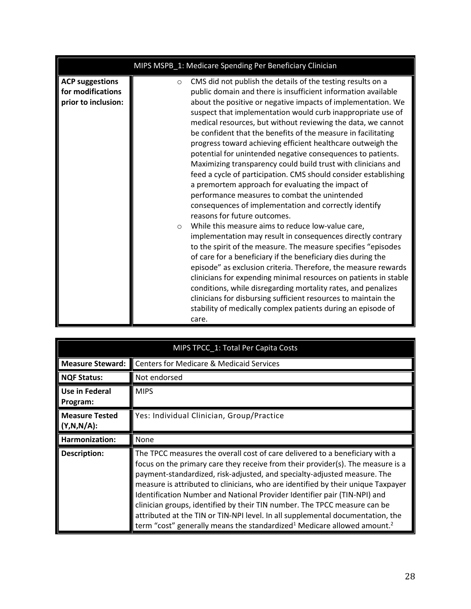|                                                                    | MIPS MSPB_1: Medicare Spending Per Beneficiary Clinician                                                                                                                                                                                                                                                                                                                                                                                                                                                                                                                                                                                                                                                                                                                                                                                                                                                                                 |
|--------------------------------------------------------------------|------------------------------------------------------------------------------------------------------------------------------------------------------------------------------------------------------------------------------------------------------------------------------------------------------------------------------------------------------------------------------------------------------------------------------------------------------------------------------------------------------------------------------------------------------------------------------------------------------------------------------------------------------------------------------------------------------------------------------------------------------------------------------------------------------------------------------------------------------------------------------------------------------------------------------------------|
| <b>ACP suggestions</b><br>for modifications<br>prior to inclusion: | CMS did not publish the details of the testing results on a<br>$\circ$<br>public domain and there is insufficient information available<br>about the positive or negative impacts of implementation. We<br>suspect that implementation would curb inappropriate use of<br>medical resources, but without reviewing the data, we cannot<br>be confident that the benefits of the measure in facilitating<br>progress toward achieving efficient healthcare outweigh the<br>potential for unintended negative consequences to patients.<br>Maximizing transparency could build trust with clinicians and<br>feed a cycle of participation. CMS should consider establishing<br>a premortem approach for evaluating the impact of<br>performance measures to combat the unintended<br>consequences of implementation and correctly identify<br>reasons for future outcomes.<br>While this measure aims to reduce low-value care,<br>$\circ$ |
|                                                                    | implementation may result in consequences directly contrary<br>to the spirit of the measure. The measure specifies "episodes<br>of care for a beneficiary if the beneficiary dies during the<br>episode" as exclusion criteria. Therefore, the measure rewards<br>clinicians for expending minimal resources on patients in stable<br>conditions, while disregarding mortality rates, and penalizes<br>clinicians for disbursing sufficient resources to maintain the<br>stability of medically complex patients during an episode of<br>care.                                                                                                                                                                                                                                                                                                                                                                                           |

<span id="page-27-0"></span>

| MIPS TPCC_1: Total Per Capita Costs |                                                     |
|-------------------------------------|-----------------------------------------------------|
| <b>Measure Steward:</b>             | <b>Centers for Medicare &amp; Medicaid Services</b> |
| <b>NQF Status:</b>                  | Not endorsed                                        |
| Use in Federal<br>Program:          | <b>MIPS</b>                                         |
| <b>Measure Tested</b><br>(Y,N,N/A): | Yes: Individual Clinician, Group/Practice           |
|                                     |                                                     |
| Harmonization:                      | None                                                |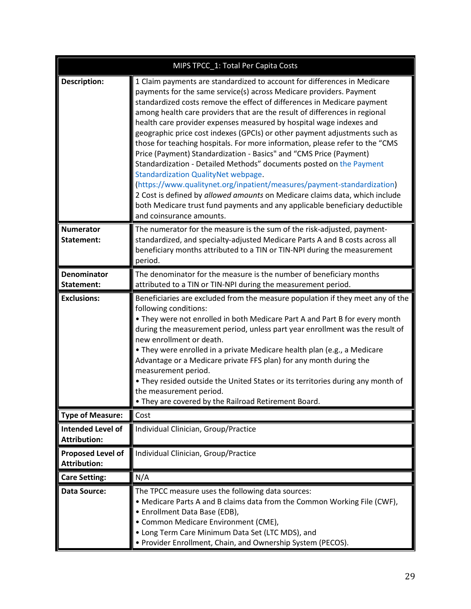|                                                 | MIPS TPCC_1: Total Per Capita Costs                                                                                                                                                                                                                                                                                                                                                                                                                                                                                                                                                                                                                                                                                                                                                                                                                                                                                                                                                                           |
|-------------------------------------------------|---------------------------------------------------------------------------------------------------------------------------------------------------------------------------------------------------------------------------------------------------------------------------------------------------------------------------------------------------------------------------------------------------------------------------------------------------------------------------------------------------------------------------------------------------------------------------------------------------------------------------------------------------------------------------------------------------------------------------------------------------------------------------------------------------------------------------------------------------------------------------------------------------------------------------------------------------------------------------------------------------------------|
| <b>Description:</b>                             | 1 Claim payments are standardized to account for differences in Medicare<br>payments for the same service(s) across Medicare providers. Payment<br>standardized costs remove the effect of differences in Medicare payment<br>among health care providers that are the result of differences in regional<br>health care provider expenses measured by hospital wage indexes and<br>geographic price cost indexes (GPCIs) or other payment adjustments such as<br>those for teaching hospitals. For more information, please refer to the "CMS<br>Price (Payment) Standardization - Basics" and "CMS Price (Payment)<br>Standardization - Detailed Methods" documents posted on the Payment<br><b>Standardization QualityNet webpage.</b><br>(https://www.qualitynet.org/inpatient/measures/payment-standardization)<br>2 Cost is defined by allowed amounts on Medicare claims data, which include<br>both Medicare trust fund payments and any applicable beneficiary deductible<br>and coinsurance amounts. |
| <b>Numerator</b><br>Statement:                  | The numerator for the measure is the sum of the risk-adjusted, payment-<br>standardized, and specialty-adjusted Medicare Parts A and B costs across all<br>beneficiary months attributed to a TIN or TIN-NPI during the measurement<br>period.                                                                                                                                                                                                                                                                                                                                                                                                                                                                                                                                                                                                                                                                                                                                                                |
| <b>Denominator</b><br>Statement:                | The denominator for the measure is the number of beneficiary months<br>attributed to a TIN or TIN-NPI during the measurement period.                                                                                                                                                                                                                                                                                                                                                                                                                                                                                                                                                                                                                                                                                                                                                                                                                                                                          |
| <b>Exclusions:</b>                              | Beneficiaries are excluded from the measure population if they meet any of the<br>following conditions:<br>. They were not enrolled in both Medicare Part A and Part B for every month<br>during the measurement period, unless part year enrollment was the result of<br>new enrollment or death.<br>• They were enrolled in a private Medicare health plan (e.g., a Medicare<br>Advantage or a Medicare private FFS plan) for any month during the<br>measurement period.<br>. They resided outside the United States or its territories during any month of<br>the measurement period.<br>. They are covered by the Railroad Retirement Board.                                                                                                                                                                                                                                                                                                                                                             |
| <b>Type of Measure:</b>                         | Cost                                                                                                                                                                                                                                                                                                                                                                                                                                                                                                                                                                                                                                                                                                                                                                                                                                                                                                                                                                                                          |
| <b>Intended Level of</b><br><b>Attribution:</b> | Individual Clinician, Group/Practice                                                                                                                                                                                                                                                                                                                                                                                                                                                                                                                                                                                                                                                                                                                                                                                                                                                                                                                                                                          |
| <b>Proposed Level of</b><br><b>Attribution:</b> | Individual Clinician, Group/Practice                                                                                                                                                                                                                                                                                                                                                                                                                                                                                                                                                                                                                                                                                                                                                                                                                                                                                                                                                                          |
| <b>Care Setting:</b>                            | N/A                                                                                                                                                                                                                                                                                                                                                                                                                                                                                                                                                                                                                                                                                                                                                                                                                                                                                                                                                                                                           |
| Data Source:                                    | The TPCC measure uses the following data sources:<br>• Medicare Parts A and B claims data from the Common Working File (CWF),<br>• Enrollment Data Base (EDB),<br>• Common Medicare Environment (CME),<br>• Long Term Care Minimum Data Set (LTC MDS), and<br>• Provider Enrollment, Chain, and Ownership System (PECOS).                                                                                                                                                                                                                                                                                                                                                                                                                                                                                                                                                                                                                                                                                     |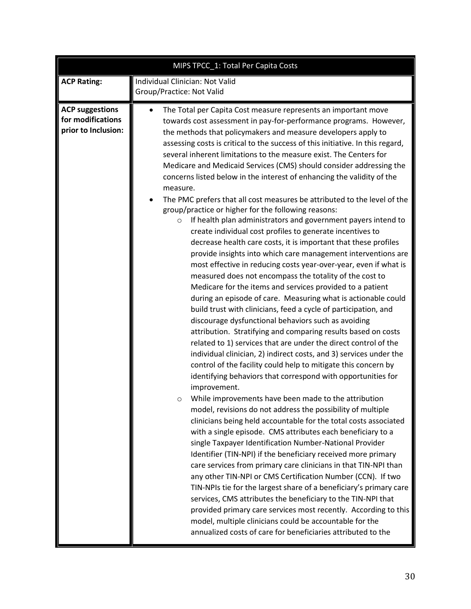|                                                                    | MIPS TPCC_1: Total Per Capita Costs                                                                                                                                                                                                                                                                                                                                                                                                                                                                                                                                                                                                                                                                                                                                                                                                                                                                                                                                                                                                                                                                                                                                                                                                                                                                                                                                                                                                                                                                                                                                                                                                                                                                                                                                                                                                                                                                                                                                                                                                                                                                                                                                                                                                                                                                                                                                                                                                                                                                                                                      |  |
|--------------------------------------------------------------------|----------------------------------------------------------------------------------------------------------------------------------------------------------------------------------------------------------------------------------------------------------------------------------------------------------------------------------------------------------------------------------------------------------------------------------------------------------------------------------------------------------------------------------------------------------------------------------------------------------------------------------------------------------------------------------------------------------------------------------------------------------------------------------------------------------------------------------------------------------------------------------------------------------------------------------------------------------------------------------------------------------------------------------------------------------------------------------------------------------------------------------------------------------------------------------------------------------------------------------------------------------------------------------------------------------------------------------------------------------------------------------------------------------------------------------------------------------------------------------------------------------------------------------------------------------------------------------------------------------------------------------------------------------------------------------------------------------------------------------------------------------------------------------------------------------------------------------------------------------------------------------------------------------------------------------------------------------------------------------------------------------------------------------------------------------------------------------------------------------------------------------------------------------------------------------------------------------------------------------------------------------------------------------------------------------------------------------------------------------------------------------------------------------------------------------------------------------------------------------------------------------------------------------------------------------|--|
| <b>ACP Rating:</b>                                                 | Individual Clinician: Not Valid<br>Group/Practice: Not Valid                                                                                                                                                                                                                                                                                                                                                                                                                                                                                                                                                                                                                                                                                                                                                                                                                                                                                                                                                                                                                                                                                                                                                                                                                                                                                                                                                                                                                                                                                                                                                                                                                                                                                                                                                                                                                                                                                                                                                                                                                                                                                                                                                                                                                                                                                                                                                                                                                                                                                             |  |
| <b>ACP suggestions</b><br>for modifications<br>prior to Inclusion: | The Total per Capita Cost measure represents an important move<br>towards cost assessment in pay-for-performance programs. However,<br>the methods that policymakers and measure developers apply to<br>assessing costs is critical to the success of this initiative. In this regard,<br>several inherent limitations to the measure exist. The Centers for<br>Medicare and Medicaid Services (CMS) should consider addressing the<br>concerns listed below in the interest of enhancing the validity of the<br>measure.<br>The PMC prefers that all cost measures be attributed to the level of the<br>group/practice or higher for the following reasons:<br>If health plan administrators and government payers intend to<br>$\circ$<br>create individual cost profiles to generate incentives to<br>decrease health care costs, it is important that these profiles<br>provide insights into which care management interventions are<br>most effective in reducing costs year-over-year, even if what is<br>measured does not encompass the totality of the cost to<br>Medicare for the items and services provided to a patient<br>during an episode of care. Measuring what is actionable could<br>build trust with clinicians, feed a cycle of participation, and<br>discourage dysfunctional behaviors such as avoiding<br>attribution. Stratifying and comparing results based on costs<br>related to 1) services that are under the direct control of the<br>individual clinician, 2) indirect costs, and 3) services under the<br>control of the facility could help to mitigate this concern by<br>identifying behaviors that correspond with opportunities for<br>improvement.<br>While improvements have been made to the attribution<br>model, revisions do not address the possibility of multiple<br>clinicians being held accountable for the total costs associated<br>with a single episode. CMS attributes each beneficiary to a<br>single Taxpayer Identification Number-National Provider<br>Identifier (TIN-NPI) if the beneficiary received more primary<br>care services from primary care clinicians in that TIN-NPI than<br>any other TIN-NPI or CMS Certification Number (CCN). If two<br>TIN-NPIs tie for the largest share of a beneficiary's primary care<br>services, CMS attributes the beneficiary to the TIN-NPI that<br>provided primary care services most recently. According to this<br>model, multiple clinicians could be accountable for the<br>annualized costs of care for beneficiaries attributed to the |  |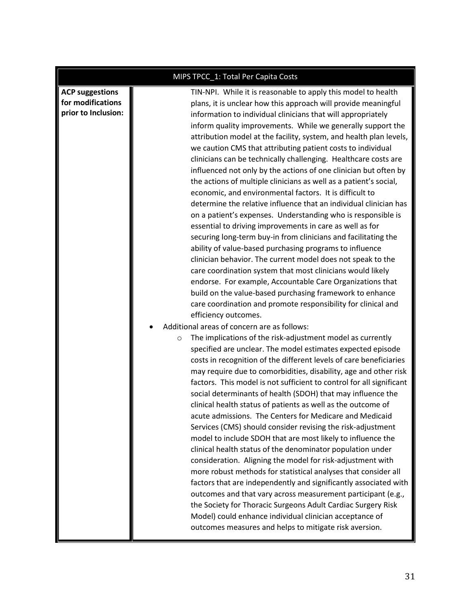|                                                                    | MIPS TPCC_1: Total Per Capita Costs                                                                                                                                                                                                                                                                                                                                                                                                                                                                                                                                                                                                                                                                                                                                                                                                                                                                                                                                                                                                                                                                                                                                                                                                                                                                                                                                                                                                                                                                                                                                                                                                                                                                                                                                                                                                                                                             |
|--------------------------------------------------------------------|-------------------------------------------------------------------------------------------------------------------------------------------------------------------------------------------------------------------------------------------------------------------------------------------------------------------------------------------------------------------------------------------------------------------------------------------------------------------------------------------------------------------------------------------------------------------------------------------------------------------------------------------------------------------------------------------------------------------------------------------------------------------------------------------------------------------------------------------------------------------------------------------------------------------------------------------------------------------------------------------------------------------------------------------------------------------------------------------------------------------------------------------------------------------------------------------------------------------------------------------------------------------------------------------------------------------------------------------------------------------------------------------------------------------------------------------------------------------------------------------------------------------------------------------------------------------------------------------------------------------------------------------------------------------------------------------------------------------------------------------------------------------------------------------------------------------------------------------------------------------------------------------------|
| <b>ACP suggestions</b><br>for modifications<br>prior to Inclusion: | TIN-NPI. While it is reasonable to apply this model to health<br>plans, it is unclear how this approach will provide meaningful<br>information to individual clinicians that will appropriately<br>inform quality improvements. While we generally support the<br>attribution model at the facility, system, and health plan levels,<br>we caution CMS that attributing patient costs to individual<br>clinicians can be technically challenging. Healthcare costs are<br>influenced not only by the actions of one clinician but often by<br>the actions of multiple clinicians as well as a patient's social,<br>economic, and environmental factors. It is difficult to<br>determine the relative influence that an individual clinician has<br>on a patient's expenses. Understanding who is responsible is<br>essential to driving improvements in care as well as for<br>securing long-term buy-in from clinicians and facilitating the<br>ability of value-based purchasing programs to influence<br>clinician behavior. The current model does not speak to the<br>care coordination system that most clinicians would likely<br>endorse. For example, Accountable Care Organizations that<br>build on the value-based purchasing framework to enhance<br>care coordination and promote responsibility for clinical and<br>efficiency outcomes.<br>Additional areas of concern are as follows:<br>The implications of the risk-adjustment model as currently<br>$\circ$<br>specified are unclear. The model estimates expected episode<br>costs in recognition of the different levels of care beneficiaries<br>may require due to comorbidities, disability, age and other risk<br>factors. This model is not sufficient to control for all significant<br>social determinants of health (SDOH) that may influence the<br>clinical health status of patients as well as the outcome of |
|                                                                    | acute admissions. The Centers for Medicare and Medicaid<br>Services (CMS) should consider revising the risk-adjustment<br>model to include SDOH that are most likely to influence the<br>clinical health status of the denominator population under<br>consideration. Aligning the model for risk-adjustment with<br>more robust methods for statistical analyses that consider all<br>factors that are independently and significantly associated with                                                                                                                                                                                                                                                                                                                                                                                                                                                                                                                                                                                                                                                                                                                                                                                                                                                                                                                                                                                                                                                                                                                                                                                                                                                                                                                                                                                                                                         |
|                                                                    | outcomes and that vary across measurement participant (e.g.,<br>the Society for Thoracic Surgeons Adult Cardiac Surgery Risk<br>Model) could enhance individual clinician acceptance of<br>outcomes measures and helps to mitigate risk aversion.                                                                                                                                                                                                                                                                                                                                                                                                                                                                                                                                                                                                                                                                                                                                                                                                                                                                                                                                                                                                                                                                                                                                                                                                                                                                                                                                                                                                                                                                                                                                                                                                                                               |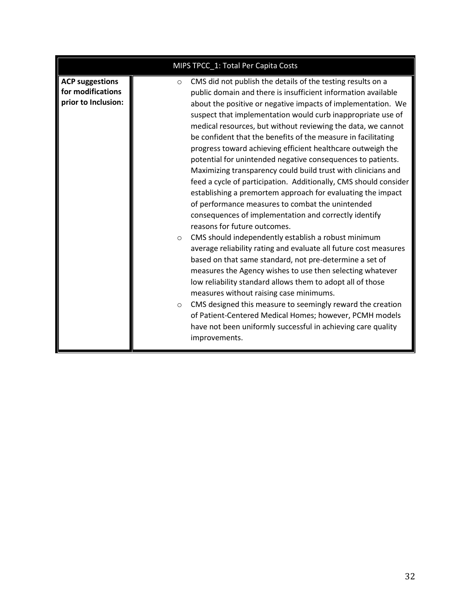| MIPS TPCC_1: Total Per Capita Costs                                |                                                                                                                                                                                                                                                                                                                                                                                                                                                                                                                                                                                                                                                                                                                                                                                                                                                                                                                                                                                                                                                                                                                                                                                                                                                                                                                                                                                                                                                                                    |
|--------------------------------------------------------------------|------------------------------------------------------------------------------------------------------------------------------------------------------------------------------------------------------------------------------------------------------------------------------------------------------------------------------------------------------------------------------------------------------------------------------------------------------------------------------------------------------------------------------------------------------------------------------------------------------------------------------------------------------------------------------------------------------------------------------------------------------------------------------------------------------------------------------------------------------------------------------------------------------------------------------------------------------------------------------------------------------------------------------------------------------------------------------------------------------------------------------------------------------------------------------------------------------------------------------------------------------------------------------------------------------------------------------------------------------------------------------------------------------------------------------------------------------------------------------------|
| <b>ACP suggestions</b><br>for modifications<br>prior to Inclusion: | CMS did not publish the details of the testing results on a<br>$\circ$<br>public domain and there is insufficient information available<br>about the positive or negative impacts of implementation. We<br>suspect that implementation would curb inappropriate use of<br>medical resources, but without reviewing the data, we cannot<br>be confident that the benefits of the measure in facilitating<br>progress toward achieving efficient healthcare outweigh the<br>potential for unintended negative consequences to patients.<br>Maximizing transparency could build trust with clinicians and<br>feed a cycle of participation. Additionally, CMS should consider<br>establishing a premortem approach for evaluating the impact<br>of performance measures to combat the unintended<br>consequences of implementation and correctly identify<br>reasons for future outcomes.<br>CMS should independently establish a robust minimum<br>$\circ$<br>average reliability rating and evaluate all future cost measures<br>based on that same standard, not pre-determine a set of<br>measures the Agency wishes to use then selecting whatever<br>low reliability standard allows them to adopt all of those<br>measures without raising case minimums.<br>CMS designed this measure to seemingly reward the creation<br>$\circ$<br>of Patient-Centered Medical Homes; however, PCMH models<br>have not been uniformly successful in achieving care quality<br>improvements. |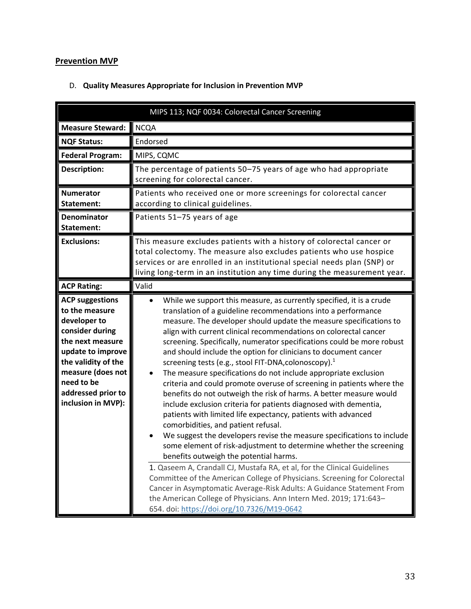### <span id="page-32-0"></span>**Prevention MVP**

<span id="page-32-2"></span>

| MIPS 113; NQF 0034: Colorectal Cancer Screening                                                                                                                                                                            |                                                                                                                                                                                                                                                                                                                                                                                                                                                                                                                                                                                                                                                                                                                                                                                                                                                                                                                                                                                                                                                                                                                                                                                                                                                                |
|----------------------------------------------------------------------------------------------------------------------------------------------------------------------------------------------------------------------------|----------------------------------------------------------------------------------------------------------------------------------------------------------------------------------------------------------------------------------------------------------------------------------------------------------------------------------------------------------------------------------------------------------------------------------------------------------------------------------------------------------------------------------------------------------------------------------------------------------------------------------------------------------------------------------------------------------------------------------------------------------------------------------------------------------------------------------------------------------------------------------------------------------------------------------------------------------------------------------------------------------------------------------------------------------------------------------------------------------------------------------------------------------------------------------------------------------------------------------------------------------------|
| <b>Measure Steward:</b>                                                                                                                                                                                                    | <b>NCQA</b>                                                                                                                                                                                                                                                                                                                                                                                                                                                                                                                                                                                                                                                                                                                                                                                                                                                                                                                                                                                                                                                                                                                                                                                                                                                    |
| <b>NQF Status:</b>                                                                                                                                                                                                         | Endorsed                                                                                                                                                                                                                                                                                                                                                                                                                                                                                                                                                                                                                                                                                                                                                                                                                                                                                                                                                                                                                                                                                                                                                                                                                                                       |
| <b>Federal Program:</b>                                                                                                                                                                                                    | MIPS, CQMC                                                                                                                                                                                                                                                                                                                                                                                                                                                                                                                                                                                                                                                                                                                                                                                                                                                                                                                                                                                                                                                                                                                                                                                                                                                     |
| <b>Description:</b>                                                                                                                                                                                                        | The percentage of patients 50-75 years of age who had appropriate<br>screening for colorectal cancer.                                                                                                                                                                                                                                                                                                                                                                                                                                                                                                                                                                                                                                                                                                                                                                                                                                                                                                                                                                                                                                                                                                                                                          |
| <b>Numerator</b><br>Statement:                                                                                                                                                                                             | Patients who received one or more screenings for colorectal cancer<br>according to clinical guidelines.                                                                                                                                                                                                                                                                                                                                                                                                                                                                                                                                                                                                                                                                                                                                                                                                                                                                                                                                                                                                                                                                                                                                                        |
| <b>Denominator</b><br>Statement:                                                                                                                                                                                           | Patients 51-75 years of age                                                                                                                                                                                                                                                                                                                                                                                                                                                                                                                                                                                                                                                                                                                                                                                                                                                                                                                                                                                                                                                                                                                                                                                                                                    |
| <b>Exclusions:</b>                                                                                                                                                                                                         | This measure excludes patients with a history of colorectal cancer or<br>total colectomy. The measure also excludes patients who use hospice<br>services or are enrolled in an institutional special needs plan (SNP) or<br>living long-term in an institution any time during the measurement year.                                                                                                                                                                                                                                                                                                                                                                                                                                                                                                                                                                                                                                                                                                                                                                                                                                                                                                                                                           |
| <b>ACP Rating:</b>                                                                                                                                                                                                         | Valid                                                                                                                                                                                                                                                                                                                                                                                                                                                                                                                                                                                                                                                                                                                                                                                                                                                                                                                                                                                                                                                                                                                                                                                                                                                          |
| <b>ACP suggestions</b><br>to the measure<br>developer to<br>consider during<br>the next measure<br>update to improve<br>the validity of the<br>measure (does not<br>need to be<br>addressed prior to<br>inclusion in MVP): | While we support this measure, as currently specified, it is a crude<br>$\bullet$<br>translation of a guideline recommendations into a performance<br>measure. The developer should update the measure specifications to<br>align with current clinical recommendations on colorectal cancer<br>screening. Specifically, numerator specifications could be more robust<br>and should include the option for clinicians to document cancer<br>screening tests (e.g., stool FIT-DNA, colonoscopy). <sup>1</sup><br>The measure specifications do not include appropriate exclusion<br>criteria and could promote overuse of screening in patients where the<br>benefits do not outweigh the risk of harms. A better measure would<br>include exclusion criteria for patients diagnosed with dementia,<br>patients with limited life expectancy, patients with advanced<br>comorbidities, and patient refusal.<br>We suggest the developers revise the measure specifications to include<br>some element of risk-adjustment to determine whether the screening<br>benefits outweigh the potential harms.<br>1. Qaseem A, Crandall CJ, Mustafa RA, et al, for the Clinical Guidelines<br>Committee of the American College of Physicians. Screening for Colorectal |
|                                                                                                                                                                                                                            | Cancer in Asymptomatic Average-Risk Adults: A Guidance Statement From<br>the American College of Physicians. Ann Intern Med. 2019; 171:643-<br>654. doi: https://doi.org/10.7326/M19-0642                                                                                                                                                                                                                                                                                                                                                                                                                                                                                                                                                                                                                                                                                                                                                                                                                                                                                                                                                                                                                                                                      |

#### <span id="page-32-1"></span>D. **Quality Measures Appropriate for Inclusion in Prevention MVP**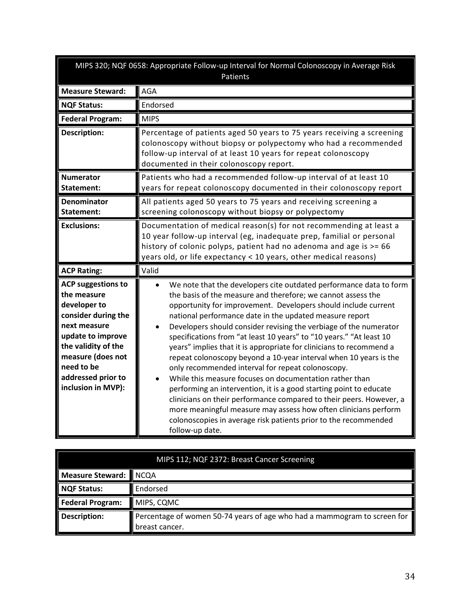<span id="page-33-0"></span>

|                                                                                                                                                                                                                            | MIPS 320; NQF 0658: Appropriate Follow-up Interval for Normal Colonoscopy in Average Risk<br>Patients                                                                                                                                                                                                                                                                                                                                                                                                                                                                                                                                                                                                                                                                                                                                                                                                                                                                         |
|----------------------------------------------------------------------------------------------------------------------------------------------------------------------------------------------------------------------------|-------------------------------------------------------------------------------------------------------------------------------------------------------------------------------------------------------------------------------------------------------------------------------------------------------------------------------------------------------------------------------------------------------------------------------------------------------------------------------------------------------------------------------------------------------------------------------------------------------------------------------------------------------------------------------------------------------------------------------------------------------------------------------------------------------------------------------------------------------------------------------------------------------------------------------------------------------------------------------|
| <b>Measure Steward:</b>                                                                                                                                                                                                    | <b>AGA</b>                                                                                                                                                                                                                                                                                                                                                                                                                                                                                                                                                                                                                                                                                                                                                                                                                                                                                                                                                                    |
| <b>NQF Status:</b>                                                                                                                                                                                                         | Endorsed                                                                                                                                                                                                                                                                                                                                                                                                                                                                                                                                                                                                                                                                                                                                                                                                                                                                                                                                                                      |
| <b>Federal Program:</b>                                                                                                                                                                                                    | <b>MIPS</b>                                                                                                                                                                                                                                                                                                                                                                                                                                                                                                                                                                                                                                                                                                                                                                                                                                                                                                                                                                   |
| <b>Description:</b>                                                                                                                                                                                                        | Percentage of patients aged 50 years to 75 years receiving a screening<br>colonoscopy without biopsy or polypectomy who had a recommended<br>follow-up interval of at least 10 years for repeat colonoscopy<br>documented in their colonoscopy report.                                                                                                                                                                                                                                                                                                                                                                                                                                                                                                                                                                                                                                                                                                                        |
| <b>Numerator</b><br>Statement:                                                                                                                                                                                             | Patients who had a recommended follow-up interval of at least 10<br>years for repeat colonoscopy documented in their colonoscopy report                                                                                                                                                                                                                                                                                                                                                                                                                                                                                                                                                                                                                                                                                                                                                                                                                                       |
| <b>Denominator</b><br><b>Statement:</b>                                                                                                                                                                                    | All patients aged 50 years to 75 years and receiving screening a<br>screening colonoscopy without biopsy or polypectomy                                                                                                                                                                                                                                                                                                                                                                                                                                                                                                                                                                                                                                                                                                                                                                                                                                                       |
| <b>Exclusions:</b>                                                                                                                                                                                                         | Documentation of medical reason(s) for not recommending at least a<br>10 year follow-up interval (eg, inadequate prep, familial or personal<br>history of colonic polyps, patient had no adenoma and age is >= 66<br>years old, or life expectancy < 10 years, other medical reasons)                                                                                                                                                                                                                                                                                                                                                                                                                                                                                                                                                                                                                                                                                         |
| <b>ACP Rating:</b>                                                                                                                                                                                                         | Valid                                                                                                                                                                                                                                                                                                                                                                                                                                                                                                                                                                                                                                                                                                                                                                                                                                                                                                                                                                         |
| <b>ACP suggestions to</b><br>the measure<br>developer to<br>consider during the<br>next measure<br>update to improve<br>the validity of the<br>measure (does not<br>need to be<br>addressed prior to<br>inclusion in MVP): | We note that the developers cite outdated performance data to form<br>the basis of the measure and therefore; we cannot assess the<br>opportunity for improvement. Developers should include current<br>national performance date in the updated measure report<br>Developers should consider revising the verbiage of the numerator<br>specifications from "at least 10 years" to "10 years." "At least 10<br>years" implies that it is appropriate for clinicians to recommend a<br>repeat colonoscopy beyond a 10-year interval when 10 years is the<br>only recommended interval for repeat colonoscopy.<br>While this measure focuses on documentation rather than<br>performing an intervention, it is a good starting point to educate<br>clinicians on their performance compared to their peers. However, a<br>more meaningful measure may assess how often clinicians perform<br>colonoscopies in average risk patients prior to the recommended<br>follow-up date. |

<span id="page-33-1"></span>

| MIPS 112; NQF 2372: Breast Cancer Screening |                                                                                            |
|---------------------------------------------|--------------------------------------------------------------------------------------------|
| Measure Steward:                            | <b>NCQA</b>                                                                                |
| NQF Status:                                 | Endorsed                                                                                   |
| <b>Federal Program:</b>                     | MIPS, CQMC                                                                                 |
| <b>Description:</b>                         | Percentage of women 50-74 years of age who had a mammogram to screen for<br>breast cancer. |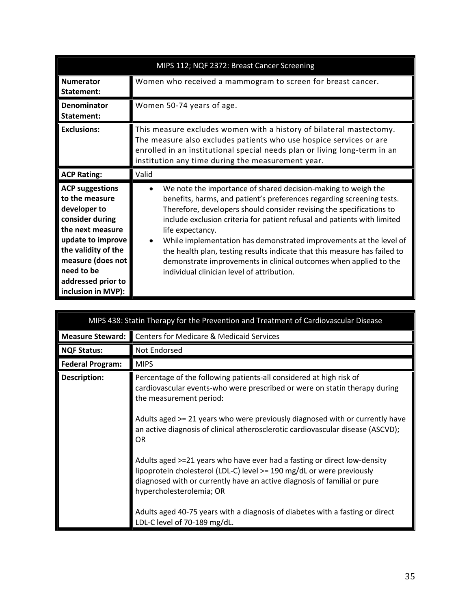| MIPS 112; NQF 2372: Breast Cancer Screening                                                                                                                                                                                |                                                                                                                                                                                                                                                                                                                                                                                                                                                                                                                                                                                      |
|----------------------------------------------------------------------------------------------------------------------------------------------------------------------------------------------------------------------------|--------------------------------------------------------------------------------------------------------------------------------------------------------------------------------------------------------------------------------------------------------------------------------------------------------------------------------------------------------------------------------------------------------------------------------------------------------------------------------------------------------------------------------------------------------------------------------------|
| <b>Numerator</b><br>Statement:                                                                                                                                                                                             | Women who received a mammogram to screen for breast cancer.                                                                                                                                                                                                                                                                                                                                                                                                                                                                                                                          |
| <b>Denominator</b><br>Statement:                                                                                                                                                                                           | Women 50-74 years of age.                                                                                                                                                                                                                                                                                                                                                                                                                                                                                                                                                            |
| <b>Exclusions:</b>                                                                                                                                                                                                         | This measure excludes women with a history of bilateral mastectomy.<br>The measure also excludes patients who use hospice services or are<br>enrolled in an institutional special needs plan or living long-term in an<br>institution any time during the measurement year.                                                                                                                                                                                                                                                                                                          |
| <b>ACP Rating:</b>                                                                                                                                                                                                         | Valid                                                                                                                                                                                                                                                                                                                                                                                                                                                                                                                                                                                |
| <b>ACP suggestions</b><br>to the measure<br>developer to<br>consider during<br>the next measure<br>update to improve<br>the validity of the<br>measure (does not<br>need to be<br>addressed prior to<br>inclusion in MVP): | We note the importance of shared decision-making to weigh the<br>benefits, harms, and patient's preferences regarding screening tests.<br>Therefore, developers should consider revising the specifications to<br>include exclusion criteria for patient refusal and patients with limited<br>life expectancy.<br>While implementation has demonstrated improvements at the level of<br>the health plan, testing results indicate that this measure has failed to<br>demonstrate improvements in clinical outcomes when applied to the<br>individual clinician level of attribution. |

<span id="page-34-0"></span>

| MIPS 438: Statin Therapy for the Prevention and Treatment of Cardiovascular Disease |                                                                                                                                                                                                                                                                                                                                                                                                                                                                                                                                                                                        |
|-------------------------------------------------------------------------------------|----------------------------------------------------------------------------------------------------------------------------------------------------------------------------------------------------------------------------------------------------------------------------------------------------------------------------------------------------------------------------------------------------------------------------------------------------------------------------------------------------------------------------------------------------------------------------------------|
| Measure Steward:                                                                    | <b>Centers for Medicare &amp; Medicaid Services</b>                                                                                                                                                                                                                                                                                                                                                                                                                                                                                                                                    |
| <b>NQF Status:</b>                                                                  | Not Endorsed                                                                                                                                                                                                                                                                                                                                                                                                                                                                                                                                                                           |
| <b>Federal Program:</b>                                                             | <b>MIPS</b>                                                                                                                                                                                                                                                                                                                                                                                                                                                                                                                                                                            |
| Description:                                                                        | Percentage of the following patients-all considered at high risk of<br>cardiovascular events-who were prescribed or were on statin therapy during<br>the measurement period:<br>Adults aged >= 21 years who were previously diagnosed with or currently have<br>an active diagnosis of clinical atherosclerotic cardiovascular disease (ASCVD);<br>OR<br>Adults aged >=21 years who have ever had a fasting or direct low-density<br>lipoprotein cholesterol (LDL-C) level >= 190 mg/dL or were previously<br>diagnosed with or currently have an active diagnosis of familial or pure |
|                                                                                     | hypercholesterolemia; OR<br>Adults aged 40-75 years with a diagnosis of diabetes with a fasting or direct<br>LDL-C level of 70-189 mg/dL.                                                                                                                                                                                                                                                                                                                                                                                                                                              |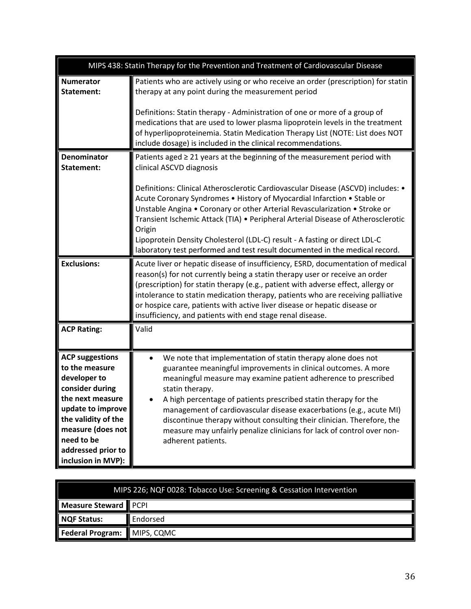|                                                                                                                                                                                                                            | MIPS 438: Statin Therapy for the Prevention and Treatment of Cardiovascular Disease                                                                                                                                                                                                                                                                                                                                                                                                                                                                                                                               |  |
|----------------------------------------------------------------------------------------------------------------------------------------------------------------------------------------------------------------------------|-------------------------------------------------------------------------------------------------------------------------------------------------------------------------------------------------------------------------------------------------------------------------------------------------------------------------------------------------------------------------------------------------------------------------------------------------------------------------------------------------------------------------------------------------------------------------------------------------------------------|--|
| <b>Numerator</b><br>Statement:                                                                                                                                                                                             | Patients who are actively using or who receive an order (prescription) for statin<br>therapy at any point during the measurement period<br>Definitions: Statin therapy - Administration of one or more of a group of<br>medications that are used to lower plasma lipoprotein levels in the treatment<br>of hyperlipoproteinemia. Statin Medication Therapy List (NOTE: List does NOT<br>include dosage) is included in the clinical recommendations.                                                                                                                                                             |  |
| <b>Denominator</b><br>Statement:                                                                                                                                                                                           | Patients aged $\geq$ 21 years at the beginning of the measurement period with<br>clinical ASCVD diagnosis<br>Definitions: Clinical Atherosclerotic Cardiovascular Disease (ASCVD) includes: •<br>Acute Coronary Syndromes . History of Myocardial Infarction . Stable or<br>Unstable Angina • Coronary or other Arterial Revascularization • Stroke or<br>Transient Ischemic Attack (TIA) • Peripheral Arterial Disease of Atherosclerotic<br>Origin<br>Lipoprotein Density Cholesterol (LDL-C) result - A fasting or direct LDL-C<br>laboratory test performed and test result documented in the medical record. |  |
| <b>Exclusions:</b>                                                                                                                                                                                                         | Acute liver or hepatic disease of insufficiency, ESRD, documentation of medical<br>reason(s) for not currently being a statin therapy user or receive an order<br>(prescription) for statin therapy (e.g., patient with adverse effect, allergy or<br>intolerance to statin medication therapy, patients who are receiving palliative<br>or hospice care, patients with active liver disease or hepatic disease or<br>insufficiency, and patients with end stage renal disease.                                                                                                                                   |  |
| <b>ACP Rating:</b>                                                                                                                                                                                                         | Valid                                                                                                                                                                                                                                                                                                                                                                                                                                                                                                                                                                                                             |  |
| <b>ACP suggestions</b><br>to the measure<br>developer to<br>consider during<br>the next measure<br>update to improve<br>the validity of the<br>measure (does not<br>need to be<br>addressed prior to<br>inclusion in MVP): | We note that implementation of statin therapy alone does not<br>$\bullet$<br>guarantee meaningful improvements in clinical outcomes. A more<br>meaningful measure may examine patient adherence to prescribed<br>statin therapy.<br>A high percentage of patients prescribed statin therapy for the<br>management of cardiovascular disease exacerbations (e.g., acute MI)<br>discontinue therapy without consulting their clinician. Therefore, the<br>measure may unfairly penalize clinicians for lack of control over non-<br>adherent patients.                                                              |  |

<span id="page-35-0"></span>

| MIPS 226; NQF 0028: Tobacco Use: Screening & Cessation Intervention |          |
|---------------------------------------------------------------------|----------|
| Measure Steward PCPI                                                |          |
| NQF Status:                                                         | Endorsed |
| Federal Program: MIPS, CQMC                                         |          |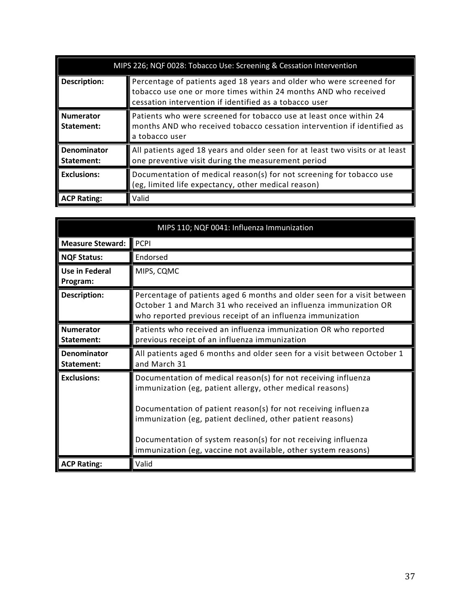|                                | MIPS 226; NQF 0028: Tobacco Use: Screening & Cessation Intervention                                                                                                                               |  |
|--------------------------------|---------------------------------------------------------------------------------------------------------------------------------------------------------------------------------------------------|--|
| <b>Description:</b>            | Percentage of patients aged 18 years and older who were screened for<br>tobacco use one or more times within 24 months AND who received<br>cessation intervention if identified as a tobacco user |  |
| <b>Numerator</b><br>Statement: | Patients who were screened for tobacco use at least once within 24<br>months AND who received tobacco cessation intervention if identified as<br>a tobacco user                                   |  |
| Denominator<br>Statement:      | All patients aged 18 years and older seen for at least two visits or at least<br>one preventive visit during the measurement period                                                               |  |
| <b>Exclusions:</b>             | Documentation of medical reason(s) for not screening for tobacco use<br>(eg, limited life expectancy, other medical reason)                                                                       |  |
| <b>ACP Rating:</b>             | Valid                                                                                                                                                                                             |  |

<span id="page-36-0"></span>

| MIPS 110; NQF 0041: Influenza Immunization |                                                                                                                                                                                                                                                                 |
|--------------------------------------------|-----------------------------------------------------------------------------------------------------------------------------------------------------------------------------------------------------------------------------------------------------------------|
| <b>Measure Steward:</b>                    | <b>PCPI</b>                                                                                                                                                                                                                                                     |
| <b>NQF Status:</b>                         | Endorsed                                                                                                                                                                                                                                                        |
| <b>Use in Federal</b><br>Program:          | MIPS, CQMC                                                                                                                                                                                                                                                      |
| <b>Description:</b>                        | Percentage of patients aged 6 months and older seen for a visit between<br>October 1 and March 31 who received an influenza immunization OR<br>who reported previous receipt of an influenza immunization                                                       |
| <b>Numerator</b><br>Statement:             | Patients who received an influenza immunization OR who reported<br>previous receipt of an influenza immunization                                                                                                                                                |
| Denominator<br>Statement:                  | All patients aged 6 months and older seen for a visit between October 1<br>and March 31                                                                                                                                                                         |
| <b>Exclusions:</b>                         | Documentation of medical reason(s) for not receiving influenza<br>immunization (eg, patient allergy, other medical reasons)                                                                                                                                     |
|                                            | Documentation of patient reason(s) for not receiving influenza<br>immunization (eg, patient declined, other patient reasons)<br>Documentation of system reason(s) for not receiving influenza<br>immunization (eg, vaccine not available, other system reasons) |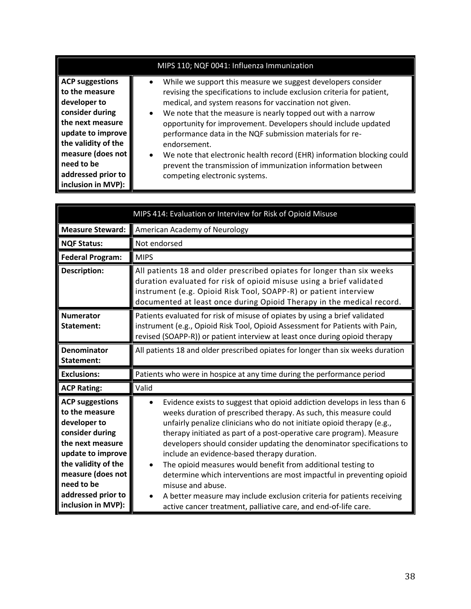| MIPS 110; NQF 0041: Influenza Immunization                                                                                                                                                                                 |                                                                                                                                                                                                                                                                                                                                                                                                                                                                                                                                                                                                                                 |
|----------------------------------------------------------------------------------------------------------------------------------------------------------------------------------------------------------------------------|---------------------------------------------------------------------------------------------------------------------------------------------------------------------------------------------------------------------------------------------------------------------------------------------------------------------------------------------------------------------------------------------------------------------------------------------------------------------------------------------------------------------------------------------------------------------------------------------------------------------------------|
| <b>ACP suggestions</b><br>to the measure<br>developer to<br>consider during<br>the next measure<br>update to improve<br>the validity of the<br>measure (does not<br>need to be<br>addressed prior to<br>inclusion in MVP): | While we support this measure we suggest developers consider<br>$\bullet$<br>revising the specifications to include exclusion criteria for patient,<br>medical, and system reasons for vaccination not given.<br>We note that the measure is nearly topped out with a narrow<br>$\bullet$<br>opportunity for improvement. Developers should include updated<br>performance data in the NQF submission materials for re-<br>endorsement.<br>We note that electronic health record (EHR) information blocking could<br>$\bullet$<br>prevent the transmission of immunization information between<br>competing electronic systems. |

<span id="page-37-0"></span>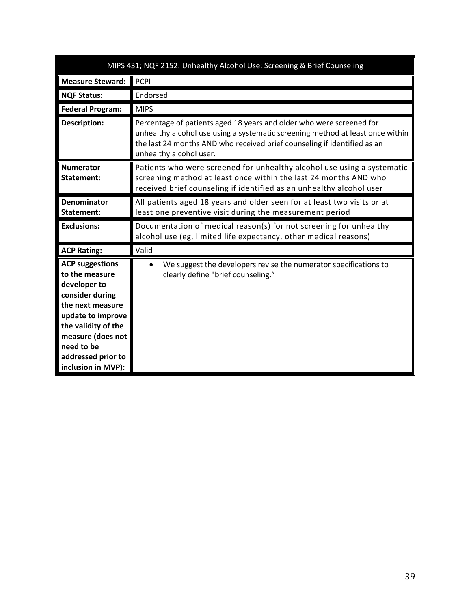<span id="page-38-0"></span>

| MIPS 431; NQF 2152: Unhealthy Alcohol Use: Screening & Brief Counseling                                                                                                                                                    |                                                                                                                                                                                                                                                               |
|----------------------------------------------------------------------------------------------------------------------------------------------------------------------------------------------------------------------------|---------------------------------------------------------------------------------------------------------------------------------------------------------------------------------------------------------------------------------------------------------------|
| <b>Measure Steward:</b>                                                                                                                                                                                                    | <b>PCPI</b>                                                                                                                                                                                                                                                   |
| <b>NQF Status:</b>                                                                                                                                                                                                         | Endorsed                                                                                                                                                                                                                                                      |
| <b>Federal Program:</b>                                                                                                                                                                                                    | <b>MIPS</b>                                                                                                                                                                                                                                                   |
| <b>Description:</b>                                                                                                                                                                                                        | Percentage of patients aged 18 years and older who were screened for<br>unhealthy alcohol use using a systematic screening method at least once within<br>the last 24 months AND who received brief counseling if identified as an<br>unhealthy alcohol user. |
| <b>Numerator</b><br>Statement:                                                                                                                                                                                             | Patients who were screened for unhealthy alcohol use using a systematic<br>screening method at least once within the last 24 months AND who<br>received brief counseling if identified as an unhealthy alcohol user                                           |
| <b>Denominator</b><br>Statement:                                                                                                                                                                                           | All patients aged 18 years and older seen for at least two visits or at<br>least one preventive visit during the measurement period                                                                                                                           |
| <b>Exclusions:</b>                                                                                                                                                                                                         | Documentation of medical reason(s) for not screening for unhealthy<br>alcohol use (eg, limited life expectancy, other medical reasons)                                                                                                                        |
| <b>ACP Rating:</b>                                                                                                                                                                                                         | Valid                                                                                                                                                                                                                                                         |
| <b>ACP suggestions</b><br>to the measure<br>developer to<br>consider during<br>the next measure<br>update to improve<br>the validity of the<br>measure (does not<br>need to be<br>addressed prior to<br>inclusion in MVP): | We suggest the developers revise the numerator specifications to<br>clearly define "brief counseling."                                                                                                                                                        |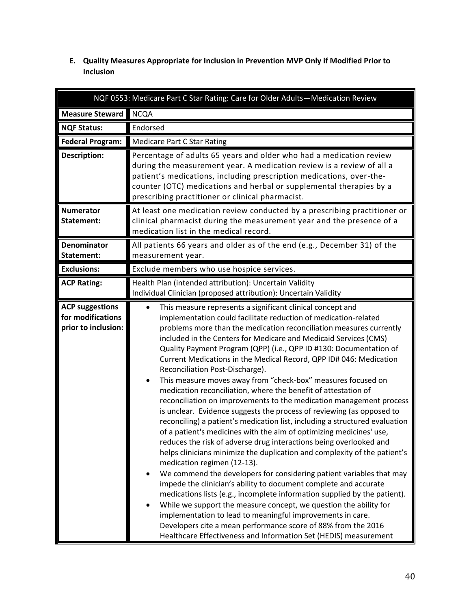<span id="page-39-0"></span>**E. Quality Measures Appropriate for Inclusion in Prevention MVP Only if Modified Prior to Inclusion**

<span id="page-39-1"></span>

| NQF 0553: Medicare Part C Star Rating: Care for Older Adults-Medication Review |                                                                                                                                                                                                                                                                                                                                                                                                                                                                                                                                                                                                                                                                                                                                                                                                                                                                                                                                                                                                                                                                                                                                                                                                                                                                                                                                                                                                                                                                                                                                                                                                                           |
|--------------------------------------------------------------------------------|---------------------------------------------------------------------------------------------------------------------------------------------------------------------------------------------------------------------------------------------------------------------------------------------------------------------------------------------------------------------------------------------------------------------------------------------------------------------------------------------------------------------------------------------------------------------------------------------------------------------------------------------------------------------------------------------------------------------------------------------------------------------------------------------------------------------------------------------------------------------------------------------------------------------------------------------------------------------------------------------------------------------------------------------------------------------------------------------------------------------------------------------------------------------------------------------------------------------------------------------------------------------------------------------------------------------------------------------------------------------------------------------------------------------------------------------------------------------------------------------------------------------------------------------------------------------------------------------------------------------------|
| <b>Measure Steward</b>                                                         | <b>NCQA</b>                                                                                                                                                                                                                                                                                                                                                                                                                                                                                                                                                                                                                                                                                                                                                                                                                                                                                                                                                                                                                                                                                                                                                                                                                                                                                                                                                                                                                                                                                                                                                                                                               |
| <b>NQF Status:</b>                                                             | Endorsed                                                                                                                                                                                                                                                                                                                                                                                                                                                                                                                                                                                                                                                                                                                                                                                                                                                                                                                                                                                                                                                                                                                                                                                                                                                                                                                                                                                                                                                                                                                                                                                                                  |
| <b>Federal Program:</b>                                                        | <b>Medicare Part C Star Rating</b>                                                                                                                                                                                                                                                                                                                                                                                                                                                                                                                                                                                                                                                                                                                                                                                                                                                                                                                                                                                                                                                                                                                                                                                                                                                                                                                                                                                                                                                                                                                                                                                        |
| <b>Description:</b>                                                            | Percentage of adults 65 years and older who had a medication review<br>during the measurement year. A medication review is a review of all a<br>patient's medications, including prescription medications, over-the-<br>counter (OTC) medications and herbal or supplemental therapies by a<br>prescribing practitioner or clinical pharmacist.                                                                                                                                                                                                                                                                                                                                                                                                                                                                                                                                                                                                                                                                                                                                                                                                                                                                                                                                                                                                                                                                                                                                                                                                                                                                           |
| <b>Numerator</b><br>Statement:                                                 | At least one medication review conducted by a prescribing practitioner or<br>clinical pharmacist during the measurement year and the presence of a<br>medication list in the medical record.                                                                                                                                                                                                                                                                                                                                                                                                                                                                                                                                                                                                                                                                                                                                                                                                                                                                                                                                                                                                                                                                                                                                                                                                                                                                                                                                                                                                                              |
| <b>Denominator</b><br>Statement:                                               | All patients 66 years and older as of the end (e.g., December 31) of the<br>measurement year.                                                                                                                                                                                                                                                                                                                                                                                                                                                                                                                                                                                                                                                                                                                                                                                                                                                                                                                                                                                                                                                                                                                                                                                                                                                                                                                                                                                                                                                                                                                             |
| <b>Exclusions:</b>                                                             | Exclude members who use hospice services.                                                                                                                                                                                                                                                                                                                                                                                                                                                                                                                                                                                                                                                                                                                                                                                                                                                                                                                                                                                                                                                                                                                                                                                                                                                                                                                                                                                                                                                                                                                                                                                 |
| <b>ACP Rating:</b>                                                             | Health Plan (intended attribution): Uncertain Validity<br>Individual Clinician (proposed attribution): Uncertain Validity                                                                                                                                                                                                                                                                                                                                                                                                                                                                                                                                                                                                                                                                                                                                                                                                                                                                                                                                                                                                                                                                                                                                                                                                                                                                                                                                                                                                                                                                                                 |
| <b>ACP suggestions</b><br>for modifications<br>prior to inclusion:             | This measure represents a significant clinical concept and<br>$\bullet$<br>implementation could facilitate reduction of medication-related<br>problems more than the medication reconciliation measures currently<br>included in the Centers for Medicare and Medicaid Services (CMS)<br>Quality Payment Program (QPP) (i.e., QPP ID #130: Documentation of<br>Current Medications in the Medical Record, QPP ID# 046: Medication<br>Reconciliation Post-Discharge).<br>This measure moves away from "check-box" measures focused on<br>$\bullet$<br>medication reconciliation, where the benefit of attestation of<br>reconciliation on improvements to the medication management process<br>is unclear. Evidence suggests the process of reviewing (as opposed to<br>reconciling) a patient's medication list, including a structured evaluation<br>of a patient's medicines with the aim of optimizing medicines' use,<br>reduces the risk of adverse drug interactions being overlooked and<br>helps clinicians minimize the duplication and complexity of the patient's<br>medication regimen (12-13).<br>We commend the developers for considering patient variables that may<br>$\bullet$<br>impede the clinician's ability to document complete and accurate<br>medications lists (e.g., incomplete information supplied by the patient).<br>While we support the measure concept, we question the ability for<br>implementation to lead to meaningful improvements in care.<br>Developers cite a mean performance score of 88% from the 2016<br>Healthcare Effectiveness and Information Set (HEDIS) measurement |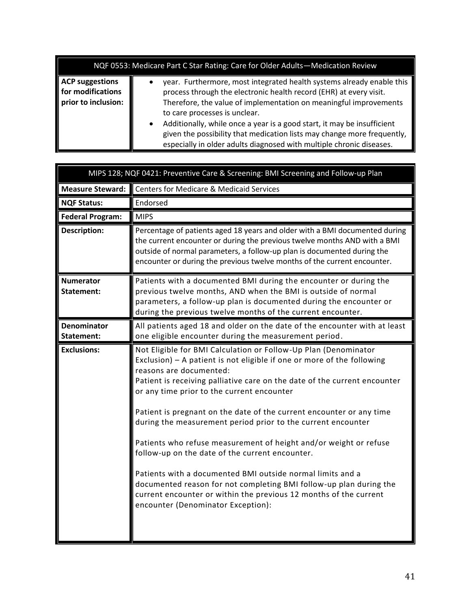| NQF 0553: Medicare Part C Star Rating: Care for Older Adults-Medication Review |           |                                                                                                                                                                                                                                                                                                                                                                                                                                                                                 |
|--------------------------------------------------------------------------------|-----------|---------------------------------------------------------------------------------------------------------------------------------------------------------------------------------------------------------------------------------------------------------------------------------------------------------------------------------------------------------------------------------------------------------------------------------------------------------------------------------|
| <b>ACP suggestions</b><br>for modifications<br>prior to inclusion:             | $\bullet$ | year. Furthermore, most integrated health systems already enable this<br>process through the electronic health record (EHR) at every visit.<br>Therefore, the value of implementation on meaningful improvements<br>to care processes is unclear.<br>Additionally, while once a year is a good start, it may be insufficient<br>given the possibility that medication lists may change more frequently,<br>especially in older adults diagnosed with multiple chronic diseases. |

<span id="page-40-0"></span>

|                                  | MIPS 128; NQF 0421: Preventive Care & Screening: BMI Screening and Follow-up Plan                                                                                                                                                                                                                                                                                                                                                                                                                                                                                                                                                                                                                                                                                                                              |
|----------------------------------|----------------------------------------------------------------------------------------------------------------------------------------------------------------------------------------------------------------------------------------------------------------------------------------------------------------------------------------------------------------------------------------------------------------------------------------------------------------------------------------------------------------------------------------------------------------------------------------------------------------------------------------------------------------------------------------------------------------------------------------------------------------------------------------------------------------|
| <b>Measure Steward:</b>          | <b>Centers for Medicare &amp; Medicaid Services</b>                                                                                                                                                                                                                                                                                                                                                                                                                                                                                                                                                                                                                                                                                                                                                            |
| <b>NQF Status:</b>               | Endorsed                                                                                                                                                                                                                                                                                                                                                                                                                                                                                                                                                                                                                                                                                                                                                                                                       |
| <b>Federal Program:</b>          | <b>MIPS</b>                                                                                                                                                                                                                                                                                                                                                                                                                                                                                                                                                                                                                                                                                                                                                                                                    |
| <b>Description:</b>              | Percentage of patients aged 18 years and older with a BMI documented during<br>the current encounter or during the previous twelve months AND with a BMI<br>outside of normal parameters, a follow-up plan is documented during the<br>encounter or during the previous twelve months of the current encounter.                                                                                                                                                                                                                                                                                                                                                                                                                                                                                                |
| <b>Numerator</b><br>Statement:   | Patients with a documented BMI during the encounter or during the<br>previous twelve months, AND when the BMI is outside of normal<br>parameters, a follow-up plan is documented during the encounter or<br>during the previous twelve months of the current encounter.                                                                                                                                                                                                                                                                                                                                                                                                                                                                                                                                        |
| <b>Denominator</b><br>Statement: | All patients aged 18 and older on the date of the encounter with at least<br>one eligible encounter during the measurement period.                                                                                                                                                                                                                                                                                                                                                                                                                                                                                                                                                                                                                                                                             |
| <b>Exclusions:</b>               | Not Eligible for BMI Calculation or Follow-Up Plan (Denominator<br>Exclusion) - A patient is not eligible if one or more of the following<br>reasons are documented:<br>Patient is receiving palliative care on the date of the current encounter<br>or any time prior to the current encounter<br>Patient is pregnant on the date of the current encounter or any time<br>during the measurement period prior to the current encounter<br>Patients who refuse measurement of height and/or weight or refuse<br>follow-up on the date of the current encounter.<br>Patients with a documented BMI outside normal limits and a<br>documented reason for not completing BMI follow-up plan during the<br>current encounter or within the previous 12 months of the current<br>encounter (Denominator Exception): |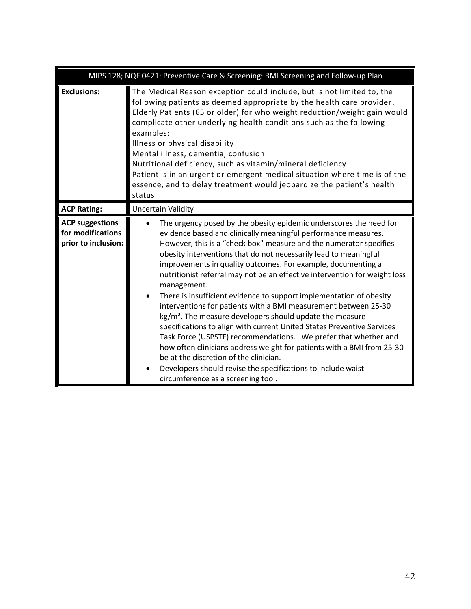|                                                                    | MIPS 128; NQF 0421: Preventive Care & Screening: BMI Screening and Follow-up Plan                                                                                                                                                                                                                                                                                                                                                                                                                                                                                                                                                                                                                                                                                                                                                                                                                                                                                                                                                  |
|--------------------------------------------------------------------|------------------------------------------------------------------------------------------------------------------------------------------------------------------------------------------------------------------------------------------------------------------------------------------------------------------------------------------------------------------------------------------------------------------------------------------------------------------------------------------------------------------------------------------------------------------------------------------------------------------------------------------------------------------------------------------------------------------------------------------------------------------------------------------------------------------------------------------------------------------------------------------------------------------------------------------------------------------------------------------------------------------------------------|
| <b>Exclusions:</b>                                                 | The Medical Reason exception could include, but is not limited to, the<br>following patients as deemed appropriate by the health care provider.<br>Elderly Patients (65 or older) for who weight reduction/weight gain would<br>complicate other underlying health conditions such as the following<br>examples:<br>Illness or physical disability<br>Mental illness, dementia, confusion<br>Nutritional deficiency, such as vitamin/mineral deficiency<br>Patient is in an urgent or emergent medical situation where time is of the<br>essence, and to delay treatment would jeopardize the patient's health<br>status                                                                                                                                                                                                                                                                                                                                                                                                           |
| <b>ACP Rating:</b>                                                 | <b>Uncertain Validity</b>                                                                                                                                                                                                                                                                                                                                                                                                                                                                                                                                                                                                                                                                                                                                                                                                                                                                                                                                                                                                          |
| <b>ACP suggestions</b><br>for modifications<br>prior to inclusion: | The urgency posed by the obesity epidemic underscores the need for<br>evidence based and clinically meaningful performance measures.<br>However, this is a "check box" measure and the numerator specifies<br>obesity interventions that do not necessarily lead to meaningful<br>improvements in quality outcomes. For example, documenting a<br>nutritionist referral may not be an effective intervention for weight loss<br>management.<br>There is insufficient evidence to support implementation of obesity<br>interventions for patients with a BMI measurement between 25-30<br>$\text{kg/m}^2$ . The measure developers should update the measure<br>specifications to align with current United States Preventive Services<br>Task Force (USPSTF) recommendations. We prefer that whether and<br>how often clinicians address weight for patients with a BMI from 25-30<br>be at the discretion of the clinician.<br>Developers should revise the specifications to include waist<br>circumference as a screening tool. |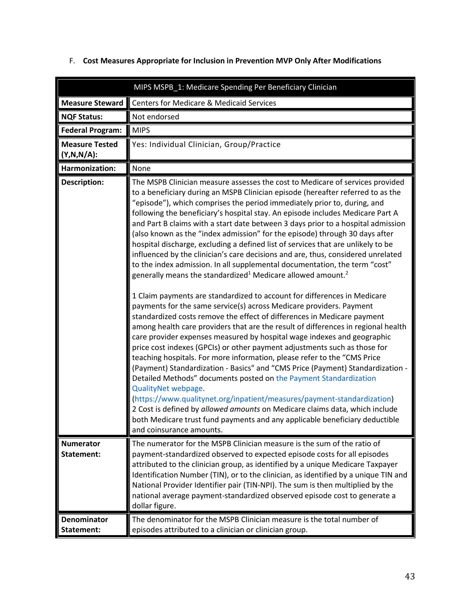<span id="page-42-1"></span>

|                                        | MIPS MSPB_1: Medicare Spending Per Beneficiary Clinician                                                                                                                                                                                                                                                                                                                                                                                                                                                                                                                                                                                                                                                                                                                                                                                                                                                                                                                                                                                                                                                                                                                                                                                                                                                                                                                                                                                                                                                                                                                                                                                                                                                                                                                                                                                                 |
|----------------------------------------|----------------------------------------------------------------------------------------------------------------------------------------------------------------------------------------------------------------------------------------------------------------------------------------------------------------------------------------------------------------------------------------------------------------------------------------------------------------------------------------------------------------------------------------------------------------------------------------------------------------------------------------------------------------------------------------------------------------------------------------------------------------------------------------------------------------------------------------------------------------------------------------------------------------------------------------------------------------------------------------------------------------------------------------------------------------------------------------------------------------------------------------------------------------------------------------------------------------------------------------------------------------------------------------------------------------------------------------------------------------------------------------------------------------------------------------------------------------------------------------------------------------------------------------------------------------------------------------------------------------------------------------------------------------------------------------------------------------------------------------------------------------------------------------------------------------------------------------------------------|
| <b>Measure Steward</b>                 | <b>Centers for Medicare &amp; Medicaid Services</b>                                                                                                                                                                                                                                                                                                                                                                                                                                                                                                                                                                                                                                                                                                                                                                                                                                                                                                                                                                                                                                                                                                                                                                                                                                                                                                                                                                                                                                                                                                                                                                                                                                                                                                                                                                                                      |
| <b>NQF Status:</b>                     | Not endorsed                                                                                                                                                                                                                                                                                                                                                                                                                                                                                                                                                                                                                                                                                                                                                                                                                                                                                                                                                                                                                                                                                                                                                                                                                                                                                                                                                                                                                                                                                                                                                                                                                                                                                                                                                                                                                                             |
| <b>Federal Program:</b>                | <b>MIPS</b>                                                                                                                                                                                                                                                                                                                                                                                                                                                                                                                                                                                                                                                                                                                                                                                                                                                                                                                                                                                                                                                                                                                                                                                                                                                                                                                                                                                                                                                                                                                                                                                                                                                                                                                                                                                                                                              |
| <b>Measure Tested</b><br>$(Y,N,N/A)$ : | Yes: Individual Clinician, Group/Practice                                                                                                                                                                                                                                                                                                                                                                                                                                                                                                                                                                                                                                                                                                                                                                                                                                                                                                                                                                                                                                                                                                                                                                                                                                                                                                                                                                                                                                                                                                                                                                                                                                                                                                                                                                                                                |
| Harmonization:                         | None                                                                                                                                                                                                                                                                                                                                                                                                                                                                                                                                                                                                                                                                                                                                                                                                                                                                                                                                                                                                                                                                                                                                                                                                                                                                                                                                                                                                                                                                                                                                                                                                                                                                                                                                                                                                                                                     |
| <b>Description:</b>                    | The MSPB Clinician measure assesses the cost to Medicare of services provided<br>to a beneficiary during an MSPB Clinician episode (hereafter referred to as the<br>"episode"), which comprises the period immediately prior to, during, and<br>following the beneficiary's hospital stay. An episode includes Medicare Part A<br>and Part B claims with a start date between 3 days prior to a hospital admission<br>(also known as the "index admission" for the episode) through 30 days after<br>hospital discharge, excluding a defined list of services that are unlikely to be<br>influenced by the clinician's care decisions and are, thus, considered unrelated<br>to the index admission. In all supplemental documentation, the term "cost"<br>generally means the standardized <sup>1</sup> Medicare allowed amount. <sup>2</sup><br>1 Claim payments are standardized to account for differences in Medicare<br>payments for the same service(s) across Medicare providers. Payment<br>standardized costs remove the effect of differences in Medicare payment<br>among health care providers that are the result of differences in regional health<br>care provider expenses measured by hospital wage indexes and geographic<br>price cost indexes (GPCIs) or other payment adjustments such as those for<br>teaching hospitals. For more information, please refer to the "CMS Price<br>(Payment) Standardization - Basics" and "CMS Price (Payment) Standardization -<br>Detailed Methods" documents posted on the Payment Standardization<br>QualityNet webpage.<br>(https://www.qualitynet.org/inpatient/measures/payment-standardization)<br>2 Cost is defined by allowed amounts on Medicare claims data, which include<br>both Medicare trust fund payments and any applicable beneficiary deductible<br>and coinsurance amounts. |
| <b>Numerator</b><br>Statement:         | The numerator for the MSPB Clinician measure is the sum of the ratio of<br>payment-standardized observed to expected episode costs for all episodes<br>attributed to the clinician group, as identified by a unique Medicare Taxpayer<br>Identification Number (TIN), or to the clinician, as identified by a unique TIN and<br>National Provider Identifier pair (TIN-NPI). The sum is then multiplied by the<br>national average payment-standardized observed episode cost to generate a<br>dollar figure.                                                                                                                                                                                                                                                                                                                                                                                                                                                                                                                                                                                                                                                                                                                                                                                                                                                                                                                                                                                                                                                                                                                                                                                                                                                                                                                                            |
| <b>Denominator</b><br>Statement:       | The denominator for the MSPB Clinician measure is the total number of<br>episodes attributed to a clinician or clinician group.                                                                                                                                                                                                                                                                                                                                                                                                                                                                                                                                                                                                                                                                                                                                                                                                                                                                                                                                                                                                                                                                                                                                                                                                                                                                                                                                                                                                                                                                                                                                                                                                                                                                                                                          |

### <span id="page-42-0"></span>F. **Cost Measures Appropriate for Inclusion in Prevention MVP Only After Modifications**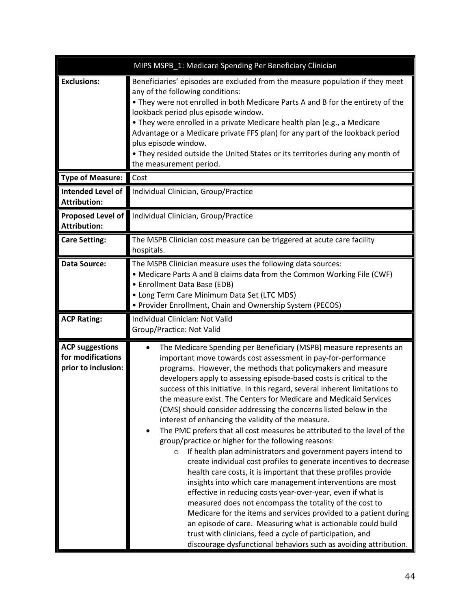|                                                                    | MIPS MSPB_1: Medicare Spending Per Beneficiary Clinician                                                                                                                                                                                                                                                                                                                                                                                                                                                                                                                                                                                                                                                                                                                                                                                                                                                                                                                                                                                                                                                                                                                                                                                                                                                                                                                       |
|--------------------------------------------------------------------|--------------------------------------------------------------------------------------------------------------------------------------------------------------------------------------------------------------------------------------------------------------------------------------------------------------------------------------------------------------------------------------------------------------------------------------------------------------------------------------------------------------------------------------------------------------------------------------------------------------------------------------------------------------------------------------------------------------------------------------------------------------------------------------------------------------------------------------------------------------------------------------------------------------------------------------------------------------------------------------------------------------------------------------------------------------------------------------------------------------------------------------------------------------------------------------------------------------------------------------------------------------------------------------------------------------------------------------------------------------------------------|
| <b>Exclusions:</b>                                                 | Beneficiaries' episodes are excluded from the measure population if they meet<br>any of the following conditions:<br>• They were not enrolled in both Medicare Parts A and B for the entirety of the<br>lookback period plus episode window.<br>• They were enrolled in a private Medicare health plan (e.g., a Medicare<br>Advantage or a Medicare private FFS plan) for any part of the lookback period<br>plus episode window.<br>. They resided outside the United States or its territories during any month of<br>the measurement period.                                                                                                                                                                                                                                                                                                                                                                                                                                                                                                                                                                                                                                                                                                                                                                                                                                |
| <b>Type of Measure:</b>                                            | Cost                                                                                                                                                                                                                                                                                                                                                                                                                                                                                                                                                                                                                                                                                                                                                                                                                                                                                                                                                                                                                                                                                                                                                                                                                                                                                                                                                                           |
| <b>Intended Level of</b><br><b>Attribution:</b>                    | Individual Clinician, Group/Practice                                                                                                                                                                                                                                                                                                                                                                                                                                                                                                                                                                                                                                                                                                                                                                                                                                                                                                                                                                                                                                                                                                                                                                                                                                                                                                                                           |
| Proposed Level of<br><b>Attribution:</b>                           | Individual Clinician, Group/Practice                                                                                                                                                                                                                                                                                                                                                                                                                                                                                                                                                                                                                                                                                                                                                                                                                                                                                                                                                                                                                                                                                                                                                                                                                                                                                                                                           |
| <b>Care Setting:</b>                                               | The MSPB Clinician cost measure can be triggered at acute care facility<br>hospitals.                                                                                                                                                                                                                                                                                                                                                                                                                                                                                                                                                                                                                                                                                                                                                                                                                                                                                                                                                                                                                                                                                                                                                                                                                                                                                          |
| <b>Data Source:</b>                                                | The MSPB Clinician measure uses the following data sources:<br>• Medicare Parts A and B claims data from the Common Working File (CWF)<br>• Enrollment Data Base (EDB)<br>• Long Term Care Minimum Data Set (LTC MDS)<br>• Provider Enrollment, Chain and Ownership System (PECOS)                                                                                                                                                                                                                                                                                                                                                                                                                                                                                                                                                                                                                                                                                                                                                                                                                                                                                                                                                                                                                                                                                             |
| <b>ACP Rating:</b>                                                 | Individual Clinician: Not Valid<br>Group/Practice: Not Valid                                                                                                                                                                                                                                                                                                                                                                                                                                                                                                                                                                                                                                                                                                                                                                                                                                                                                                                                                                                                                                                                                                                                                                                                                                                                                                                   |
| <b>ACP suggestions</b><br>for modifications<br>prior to inclusion: | The Medicare Spending per Beneficiary (MSPB) measure represents an<br>important move towards cost assessment in pay-for-performance<br>programs. However, the methods that policymakers and measure<br>developers apply to assessing episode-based costs is critical to the<br>success of this initiative. In this regard, several inherent limitations to<br>the measure exist. The Centers for Medicare and Medicaid Services<br>(CMS) should consider addressing the concerns listed below in the<br>interest of enhancing the validity of the measure.<br>The PMC prefers that all cost measures be attributed to the level of the<br>group/practice or higher for the following reasons:<br>If health plan administrators and government payers intend to<br>$\circ$<br>create individual cost profiles to generate incentives to decrease<br>health care costs, it is important that these profiles provide<br>insights into which care management interventions are most<br>effective in reducing costs year-over-year, even if what is<br>measured does not encompass the totality of the cost to<br>Medicare for the items and services provided to a patient during<br>an episode of care. Measuring what is actionable could build<br>trust with clinicians, feed a cycle of participation, and<br>discourage dysfunctional behaviors such as avoiding attribution. |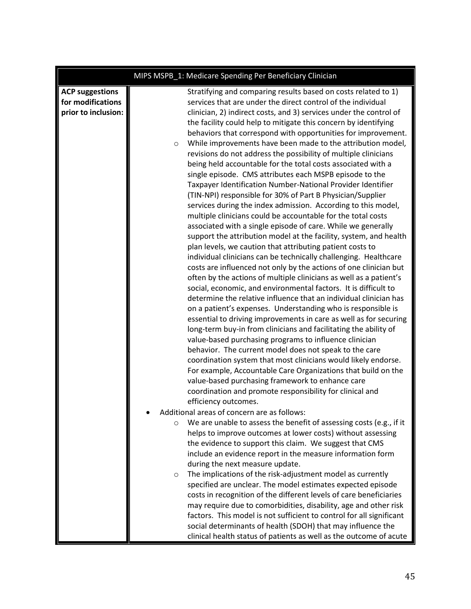|                                                                    | MIPS MSPB_1: Medicare Spending Per Beneficiary Clinician                                                                                                                                                                                                                                                                                                                                                                                                                                                                                                                                                                                                                                                                                                                                                                                                                                                                                                                                                                                                                                                                                                                                                                                                                                                                                                                                                                                                                                                                                                                                                                                                                                                                                                                                                                                                                                                                                                                                                                                                                                                                                                                                                                                                                                                   |
|--------------------------------------------------------------------|------------------------------------------------------------------------------------------------------------------------------------------------------------------------------------------------------------------------------------------------------------------------------------------------------------------------------------------------------------------------------------------------------------------------------------------------------------------------------------------------------------------------------------------------------------------------------------------------------------------------------------------------------------------------------------------------------------------------------------------------------------------------------------------------------------------------------------------------------------------------------------------------------------------------------------------------------------------------------------------------------------------------------------------------------------------------------------------------------------------------------------------------------------------------------------------------------------------------------------------------------------------------------------------------------------------------------------------------------------------------------------------------------------------------------------------------------------------------------------------------------------------------------------------------------------------------------------------------------------------------------------------------------------------------------------------------------------------------------------------------------------------------------------------------------------------------------------------------------------------------------------------------------------------------------------------------------------------------------------------------------------------------------------------------------------------------------------------------------------------------------------------------------------------------------------------------------------------------------------------------------------------------------------------------------------|
| <b>ACP suggestions</b><br>for modifications<br>prior to inclusion: | Stratifying and comparing results based on costs related to 1)<br>services that are under the direct control of the individual<br>clinician, 2) indirect costs, and 3) services under the control of<br>the facility could help to mitigate this concern by identifying<br>behaviors that correspond with opportunities for improvement.<br>While improvements have been made to the attribution model,<br>$\circ$<br>revisions do not address the possibility of multiple clinicians<br>being held accountable for the total costs associated with a<br>single episode. CMS attributes each MSPB episode to the<br>Taxpayer Identification Number-National Provider Identifier<br>(TIN-NPI) responsible for 30% of Part B Physician/Supplier<br>services during the index admission. According to this model,<br>multiple clinicians could be accountable for the total costs<br>associated with a single episode of care. While we generally<br>support the attribution model at the facility, system, and health<br>plan levels, we caution that attributing patient costs to<br>individual clinicians can be technically challenging. Healthcare<br>costs are influenced not only by the actions of one clinician but<br>often by the actions of multiple clinicians as well as a patient's<br>social, economic, and environmental factors. It is difficult to<br>determine the relative influence that an individual clinician has<br>on a patient's expenses. Understanding who is responsible is<br>essential to driving improvements in care as well as for securing<br>long-term buy-in from clinicians and facilitating the ability of<br>value-based purchasing programs to influence clinician<br>behavior. The current model does not speak to the care<br>coordination system that most clinicians would likely endorse.<br>For example, Accountable Care Organizations that build on the<br>value-based purchasing framework to enhance care<br>coordination and promote responsibility for clinical and<br>efficiency outcomes.<br>Additional areas of concern are as follows:<br>We are unable to assess the benefit of assessing costs (e.g., if it<br>$\circ$<br>helps to improve outcomes at lower costs) without assessing<br>the evidence to support this claim. We suggest that CMS |
|                                                                    | include an evidence report in the measure information form<br>during the next measure update.<br>The implications of the risk-adjustment model as currently<br>$\circ$<br>specified are unclear. The model estimates expected episode<br>costs in recognition of the different levels of care beneficiaries<br>may require due to comorbidities, disability, age and other risk                                                                                                                                                                                                                                                                                                                                                                                                                                                                                                                                                                                                                                                                                                                                                                                                                                                                                                                                                                                                                                                                                                                                                                                                                                                                                                                                                                                                                                                                                                                                                                                                                                                                                                                                                                                                                                                                                                                            |
|                                                                    | factors. This model is not sufficient to control for all significant<br>social determinants of health (SDOH) that may influence the<br>clinical health status of patients as well as the outcome of acute                                                                                                                                                                                                                                                                                                                                                                                                                                                                                                                                                                                                                                                                                                                                                                                                                                                                                                                                                                                                                                                                                                                                                                                                                                                                                                                                                                                                                                                                                                                                                                                                                                                                                                                                                                                                                                                                                                                                                                                                                                                                                                  |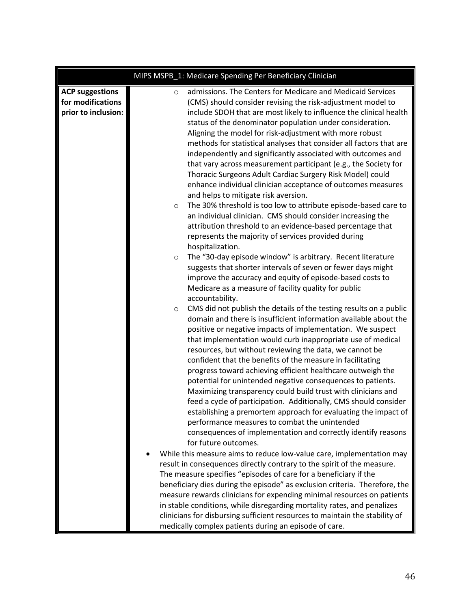|                                                                    | MIPS MSPB_1: Medicare Spending Per Beneficiary Clinician                                                                                                                                                                                                                                                                                                                                                                                                                                                                                                                                                                                                                                                                                                                                                                                                                                                                                                                                                                                                                                                                                                                                                                                                                                                                                                                                               |
|--------------------------------------------------------------------|--------------------------------------------------------------------------------------------------------------------------------------------------------------------------------------------------------------------------------------------------------------------------------------------------------------------------------------------------------------------------------------------------------------------------------------------------------------------------------------------------------------------------------------------------------------------------------------------------------------------------------------------------------------------------------------------------------------------------------------------------------------------------------------------------------------------------------------------------------------------------------------------------------------------------------------------------------------------------------------------------------------------------------------------------------------------------------------------------------------------------------------------------------------------------------------------------------------------------------------------------------------------------------------------------------------------------------------------------------------------------------------------------------|
| <b>ACP suggestions</b><br>for modifications<br>prior to inclusion: | admissions. The Centers for Medicare and Medicaid Services<br>$\circ$<br>(CMS) should consider revising the risk-adjustment model to<br>include SDOH that are most likely to influence the clinical health<br>status of the denominator population under consideration.<br>Aligning the model for risk-adjustment with more robust<br>methods for statistical analyses that consider all factors that are<br>independently and significantly associated with outcomes and<br>that vary across measurement participant (e.g., the Society for<br>Thoracic Surgeons Adult Cardiac Surgery Risk Model) could<br>enhance individual clinician acceptance of outcomes measures<br>and helps to mitigate risk aversion.<br>The 30% threshold is too low to attribute episode-based care to<br>$\circ$<br>an individual clinician. CMS should consider increasing the<br>attribution threshold to an evidence-based percentage that<br>represents the majority of services provided during<br>hospitalization.<br>The "30-day episode window" is arbitrary. Recent literature<br>$\circ$<br>suggests that shorter intervals of seven or fewer days might<br>improve the accuracy and equity of episode-based costs to<br>Medicare as a measure of facility quality for public<br>accountability.<br>CMS did not publish the details of the testing results on a public<br>$\circ$                             |
|                                                                    | domain and there is insufficient information available about the<br>positive or negative impacts of implementation. We suspect<br>that implementation would curb inappropriate use of medical<br>resources, but without reviewing the data, we cannot be<br>confident that the benefits of the measure in facilitating<br>progress toward achieving efficient healthcare outweigh the<br>potential for unintended negative consequences to patients.<br>Maximizing transparency could build trust with clinicians and<br>feed a cycle of participation. Additionally, CMS should consider<br>establishing a premortem approach for evaluating the impact of<br>performance measures to combat the unintended<br>consequences of implementation and correctly identify reasons<br>for future outcomes.<br>While this measure aims to reduce low-value care, implementation may<br>result in consequences directly contrary to the spirit of the measure.<br>The measure specifies "episodes of care for a beneficiary if the<br>beneficiary dies during the episode" as exclusion criteria. Therefore, the<br>measure rewards clinicians for expending minimal resources on patients<br>in stable conditions, while disregarding mortality rates, and penalizes<br>clinicians for disbursing sufficient resources to maintain the stability of<br>medically complex patients during an episode of care. |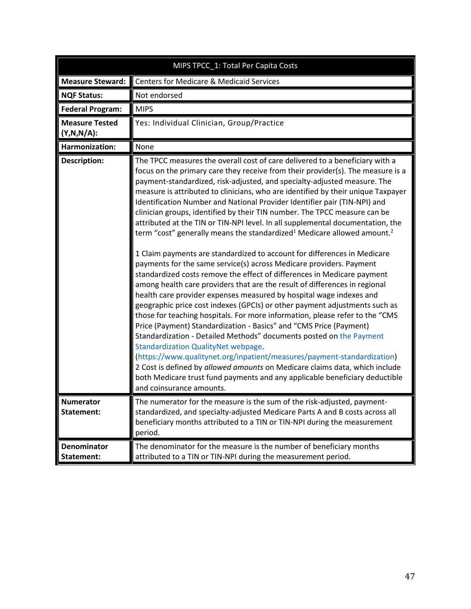<span id="page-46-0"></span>

| MIPS TPCC_1: Total Per Capita Costs     |                                                                                                                                                                                                                                                                                                                                                                                                                                                                                                                                                                                                                                                                                                                                                                                                                                                                                                                                                                                                                                                                                                                                                                                                                                                                                                                                                                                                                                                                                                                                                                                                                                                                                                 |
|-----------------------------------------|-------------------------------------------------------------------------------------------------------------------------------------------------------------------------------------------------------------------------------------------------------------------------------------------------------------------------------------------------------------------------------------------------------------------------------------------------------------------------------------------------------------------------------------------------------------------------------------------------------------------------------------------------------------------------------------------------------------------------------------------------------------------------------------------------------------------------------------------------------------------------------------------------------------------------------------------------------------------------------------------------------------------------------------------------------------------------------------------------------------------------------------------------------------------------------------------------------------------------------------------------------------------------------------------------------------------------------------------------------------------------------------------------------------------------------------------------------------------------------------------------------------------------------------------------------------------------------------------------------------------------------------------------------------------------------------------------|
| <b>Measure Steward:</b>                 | <b>Centers for Medicare &amp; Medicaid Services</b>                                                                                                                                                                                                                                                                                                                                                                                                                                                                                                                                                                                                                                                                                                                                                                                                                                                                                                                                                                                                                                                                                                                                                                                                                                                                                                                                                                                                                                                                                                                                                                                                                                             |
| <b>NQF Status:</b>                      | Not endorsed                                                                                                                                                                                                                                                                                                                                                                                                                                                                                                                                                                                                                                                                                                                                                                                                                                                                                                                                                                                                                                                                                                                                                                                                                                                                                                                                                                                                                                                                                                                                                                                                                                                                                    |
| <b>Federal Program:</b>                 | <b>MIPS</b>                                                                                                                                                                                                                                                                                                                                                                                                                                                                                                                                                                                                                                                                                                                                                                                                                                                                                                                                                                                                                                                                                                                                                                                                                                                                                                                                                                                                                                                                                                                                                                                                                                                                                     |
| <b>Measure Tested</b><br>$(Y,N,N/A)$ :  | Yes: Individual Clinician, Group/Practice                                                                                                                                                                                                                                                                                                                                                                                                                                                                                                                                                                                                                                                                                                                                                                                                                                                                                                                                                                                                                                                                                                                                                                                                                                                                                                                                                                                                                                                                                                                                                                                                                                                       |
| <b>Harmonization:</b>                   | None                                                                                                                                                                                                                                                                                                                                                                                                                                                                                                                                                                                                                                                                                                                                                                                                                                                                                                                                                                                                                                                                                                                                                                                                                                                                                                                                                                                                                                                                                                                                                                                                                                                                                            |
| <b>Description:</b>                     | The TPCC measures the overall cost of care delivered to a beneficiary with a<br>focus on the primary care they receive from their provider(s). The measure is a<br>payment-standardized, risk-adjusted, and specialty-adjusted measure. The<br>measure is attributed to clinicians, who are identified by their unique Taxpayer<br>Identification Number and National Provider Identifier pair (TIN-NPI) and<br>clinician groups, identified by their TIN number. The TPCC measure can be<br>attributed at the TIN or TIN-NPI level. In all supplemental documentation, the<br>term "cost" generally means the standardized <sup>1</sup> Medicare allowed amount. <sup>2</sup><br>1 Claim payments are standardized to account for differences in Medicare<br>payments for the same service(s) across Medicare providers. Payment<br>standardized costs remove the effect of differences in Medicare payment<br>among health care providers that are the result of differences in regional<br>health care provider expenses measured by hospital wage indexes and<br>geographic price cost indexes (GPCIs) or other payment adjustments such as<br>those for teaching hospitals. For more information, please refer to the "CMS<br>Price (Payment) Standardization - Basics" and "CMS Price (Payment)<br>Standardization - Detailed Methods" documents posted on the Payment<br><b>Standardization QualityNet webpage.</b><br>(https://www.qualitynet.org/inpatient/measures/payment-standardization)<br>2 Cost is defined by allowed amounts on Medicare claims data, which include<br>both Medicare trust fund payments and any applicable beneficiary deductible<br>and coinsurance amounts. |
| <b>Numerator</b><br>Statement:          | The numerator for the measure is the sum of the risk-adjusted, payment-<br>standardized, and specialty-adjusted Medicare Parts A and B costs across all<br>beneficiary months attributed to a TIN or TIN-NPI during the measurement<br>period.                                                                                                                                                                                                                                                                                                                                                                                                                                                                                                                                                                                                                                                                                                                                                                                                                                                                                                                                                                                                                                                                                                                                                                                                                                                                                                                                                                                                                                                  |
| <b>Denominator</b><br><b>Statement:</b> | The denominator for the measure is the number of beneficiary months<br>attributed to a TIN or TIN-NPI during the measurement period.                                                                                                                                                                                                                                                                                                                                                                                                                                                                                                                                                                                                                                                                                                                                                                                                                                                                                                                                                                                                                                                                                                                                                                                                                                                                                                                                                                                                                                                                                                                                                            |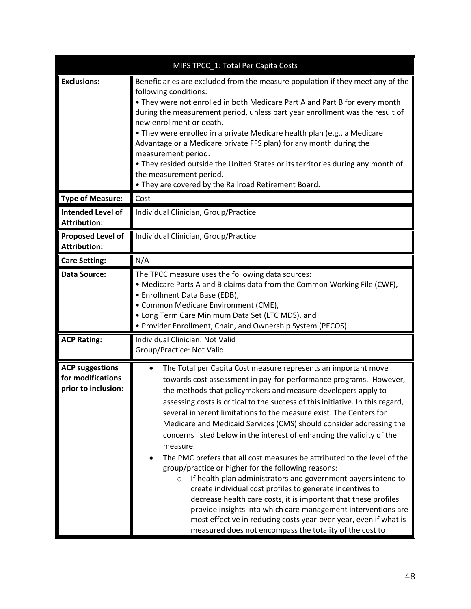|                                                                    | MIPS TPCC_1: Total Per Capita Costs                                                                                                                                                                                                                                                                                                                                                                                                                                                                                                                                                                                                                                                                                                                                                                                                                                                                                                                                                                                                                                      |
|--------------------------------------------------------------------|--------------------------------------------------------------------------------------------------------------------------------------------------------------------------------------------------------------------------------------------------------------------------------------------------------------------------------------------------------------------------------------------------------------------------------------------------------------------------------------------------------------------------------------------------------------------------------------------------------------------------------------------------------------------------------------------------------------------------------------------------------------------------------------------------------------------------------------------------------------------------------------------------------------------------------------------------------------------------------------------------------------------------------------------------------------------------|
| <b>Exclusions:</b>                                                 | Beneficiaries are excluded from the measure population if they meet any of the<br>following conditions:<br>• They were not enrolled in both Medicare Part A and Part B for every month<br>during the measurement period, unless part year enrollment was the result of<br>new enrollment or death.<br>• They were enrolled in a private Medicare health plan (e.g., a Medicare<br>Advantage or a Medicare private FFS plan) for any month during the<br>measurement period.<br>. They resided outside the United States or its territories during any month of<br>the measurement period.<br>. They are covered by the Railroad Retirement Board.                                                                                                                                                                                                                                                                                                                                                                                                                        |
| <b>Type of Measure:</b>                                            | Cost                                                                                                                                                                                                                                                                                                                                                                                                                                                                                                                                                                                                                                                                                                                                                                                                                                                                                                                                                                                                                                                                     |
| <b>Intended Level of</b><br><b>Attribution:</b>                    | Individual Clinician, Group/Practice                                                                                                                                                                                                                                                                                                                                                                                                                                                                                                                                                                                                                                                                                                                                                                                                                                                                                                                                                                                                                                     |
| <b>Proposed Level of</b><br><b>Attribution:</b>                    | Individual Clinician, Group/Practice                                                                                                                                                                                                                                                                                                                                                                                                                                                                                                                                                                                                                                                                                                                                                                                                                                                                                                                                                                                                                                     |
| <b>Care Setting:</b>                                               | N/A                                                                                                                                                                                                                                                                                                                                                                                                                                                                                                                                                                                                                                                                                                                                                                                                                                                                                                                                                                                                                                                                      |
| Data Source:                                                       | The TPCC measure uses the following data sources:<br>• Medicare Parts A and B claims data from the Common Working File (CWF),<br>• Enrollment Data Base (EDB),<br>• Common Medicare Environment (CME),<br>• Long Term Care Minimum Data Set (LTC MDS), and<br>• Provider Enrollment, Chain, and Ownership System (PECOS).                                                                                                                                                                                                                                                                                                                                                                                                                                                                                                                                                                                                                                                                                                                                                |
| <b>ACP Rating:</b>                                                 | Individual Clinician: Not Valid<br>Group/Practice: Not Valid                                                                                                                                                                                                                                                                                                                                                                                                                                                                                                                                                                                                                                                                                                                                                                                                                                                                                                                                                                                                             |
| <b>ACP suggestions</b><br>for modifications<br>prior to inclusion: | The Total per Capita Cost measure represents an important move<br>towards cost assessment in pay-for-performance programs. However,<br>the methods that policymakers and measure developers apply to<br>assessing costs is critical to the success of this initiative. In this regard,<br>several inherent limitations to the measure exist. The Centers for<br>Medicare and Medicaid Services (CMS) should consider addressing the<br>concerns listed below in the interest of enhancing the validity of the<br>measure.<br>The PMC prefers that all cost measures be attributed to the level of the<br>group/practice or higher for the following reasons:<br>If health plan administrators and government payers intend to<br>$\circ$<br>create individual cost profiles to generate incentives to<br>decrease health care costs, it is important that these profiles<br>provide insights into which care management interventions are<br>most effective in reducing costs year-over-year, even if what is<br>measured does not encompass the totality of the cost to |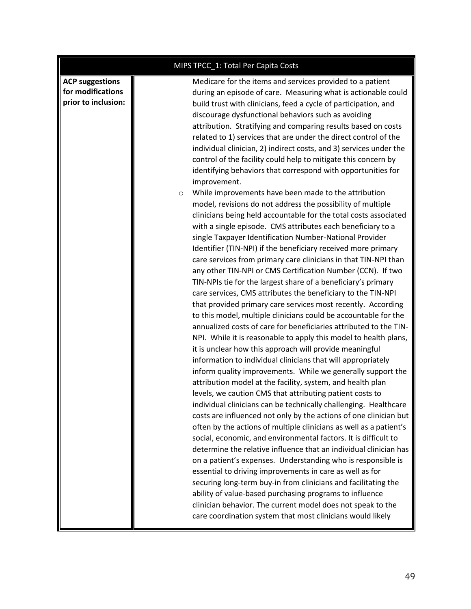|                                                                    | MIPS TPCC_1: Total Per Capita Costs                                                                                                                                                                                                                                                                                                                                                                                                                                                                                                                                                                                                                                                                                                                                                                                                                                                                                                                                                                                                                                                                                                                                                                                                                                                                                                                                                                                                                                                                                                                                                                                                                                                                                                                                                                                                                                                                                                                                                                           |
|--------------------------------------------------------------------|---------------------------------------------------------------------------------------------------------------------------------------------------------------------------------------------------------------------------------------------------------------------------------------------------------------------------------------------------------------------------------------------------------------------------------------------------------------------------------------------------------------------------------------------------------------------------------------------------------------------------------------------------------------------------------------------------------------------------------------------------------------------------------------------------------------------------------------------------------------------------------------------------------------------------------------------------------------------------------------------------------------------------------------------------------------------------------------------------------------------------------------------------------------------------------------------------------------------------------------------------------------------------------------------------------------------------------------------------------------------------------------------------------------------------------------------------------------------------------------------------------------------------------------------------------------------------------------------------------------------------------------------------------------------------------------------------------------------------------------------------------------------------------------------------------------------------------------------------------------------------------------------------------------------------------------------------------------------------------------------------------------|
| <b>ACP suggestions</b><br>for modifications<br>prior to inclusion: | Medicare for the items and services provided to a patient<br>during an episode of care. Measuring what is actionable could<br>build trust with clinicians, feed a cycle of participation, and<br>discourage dysfunctional behaviors such as avoiding<br>attribution. Stratifying and comparing results based on costs<br>related to 1) services that are under the direct control of the<br>individual clinician, 2) indirect costs, and 3) services under the<br>control of the facility could help to mitigate this concern by<br>identifying behaviors that correspond with opportunities for<br>improvement.                                                                                                                                                                                                                                                                                                                                                                                                                                                                                                                                                                                                                                                                                                                                                                                                                                                                                                                                                                                                                                                                                                                                                                                                                                                                                                                                                                                              |
|                                                                    | While improvements have been made to the attribution<br>$\circ$<br>model, revisions do not address the possibility of multiple<br>clinicians being held accountable for the total costs associated<br>with a single episode. CMS attributes each beneficiary to a<br>single Taxpayer Identification Number-National Provider<br>Identifier (TIN-NPI) if the beneficiary received more primary<br>care services from primary care clinicians in that TIN-NPI than<br>any other TIN-NPI or CMS Certification Number (CCN). If two<br>TIN-NPIs tie for the largest share of a beneficiary's primary<br>care services, CMS attributes the beneficiary to the TIN-NPI<br>that provided primary care services most recently. According<br>to this model, multiple clinicians could be accountable for the<br>annualized costs of care for beneficiaries attributed to the TIN-<br>NPI. While it is reasonable to apply this model to health plans,<br>it is unclear how this approach will provide meaningful<br>information to individual clinicians that will appropriately<br>inform quality improvements. While we generally support the<br>attribution model at the facility, system, and health plan<br>levels, we caution CMS that attributing patient costs to<br>individual clinicians can be technically challenging. Healthcare<br>costs are influenced not only by the actions of one clinician but<br>often by the actions of multiple clinicians as well as a patient's<br>social, economic, and environmental factors. It is difficult to<br>determine the relative influence that an individual clinician has<br>on a patient's expenses. Understanding who is responsible is<br>essential to driving improvements in care as well as for<br>securing long-term buy-in from clinicians and facilitating the<br>ability of value-based purchasing programs to influence<br>clinician behavior. The current model does not speak to the<br>care coordination system that most clinicians would likely |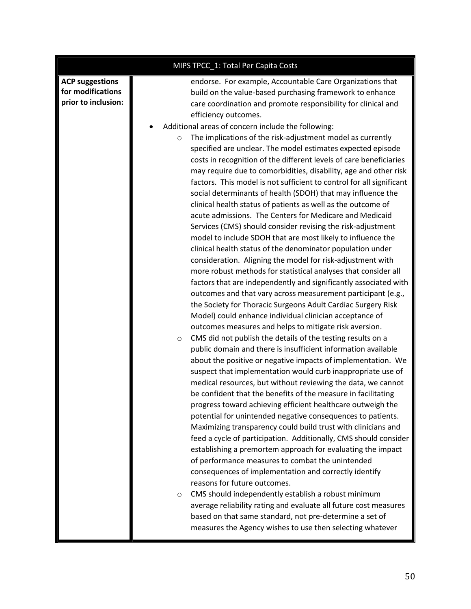| MIPS TPCC_1: Total Per Capita Costs                                                                                                                                                                                                                                                                                                                                                                                                                                                                                                                                                                                                                                                                                                                                                                                                                                                                                                                                                                                                                                                                                                                                                                                                                                                                                                                                                                                                                                                                                                                                                                                                                                                                                                                                                                                                                                                                                                                                                                                                                                                                                                                                                                                                                                                                                                                                                                                                                                                                                                                                                 |  |
|-------------------------------------------------------------------------------------------------------------------------------------------------------------------------------------------------------------------------------------------------------------------------------------------------------------------------------------------------------------------------------------------------------------------------------------------------------------------------------------------------------------------------------------------------------------------------------------------------------------------------------------------------------------------------------------------------------------------------------------------------------------------------------------------------------------------------------------------------------------------------------------------------------------------------------------------------------------------------------------------------------------------------------------------------------------------------------------------------------------------------------------------------------------------------------------------------------------------------------------------------------------------------------------------------------------------------------------------------------------------------------------------------------------------------------------------------------------------------------------------------------------------------------------------------------------------------------------------------------------------------------------------------------------------------------------------------------------------------------------------------------------------------------------------------------------------------------------------------------------------------------------------------------------------------------------------------------------------------------------------------------------------------------------------------------------------------------------------------------------------------------------------------------------------------------------------------------------------------------------------------------------------------------------------------------------------------------------------------------------------------------------------------------------------------------------------------------------------------------------------------------------------------------------------------------------------------------------|--|
| <b>ACP suggestions</b><br>endorse. For example, Accountable Care Organizations that<br>for modifications<br>build on the value-based purchasing framework to enhance<br>prior to inclusion:<br>care coordination and promote responsibility for clinical and<br>efficiency outcomes.<br>Additional areas of concern include the following:<br>The implications of the risk-adjustment model as currently<br>$\circ$<br>specified are unclear. The model estimates expected episode<br>costs in recognition of the different levels of care beneficiaries<br>may require due to comorbidities, disability, age and other risk<br>factors. This model is not sufficient to control for all significant<br>social determinants of health (SDOH) that may influence the<br>clinical health status of patients as well as the outcome of<br>acute admissions. The Centers for Medicare and Medicaid<br>Services (CMS) should consider revising the risk-adjustment<br>model to include SDOH that are most likely to influence the<br>clinical health status of the denominator population under<br>consideration. Aligning the model for risk-adjustment with<br>more robust methods for statistical analyses that consider all<br>factors that are independently and significantly associated with<br>outcomes and that vary across measurement participant (e.g.,<br>the Society for Thoracic Surgeons Adult Cardiac Surgery Risk<br>Model) could enhance individual clinician acceptance of<br>outcomes measures and helps to mitigate risk aversion.<br>CMS did not publish the details of the testing results on a<br>$\circ$<br>public domain and there is insufficient information available<br>about the positive or negative impacts of implementation. We<br>suspect that implementation would curb inappropriate use of<br>medical resources, but without reviewing the data, we cannot<br>be confident that the benefits of the measure in facilitating<br>progress toward achieving efficient healthcare outweigh the<br>potential for unintended negative consequences to patients.<br>Maximizing transparency could build trust with clinicians and<br>feed a cycle of participation. Additionally, CMS should consider<br>establishing a premortem approach for evaluating the impact<br>of performance measures to combat the unintended<br>consequences of implementation and correctly identify<br>reasons for future outcomes.<br>CMS should independently establish a robust minimum<br>$\circ$<br>average reliability rating and evaluate all future cost measures |  |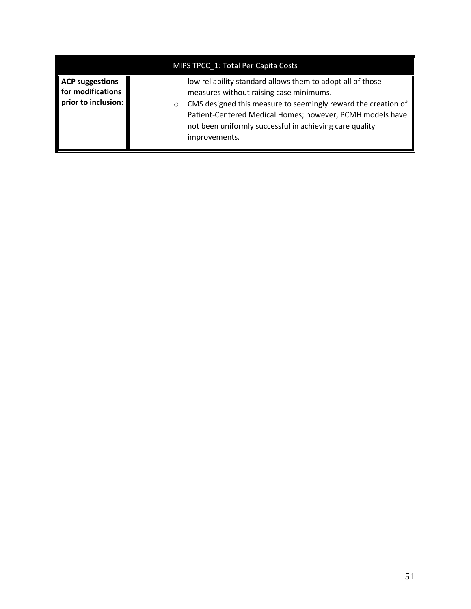| MIPS TPCC 1: Total Per Capita Costs                                |                                                                                                                                                                                                                                                                                                                            |  |  |
|--------------------------------------------------------------------|----------------------------------------------------------------------------------------------------------------------------------------------------------------------------------------------------------------------------------------------------------------------------------------------------------------------------|--|--|
| <b>ACP suggestions</b><br>for modifications<br>prior to inclusion: | low reliability standard allows them to adopt all of those<br>measures without raising case minimums.<br>CMS designed this measure to seemingly reward the creation of<br>$\circ$<br>Patient-Centered Medical Homes; however, PCMH models have<br>not been uniformly successful in achieving care quality<br>improvements. |  |  |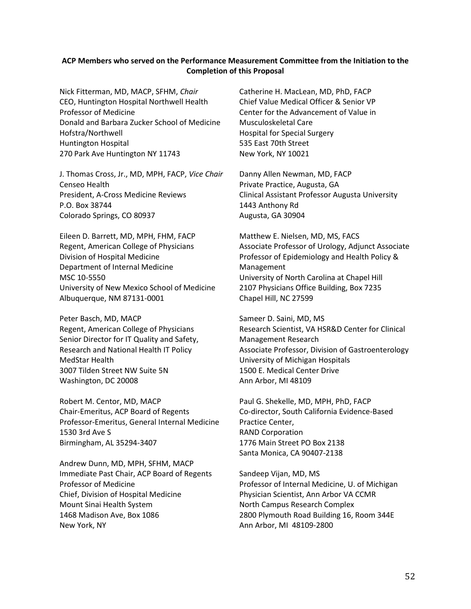#### **ACP Members who served on the Performance Measurement Committee from the Initiation to the Completion of this Proposal**

Nick Fitterman, MD, MACP, SFHM, *Chair* CEO, Huntington Hospital Northwell Health Professor of Medicine Donald and Barbara Zucker School of Medicine Hofstra/Northwell Huntington Hospital 270 Park Ave Huntington NY 11743

J. Thomas Cross, Jr., MD, MPH, FACP, *Vice Chair* Censeo Health President, A-Cross Medicine Reviews P.O. Box 38744 Colorado Springs, CO 80937

Eileen D. Barrett, MD, MPH, FHM, FACP Regent, American College of Physicians Division of Hospital Medicine Department of Internal Medicine MSC 10-5550 University of New Mexico School of Medicine Albuquerque, NM 87131-0001

Peter Basch, MD, MACP Regent, American College of Physicians Senior Director for IT Quality and Safety, Research and National Health IT Policy MedStar Health 3007 Tilden Street NW Suite 5N Washington, DC 20008

Robert M. Centor, MD, MACP Chair-Emeritus, ACP Board of Regents Professor-Emeritus, General Internal Medicine 1530 3rd Ave S Birmingham, AL 35294-3407

Andrew Dunn, MD, MPH, SFHM, MACP Immediate Past Chair, ACP Board of Regents Professor of Medicine Chief, Division of Hospital Medicine Mount Sinai Health System 1468 Madison Ave, Box 1086 New York, NY

Catherine H. MacLean, MD, PhD, FACP Chief Value Medical Officer & Senior VP Center for the Advancement of Value in Musculoskeletal Care Hospital for Special Surgery 535 East 70th Street New York, NY 10021

Danny Allen Newman, MD, FACP Private Practice, Augusta, GA Clinical Assistant Professor Augusta University 1443 Anthony Rd Augusta, GA 30904

Matthew E. Nielsen, MD, MS, FACS Associate Professor of Urology, Adjunct Associate Professor of Epidemiology and Health Policy & Management University of North Carolina at Chapel Hill 2107 Physicians Office Building, Box 7235 Chapel Hill, NC 27599

Sameer D. Saini, MD, MS Research Scientist, VA HSR&D Center for Clinical Management Research Associate Professor, Division of Gastroenterology University of Michigan Hospitals 1500 E. Medical Center Drive Ann Arbor, MI 48109

Paul G. Shekelle, MD, MPH, PhD, FACP Co-director, South California Evidence-Based Practice Center, RAND Corporation 1776 Main Street PO Box 2138 Santa Monica, CA 90407-2138

Sandeep Vijan, MD, MS Professor of Internal Medicine, U. of Michigan Physician Scientist, Ann Arbor VA CCMR North Campus Research Complex 2800 Plymouth Road Building 16, Room 344E Ann Arbor, MI 48109-2800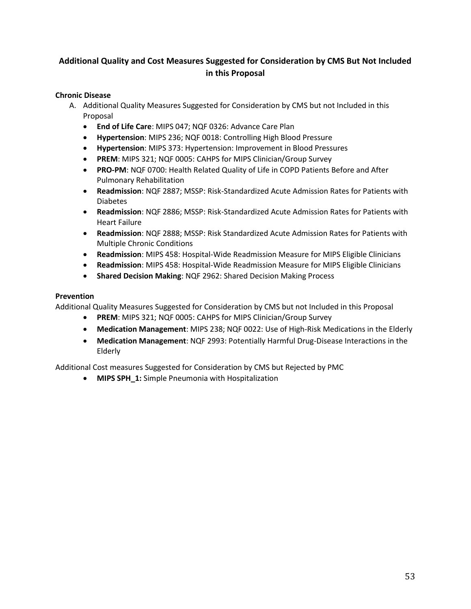### <span id="page-52-0"></span>**Additional Quality and Cost Measures Suggested for Consideration by CMS But Not Included in this Proposal**

#### **Chronic Disease**

- A. Additional Quality Measures Suggested for Consideration by CMS but not Included in this Proposal
	- **End of Life Care**: MIPS 047; NQF 0326: Advance Care Plan
	- **Hypertension**: MIPS 236; NQF 0018: Controlling High Blood Pressure
	- **Hypertension**: MIPS 373: Hypertension: Improvement in Blood Pressures
	- **PREM**: MIPS 321; NQF 0005: CAHPS for MIPS Clinician/Group Survey
	- **PRO-PM**: NQF 0700: Health Related Quality of Life in COPD Patients Before and After Pulmonary Rehabilitation
	- **Readmission**: NQF 2887; MSSP: Risk-Standardized Acute Admission Rates for Patients with Diabetes
	- **Readmission**: NQF 2886; MSSP: Risk-Standardized Acute Admission Rates for Patients with Heart Failure
	- **Readmission**: NQF 2888; MSSP: Risk Standardized Acute Admission Rates for Patients with Multiple Chronic Conditions
	- **Readmission**: MIPS 458: Hospital-Wide Readmission Measure for MIPS Eligible Clinicians
	- **Readmission**: MIPS 458: Hospital-Wide Readmission Measure for MIPS Eligible Clinicians
	- **Shared Decision Making**: NQF 2962: Shared Decision Making Process

#### **Prevention**

Additional Quality Measures Suggested for Consideration by CMS but not Included in this Proposal

- **PREM**: MIPS 321; NQF 0005: CAHPS for MIPS Clinician/Group Survey
- **Medication Management**: MIPS 238; NQF 0022: Use of High-Risk Medications in the Elderly
- **Medication Management**: NQF 2993: Potentially Harmful Drug-Disease Interactions in the Elderly

Additional Cost measures Suggested for Consideration by CMS but Rejected by PMC

• **MIPS SPH\_1:** Simple Pneumonia with Hospitalization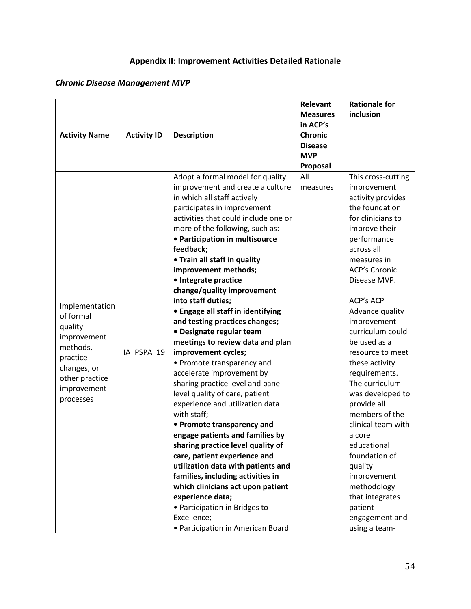## **Appendix II: Improvement Activities Detailed Rationale**

## *Chronic Disease Management MVP*

|                               |                    |                                      | Relevant        | <b>Rationale for</b> |
|-------------------------------|--------------------|--------------------------------------|-----------------|----------------------|
|                               |                    |                                      | <b>Measures</b> | inclusion            |
|                               |                    |                                      | in ACP's        |                      |
| <b>Activity Name</b>          | <b>Activity ID</b> | <b>Description</b>                   | <b>Chronic</b>  |                      |
|                               |                    |                                      | <b>Disease</b>  |                      |
|                               |                    |                                      | <b>MVP</b>      |                      |
|                               |                    |                                      | Proposal        |                      |
|                               |                    | Adopt a formal model for quality     | All             | This cross-cutting   |
|                               |                    | improvement and create a culture     | measures        | improvement          |
|                               |                    | in which all staff actively          |                 | activity provides    |
|                               |                    | participates in improvement          |                 | the foundation       |
|                               |                    | activities that could include one or |                 | for clinicians to    |
|                               |                    | more of the following, such as:      |                 | improve their        |
|                               |                    | • Participation in multisource       |                 | performance          |
|                               |                    | feedback;                            |                 | across all           |
|                               |                    | • Train all staff in quality         |                 | measures in          |
|                               |                    | improvement methods;                 |                 | <b>ACP's Chronic</b> |
|                               |                    | · Integrate practice                 |                 | Disease MVP.         |
|                               |                    | change/quality improvement           |                 |                      |
| Implementation                |                    | into staff duties;                   |                 | <b>ACP's ACP</b>     |
| of formal                     |                    | • Engage all staff in identifying    |                 | Advance quality      |
| quality                       |                    | and testing practices changes;       |                 | improvement          |
| improvement                   |                    | • Designate regular team             |                 | curriculum could     |
| methods,                      |                    | meetings to review data and plan     |                 | be used as a         |
| practice                      | IA_PSPA_19         | improvement cycles;                  |                 | resource to meet     |
|                               |                    | • Promote transparency and           |                 | these activity       |
| changes, or<br>other practice |                    | accelerate improvement by            |                 | requirements.        |
| improvement                   |                    | sharing practice level and panel     |                 | The curriculum       |
|                               |                    | level quality of care, patient       |                 | was developed to     |
| processes                     |                    | experience and utilization data      |                 | provide all          |
|                               |                    | with staff;                          |                 | members of the       |
|                               |                    | • Promote transparency and           |                 | clinical team with   |
|                               |                    | engage patients and families by      |                 | a core               |
|                               |                    | sharing practice level quality of    |                 | educational          |
|                               |                    | care, patient experience and         |                 | foundation of        |
|                               |                    | utilization data with patients and   |                 | quality              |
|                               |                    | families, including activities in    |                 | improvement          |
|                               |                    | which clinicians act upon patient    |                 | methodology          |
|                               |                    | experience data;                     |                 | that integrates      |
|                               |                    | • Participation in Bridges to        |                 | patient              |
|                               |                    | Excellence;                          |                 | engagement and       |
|                               |                    | · Participation in American Board    |                 | using a team-        |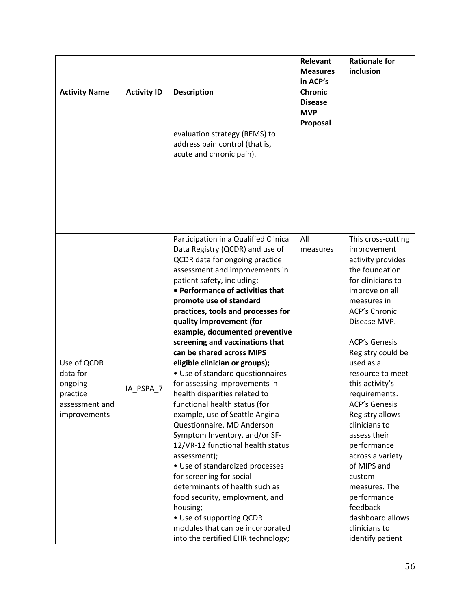| <b>Activity Name</b>                                                             | <b>Activity ID</b> | <b>Description</b><br>evaluation strategy (REMS) to                                                                                                                                                                                                                                                                                                                                                                                                                                                                                                                                                                                                                                                                                                                                                                                                                                                                                                                                               | Relevant<br><b>Measures</b><br>in ACP's<br><b>Chronic</b><br><b>Disease</b><br><b>MVP</b><br>Proposal | <b>Rationale for</b><br>inclusion                                                                                                                                                                                                                                                                                                                                                                                                                                                                                                     |
|----------------------------------------------------------------------------------|--------------------|---------------------------------------------------------------------------------------------------------------------------------------------------------------------------------------------------------------------------------------------------------------------------------------------------------------------------------------------------------------------------------------------------------------------------------------------------------------------------------------------------------------------------------------------------------------------------------------------------------------------------------------------------------------------------------------------------------------------------------------------------------------------------------------------------------------------------------------------------------------------------------------------------------------------------------------------------------------------------------------------------|-------------------------------------------------------------------------------------------------------|---------------------------------------------------------------------------------------------------------------------------------------------------------------------------------------------------------------------------------------------------------------------------------------------------------------------------------------------------------------------------------------------------------------------------------------------------------------------------------------------------------------------------------------|
|                                                                                  |                    | address pain control (that is,<br>acute and chronic pain).                                                                                                                                                                                                                                                                                                                                                                                                                                                                                                                                                                                                                                                                                                                                                                                                                                                                                                                                        |                                                                                                       |                                                                                                                                                                                                                                                                                                                                                                                                                                                                                                                                       |
| Use of QCDR<br>data for<br>ongoing<br>practice<br>assessment and<br>improvements | IA_PSPA_7          | Participation in a Qualified Clinical<br>Data Registry (QCDR) and use of<br>QCDR data for ongoing practice<br>assessment and improvements in<br>patient safety, including:<br>• Performance of activities that<br>promote use of standard<br>practices, tools and processes for<br>quality improvement (for<br>example, documented preventive<br>screening and vaccinations that<br>can be shared across MIPS<br>eligible clinician or groups);<br>• Use of standard questionnaires<br>for assessing improvements in<br>health disparities related to<br>functional health status (for<br>example, use of Seattle Angina<br>Questionnaire, MD Anderson<br>Symptom Inventory, and/or SF-<br>12/VR-12 functional health status<br>assessment);<br>• Use of standardized processes<br>for screening for social<br>determinants of health such as<br>food security, employment, and<br>housing;<br>• Use of supporting QCDR<br>modules that can be incorporated<br>into the certified EHR technology; | All<br>measures                                                                                       | This cross-cutting<br>improvement<br>activity provides<br>the foundation<br>for clinicians to<br>improve on all<br>measures in<br><b>ACP's Chronic</b><br>Disease MVP.<br><b>ACP's Genesis</b><br>Registry could be<br>used as a<br>resource to meet<br>this activity's<br>requirements.<br><b>ACP's Genesis</b><br>Registry allows<br>clinicians to<br>assess their<br>performance<br>across a variety<br>of MIPS and<br>custom<br>measures. The<br>performance<br>feedback<br>dashboard allows<br>clinicians to<br>identify patient |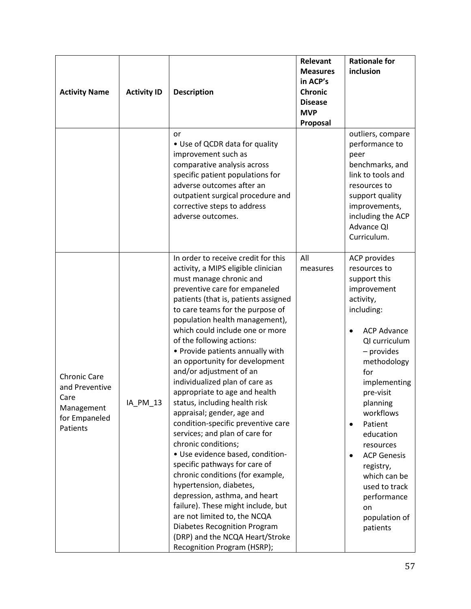| <b>Activity Name</b>                                                                     | <b>Activity ID</b> | <b>Description</b><br>or<br>• Use of QCDR data for quality<br>improvement such as                                                                                                                                                                                                                                                                                                                                                                                                                                                                                                                                                                                                                                                                                                                                                                                                                                                                                                                          | Relevant<br><b>Measures</b><br>in ACP's<br><b>Chronic</b><br><b>Disease</b><br><b>MVP</b><br>Proposal | <b>Rationale for</b><br>inclusion<br>outliers, compare<br>performance to<br>peer                                                                                                                                                                                                                                                                                                   |
|------------------------------------------------------------------------------------------|--------------------|------------------------------------------------------------------------------------------------------------------------------------------------------------------------------------------------------------------------------------------------------------------------------------------------------------------------------------------------------------------------------------------------------------------------------------------------------------------------------------------------------------------------------------------------------------------------------------------------------------------------------------------------------------------------------------------------------------------------------------------------------------------------------------------------------------------------------------------------------------------------------------------------------------------------------------------------------------------------------------------------------------|-------------------------------------------------------------------------------------------------------|------------------------------------------------------------------------------------------------------------------------------------------------------------------------------------------------------------------------------------------------------------------------------------------------------------------------------------------------------------------------------------|
|                                                                                          |                    | comparative analysis across<br>specific patient populations for<br>adverse outcomes after an<br>outpatient surgical procedure and<br>corrective steps to address<br>adverse outcomes.                                                                                                                                                                                                                                                                                                                                                                                                                                                                                                                                                                                                                                                                                                                                                                                                                      |                                                                                                       | benchmarks, and<br>link to tools and<br>resources to<br>support quality<br>improvements,<br>including the ACP<br>Advance QI<br>Curriculum.                                                                                                                                                                                                                                         |
| <b>Chronic Care</b><br>and Preventive<br>Care<br>Management<br>for Empaneled<br>Patients | IA_PM_13           | In order to receive credit for this<br>activity, a MIPS eligible clinician<br>must manage chronic and<br>preventive care for empaneled<br>patients (that is, patients assigned<br>to care teams for the purpose of<br>population health management),<br>which could include one or more<br>of the following actions:<br>• Provide patients annually with<br>an opportunity for development<br>and/or adjustment of an<br>individualized plan of care as<br>appropriate to age and health<br>status, including health risk<br>appraisal; gender, age and<br>condition-specific preventive care<br>services; and plan of care for<br>chronic conditions;<br>· Use evidence based, condition-<br>specific pathways for care of<br>chronic conditions (for example,<br>hypertension, diabetes,<br>depression, asthma, and heart<br>failure). These might include, but<br>are not limited to, the NCQA<br><b>Diabetes Recognition Program</b><br>(DRP) and the NCQA Heart/Stroke<br>Recognition Program (HSRP); | All<br>measures                                                                                       | ACP provides<br>resources to<br>support this<br>improvement<br>activity,<br>including:<br><b>ACP Advance</b><br>QI curriculum<br>- provides<br>methodology<br>for<br>implementing<br>pre-visit<br>planning<br>workflows<br>Patient<br>education<br>resources<br><b>ACP Genesis</b><br>registry,<br>which can be<br>used to track<br>performance<br>on<br>population of<br>patients |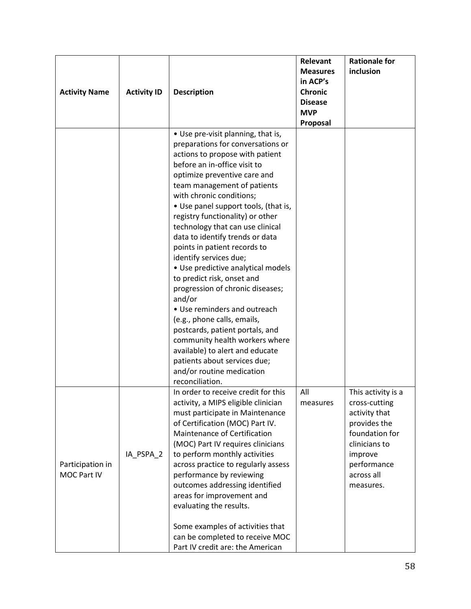| <b>Activity Name</b>            | <b>Activity ID</b> | <b>Description</b>                                                                                                                                                                                                                                                                                                                                                                                                                                                                                                                                                                                                                                                                                                                                                                                                          | Relevant<br><b>Measures</b><br>in ACP's<br><b>Chronic</b><br><b>Disease</b><br><b>MVP</b> | <b>Rationale for</b><br>inclusion                                                                                                                            |
|---------------------------------|--------------------|-----------------------------------------------------------------------------------------------------------------------------------------------------------------------------------------------------------------------------------------------------------------------------------------------------------------------------------------------------------------------------------------------------------------------------------------------------------------------------------------------------------------------------------------------------------------------------------------------------------------------------------------------------------------------------------------------------------------------------------------------------------------------------------------------------------------------------|-------------------------------------------------------------------------------------------|--------------------------------------------------------------------------------------------------------------------------------------------------------------|
|                                 |                    |                                                                                                                                                                                                                                                                                                                                                                                                                                                                                                                                                                                                                                                                                                                                                                                                                             | Proposal                                                                                  |                                                                                                                                                              |
|                                 |                    | • Use pre-visit planning, that is,<br>preparations for conversations or<br>actions to propose with patient<br>before an in-office visit to<br>optimize preventive care and<br>team management of patients<br>with chronic conditions;<br>• Use panel support tools, (that is,<br>registry functionality) or other<br>technology that can use clinical<br>data to identify trends or data<br>points in patient records to<br>identify services due;<br>• Use predictive analytical models<br>to predict risk, onset and<br>progression of chronic diseases;<br>and/or<br>• Use reminders and outreach<br>(e.g., phone calls, emails,<br>postcards, patient portals, and<br>community health workers where<br>available) to alert and educate<br>patients about services due;<br>and/or routine medication<br>reconciliation. |                                                                                           |                                                                                                                                                              |
| Participation in<br>MOC Part IV | IA_PSPA_2          | In order to receive credit for this<br>activity, a MIPS eligible clinician<br>must participate in Maintenance<br>of Certification (MOC) Part IV.<br>Maintenance of Certification<br>(MOC) Part IV requires clinicians<br>to perform monthly activities<br>across practice to regularly assess<br>performance by reviewing<br>outcomes addressing identified<br>areas for improvement and<br>evaluating the results.<br>Some examples of activities that<br>can be completed to receive MOC<br>Part IV credit are: the American                                                                                                                                                                                                                                                                                              | All<br>measures                                                                           | This activity is a<br>cross-cutting<br>activity that<br>provides the<br>foundation for<br>clinicians to<br>improve<br>performance<br>across all<br>measures. |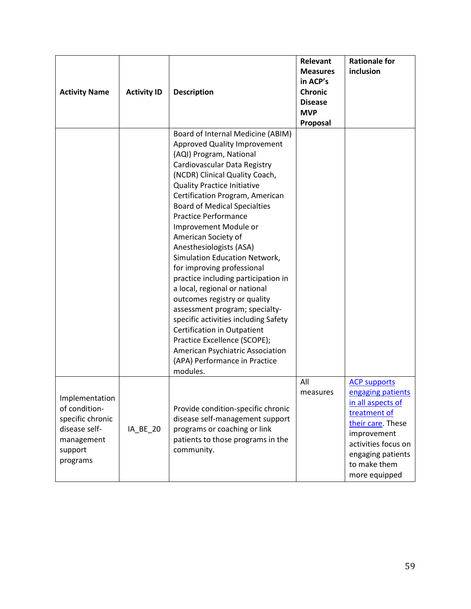| <b>Activity Name</b>                                                                                      | <b>Activity ID</b> | <b>Description</b>                                                                                                                                                                                                                                                                                                                                                                                                                                                                                                                                                                                                                                                                                                                                                                               | Relevant<br><b>Measures</b><br>in ACP's<br><b>Chronic</b><br><b>Disease</b><br><b>MVP</b><br>Proposal | <b>Rationale for</b><br>inclusion                                                                                                                                                              |
|-----------------------------------------------------------------------------------------------------------|--------------------|--------------------------------------------------------------------------------------------------------------------------------------------------------------------------------------------------------------------------------------------------------------------------------------------------------------------------------------------------------------------------------------------------------------------------------------------------------------------------------------------------------------------------------------------------------------------------------------------------------------------------------------------------------------------------------------------------------------------------------------------------------------------------------------------------|-------------------------------------------------------------------------------------------------------|------------------------------------------------------------------------------------------------------------------------------------------------------------------------------------------------|
|                                                                                                           |                    | Board of Internal Medicine (ABIM)<br><b>Approved Quality Improvement</b><br>(AQI) Program, National<br>Cardiovascular Data Registry<br>(NCDR) Clinical Quality Coach,<br><b>Quality Practice Initiative</b><br>Certification Program, American<br><b>Board of Medical Specialties</b><br><b>Practice Performance</b><br>Improvement Module or<br>American Society of<br>Anesthesiologists (ASA)<br>Simulation Education Network,<br>for improving professional<br>practice including participation in<br>a local, regional or national<br>outcomes registry or quality<br>assessment program; specialty-<br>specific activities including Safety<br>Certification in Outpatient<br>Practice Excellence (SCOPE);<br>American Psychiatric Association<br>(APA) Performance in Practice<br>modules. |                                                                                                       |                                                                                                                                                                                                |
| Implementation<br>of condition-<br>specific chronic<br>disease self-<br>management<br>support<br>programs | <b>IA BE 20</b>    | Provide condition-specific chronic<br>disease self-management support<br>programs or coaching or link<br>patients to those programs in the<br>community.                                                                                                                                                                                                                                                                                                                                                                                                                                                                                                                                                                                                                                         | All<br>measures                                                                                       | <b>ACP supports</b><br>engaging patients<br>in all aspects of<br>treatment of<br>their care. These<br>improvement<br>activities focus on<br>engaging patients<br>to make them<br>more equipped |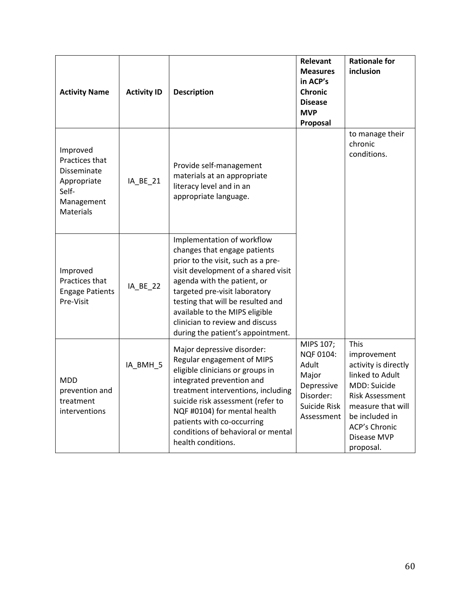| <b>Activity Name</b>                                                                                | <b>Activity ID</b> | <b>Description</b>                                                                                                                                                                                                                                                                                                                                     | Relevant<br><b>Measures</b><br>in ACP's<br><b>Chronic</b><br><b>Disease</b><br><b>MVP</b><br>Proposal | <b>Rationale for</b><br>inclusion                                                                                                                                                                   |
|-----------------------------------------------------------------------------------------------------|--------------------|--------------------------------------------------------------------------------------------------------------------------------------------------------------------------------------------------------------------------------------------------------------------------------------------------------------------------------------------------------|-------------------------------------------------------------------------------------------------------|-----------------------------------------------------------------------------------------------------------------------------------------------------------------------------------------------------|
| Improved<br>Practices that<br>Disseminate<br>Appropriate<br>Self-<br>Management<br><b>Materials</b> | IA BE 21           | Provide self-management<br>materials at an appropriate<br>literacy level and in an<br>appropriate language.                                                                                                                                                                                                                                            |                                                                                                       | to manage their<br>chronic<br>conditions.                                                                                                                                                           |
| Improved<br>Practices that<br><b>Engage Patients</b><br>Pre-Visit                                   | IA_BE_22           | Implementation of workflow<br>changes that engage patients<br>prior to the visit, such as a pre-<br>visit development of a shared visit<br>agenda with the patient, or<br>targeted pre-visit laboratory<br>testing that will be resulted and<br>available to the MIPS eligible<br>clinician to review and discuss<br>during the patient's appointment. |                                                                                                       |                                                                                                                                                                                                     |
| <b>MDD</b><br>prevention and<br>treatment<br>interventions                                          | IA_BMH_5           | Major depressive disorder:<br>Regular engagement of MIPS<br>eligible clinicians or groups in<br>integrated prevention and<br>treatment interventions, including<br>suicide risk assessment (refer to<br>NQF #0104) for mental health<br>patients with co-occurring<br>conditions of behavioral or mental<br>health conditions.                         | MIPS 107;<br>NQF 0104:<br>Adult<br>Major<br>Depressive<br>Disorder:<br>Suicide Risk<br>Assessment     | This<br>improvement<br>activity is directly<br>linked to Adult<br>MDD: Suicide<br><b>Risk Assessment</b><br>measure that will<br>be included in<br><b>ACP's Chronic</b><br>Disease MVP<br>proposal. |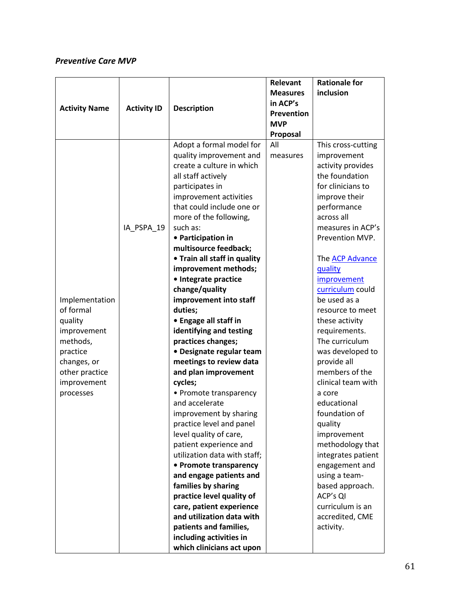### *Preventive Care MVP*

|                      |                    |                                                       | Relevant        | <b>Rationale for</b>        |
|----------------------|--------------------|-------------------------------------------------------|-----------------|-----------------------------|
|                      |                    |                                                       | <b>Measures</b> | inclusion                   |
|                      |                    |                                                       | in ACP's        |                             |
| <b>Activity Name</b> | <b>Activity ID</b> | <b>Description</b>                                    | Prevention      |                             |
|                      |                    |                                                       | <b>MVP</b>      |                             |
|                      |                    |                                                       | Proposal        |                             |
|                      |                    | Adopt a formal model for                              | All             | This cross-cutting          |
|                      |                    | quality improvement and                               | measures        | improvement                 |
|                      |                    | create a culture in which                             |                 | activity provides           |
|                      |                    | all staff actively                                    |                 | the foundation              |
|                      |                    | participates in                                       |                 | for clinicians to           |
|                      |                    | improvement activities                                |                 | improve their               |
|                      |                    | that could include one or                             |                 | performance                 |
|                      |                    | more of the following,                                |                 | across all                  |
|                      | IA_PSPA_19         | such as:                                              |                 | measures in ACP's           |
|                      |                    | • Participation in                                    |                 | Prevention MVP.             |
|                      |                    | multisource feedback;                                 |                 |                             |
|                      |                    | • Train all staff in quality                          |                 | The <b>ACP Advance</b>      |
|                      |                    | improvement methods;                                  |                 | quality                     |
|                      |                    | · Integrate practice                                  |                 | improvement                 |
|                      |                    | change/quality                                        |                 | curriculum could            |
| Implementation       |                    | improvement into staff                                |                 | be used as a                |
| of formal            |                    | duties;                                               |                 | resource to meet            |
| quality              |                    | • Engage all staff in                                 |                 | these activity              |
| improvement          |                    | identifying and testing                               |                 | requirements.               |
| methods,             |                    | practices changes;                                    |                 | The curriculum              |
| practice             |                    | • Designate regular team                              |                 | was developed to            |
| changes, or          |                    | meetings to review data                               |                 | provide all                 |
| other practice       |                    | and plan improvement                                  |                 | members of the              |
| improvement          |                    | cycles;                                               |                 | clinical team with          |
| processes            |                    | • Promote transparency                                |                 | a core                      |
|                      |                    | and accelerate                                        |                 | educational                 |
|                      |                    | improvement by sharing                                |                 | foundation of               |
|                      |                    | practice level and panel                              |                 | quality                     |
|                      |                    | level quality of care,                                |                 | improvement                 |
|                      |                    | patient experience and                                |                 | methodology that            |
|                      |                    | utilization data with staff;                          |                 | integrates patient          |
|                      |                    | • Promote transparency                                |                 | engagement and              |
|                      |                    | and engage patients and                               |                 | using a team-               |
|                      |                    | families by sharing                                   |                 | based approach.<br>ACP's QI |
|                      |                    | practice level quality of                             |                 | curriculum is an            |
|                      |                    | care, patient experience<br>and utilization data with |                 | accredited, CME             |
|                      |                    | patients and families,                                |                 | activity.                   |
|                      |                    |                                                       |                 |                             |
|                      |                    | including activities in                               |                 |                             |
|                      |                    | which clinicians act upon                             |                 |                             |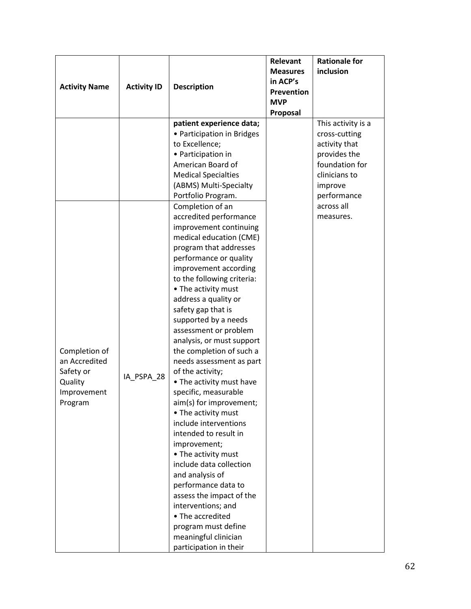|                                |                    |                                                      | Relevant        | <b>Rationale for</b> |
|--------------------------------|--------------------|------------------------------------------------------|-----------------|----------------------|
|                                |                    |                                                      | <b>Measures</b> | inclusion            |
|                                |                    |                                                      | in ACP's        |                      |
| <b>Activity Name</b>           | <b>Activity ID</b> | <b>Description</b>                                   | Prevention      |                      |
|                                |                    |                                                      | <b>MVP</b>      |                      |
|                                |                    |                                                      | Proposal        |                      |
|                                |                    | patient experience data;                             |                 | This activity is a   |
|                                |                    | • Participation in Bridges                           |                 | cross-cutting        |
|                                |                    | to Excellence;                                       |                 | activity that        |
|                                |                    | • Participation in                                   |                 | provides the         |
|                                |                    | American Board of                                    |                 | foundation for       |
|                                |                    | <b>Medical Specialties</b>                           |                 | clinicians to        |
|                                |                    | (ABMS) Multi-Specialty                               |                 | improve              |
|                                |                    | Portfolio Program.                                   |                 | performance          |
|                                |                    | Completion of an                                     |                 | across all           |
|                                |                    | accredited performance                               |                 | measures.            |
|                                |                    | improvement continuing                               |                 |                      |
|                                |                    | medical education (CME)                              |                 |                      |
|                                |                    | program that addresses                               |                 |                      |
|                                |                    | performance or quality                               |                 |                      |
|                                |                    | improvement according                                |                 |                      |
|                                |                    | to the following criteria:                           |                 |                      |
|                                |                    | • The activity must                                  |                 |                      |
|                                |                    | address a quality or                                 |                 |                      |
|                                |                    | safety gap that is                                   |                 |                      |
|                                |                    | supported by a needs                                 |                 |                      |
|                                |                    | assessment or problem                                |                 |                      |
|                                |                    | analysis, or must support                            |                 |                      |
| Completion of<br>an Accredited |                    | the completion of such a<br>needs assessment as part |                 |                      |
| Safety or                      |                    | of the activity;                                     |                 |                      |
| Quality                        | IA PSPA 28         | • The activity must have                             |                 |                      |
| Improvement                    |                    | specific, measurable                                 |                 |                      |
| Program                        |                    | aim(s) for improvement;                              |                 |                      |
|                                |                    | • The activity must                                  |                 |                      |
|                                |                    | include interventions                                |                 |                      |
|                                |                    | intended to result in                                |                 |                      |
|                                |                    | improvement;                                         |                 |                      |
|                                |                    | • The activity must                                  |                 |                      |
|                                |                    | include data collection                              |                 |                      |
|                                |                    | and analysis of                                      |                 |                      |
|                                |                    | performance data to                                  |                 |                      |
|                                |                    | assess the impact of the                             |                 |                      |
|                                |                    | interventions; and                                   |                 |                      |
|                                |                    | • The accredited                                     |                 |                      |
|                                |                    | program must define                                  |                 |                      |
|                                |                    | meaningful clinician                                 |                 |                      |
|                                |                    | participation in their                               |                 |                      |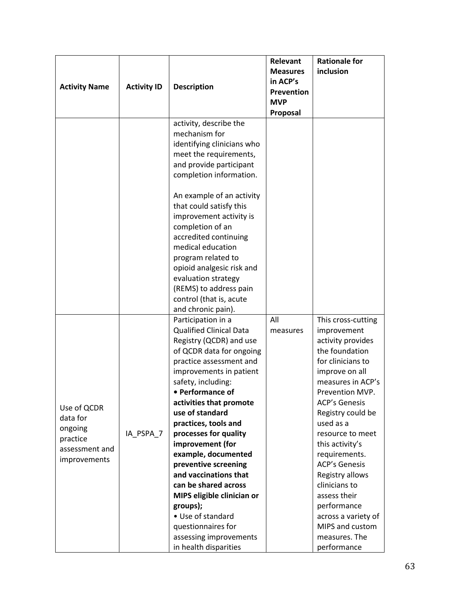|                      |                    |                                            | Relevant        | <b>Rationale for</b>             |
|----------------------|--------------------|--------------------------------------------|-----------------|----------------------------------|
|                      |                    |                                            | <b>Measures</b> | inclusion                        |
|                      |                    |                                            | in ACP's        |                                  |
| <b>Activity Name</b> | <b>Activity ID</b> | <b>Description</b>                         | Prevention      |                                  |
|                      |                    |                                            | <b>MVP</b>      |                                  |
|                      |                    |                                            | Proposal        |                                  |
|                      |                    | activity, describe the                     |                 |                                  |
|                      |                    | mechanism for                              |                 |                                  |
|                      |                    | identifying clinicians who                 |                 |                                  |
|                      |                    | meet the requirements,                     |                 |                                  |
|                      |                    | and provide participant                    |                 |                                  |
|                      |                    | completion information.                    |                 |                                  |
|                      |                    |                                            |                 |                                  |
|                      |                    | An example of an activity                  |                 |                                  |
|                      |                    | that could satisfy this                    |                 |                                  |
|                      |                    | improvement activity is                    |                 |                                  |
|                      |                    | completion of an                           |                 |                                  |
|                      |                    | accredited continuing                      |                 |                                  |
|                      |                    | medical education                          |                 |                                  |
|                      |                    | program related to                         |                 |                                  |
|                      |                    | opioid analgesic risk and                  |                 |                                  |
|                      |                    | evaluation strategy                        |                 |                                  |
|                      |                    | (REMS) to address pain                     |                 |                                  |
|                      |                    | control (that is, acute                    |                 |                                  |
|                      |                    | and chronic pain).                         |                 |                                  |
|                      |                    | Participation in a                         | All             | This cross-cutting               |
|                      |                    | <b>Qualified Clinical Data</b>             | measures        | improvement                      |
|                      |                    | Registry (QCDR) and use                    |                 | activity provides                |
|                      |                    | of QCDR data for ongoing                   |                 | the foundation                   |
|                      |                    | practice assessment and                    |                 | for clinicians to                |
|                      |                    | improvements in patient                    |                 | improve on all                   |
|                      |                    | safety, including:                         |                 | measures in ACP's                |
|                      |                    | • Performance of                           |                 | Prevention MVP.                  |
| Use of QCDR          |                    | activities that promote<br>use of standard |                 | <b>ACP's Genesis</b>             |
| data for             |                    |                                            |                 | Registry could be<br>used as a   |
| ongoing              | IA PSPA 7          | practices, tools and                       |                 | resource to meet                 |
| practice             |                    | processes for quality<br>improvement (for  |                 |                                  |
| assessment and       |                    | example, documented                        |                 | this activity's<br>requirements. |
| improvements         |                    | preventive screening                       |                 | <b>ACP's Genesis</b>             |
|                      |                    | and vaccinations that                      |                 | Registry allows                  |
|                      |                    | can be shared across                       |                 | clinicians to                    |
|                      |                    | MIPS eligible clinician or                 |                 | assess their                     |
|                      |                    | groups);                                   |                 | performance                      |
|                      |                    | • Use of standard                          |                 | across a variety of              |
|                      |                    | questionnaires for                         |                 | MIPS and custom                  |
|                      |                    | assessing improvements                     |                 | measures. The                    |
|                      |                    | in health disparities                      |                 | performance                      |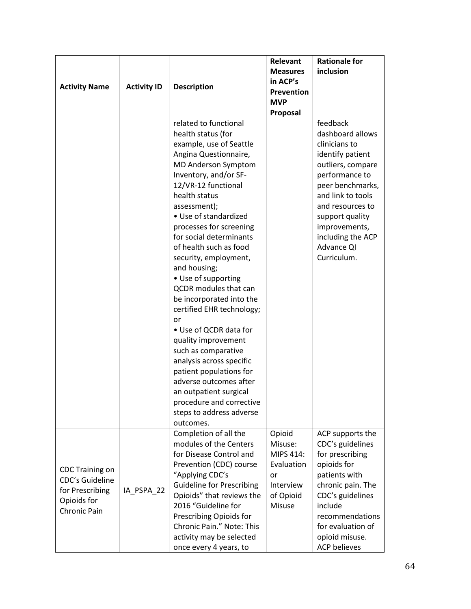|                        |                    |                                                 | Relevant          | <b>Rationale for</b>                 |
|------------------------|--------------------|-------------------------------------------------|-------------------|--------------------------------------|
|                        |                    |                                                 | <b>Measures</b>   | inclusion                            |
|                        |                    |                                                 | in ACP's          |                                      |
| <b>Activity Name</b>   | <b>Activity ID</b> | <b>Description</b>                              | Prevention        |                                      |
|                        |                    |                                                 | <b>MVP</b>        |                                      |
|                        |                    |                                                 | Proposal          |                                      |
|                        |                    | related to functional                           |                   | feedback                             |
|                        |                    | health status (for                              |                   | dashboard allows                     |
|                        |                    | example, use of Seattle                         |                   | clinicians to                        |
|                        |                    | Angina Questionnaire,                           |                   | identify patient                     |
|                        |                    | MD Anderson Symptom                             |                   | outliers, compare                    |
|                        |                    | Inventory, and/or SF-                           |                   | performance to                       |
|                        |                    | 12/VR-12 functional                             |                   | peer benchmarks,                     |
|                        |                    | health status                                   |                   | and link to tools                    |
|                        |                    | assessment);                                    |                   | and resources to                     |
|                        |                    | • Use of standardized                           |                   | support quality                      |
|                        |                    | processes for screening                         |                   | improvements,                        |
|                        |                    | for social determinants                         |                   | including the ACP                    |
|                        |                    | of health such as food                          |                   | Advance QI                           |
|                        |                    | security, employment,                           |                   | Curriculum.                          |
|                        |                    | and housing;                                    |                   |                                      |
|                        |                    | • Use of supporting                             |                   |                                      |
|                        |                    | QCDR modules that can                           |                   |                                      |
|                        |                    | be incorporated into the                        |                   |                                      |
|                        |                    | certified EHR technology;                       |                   |                                      |
|                        |                    | or                                              |                   |                                      |
|                        |                    | • Use of QCDR data for                          |                   |                                      |
|                        |                    | quality improvement                             |                   |                                      |
|                        |                    | such as comparative                             |                   |                                      |
|                        |                    | analysis across specific                        |                   |                                      |
|                        |                    | patient populations for                         |                   |                                      |
|                        |                    | adverse outcomes after                          |                   |                                      |
|                        |                    | an outpatient surgical                          |                   |                                      |
|                        |                    | procedure and corrective                        |                   |                                      |
|                        |                    | steps to address adverse                        |                   |                                      |
|                        |                    | outcomes.                                       |                   |                                      |
|                        |                    | Completion of all the<br>modules of the Centers | Opioid<br>Misuse: | ACP supports the<br>CDC's guidelines |
|                        |                    | for Disease Control and                         | MIPS 414:         | for prescribing                      |
|                        |                    | Prevention (CDC) course                         | Evaluation        | opioids for                          |
| <b>CDC Training on</b> |                    | "Applying CDC's                                 | or                | patients with                        |
| <b>CDC's Guideline</b> |                    | <b>Guideline for Prescribing</b>                | Interview         | chronic pain. The                    |
| for Prescribing        | IA_PSPA_22         | Opioids" that reviews the                       | of Opioid         | CDC's guidelines                     |
| Opioids for            |                    | 2016 "Guideline for                             | Misuse            | include                              |
| Chronic Pain           |                    | Prescribing Opioids for                         |                   | recommendations                      |
|                        |                    | Chronic Pain." Note: This                       |                   | for evaluation of                    |
|                        |                    | activity may be selected                        |                   | opioid misuse.                       |
|                        |                    | once every 4 years, to                          |                   | <b>ACP believes</b>                  |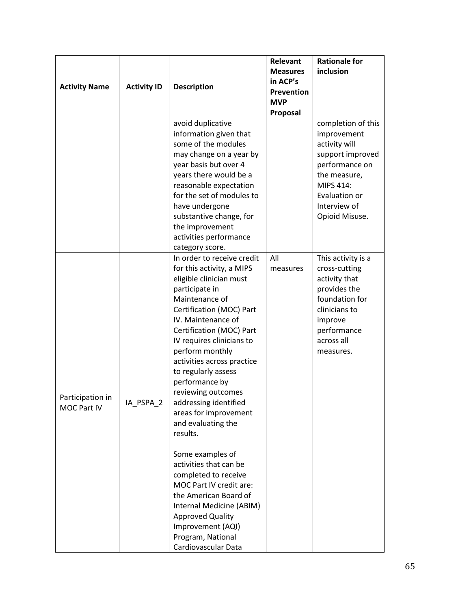|                                 |                    |                                                                                                                                                                                                                                                                                                                                                                                                                                       | Relevant<br><b>Measures</b>   | <b>Rationale for</b><br>inclusion                                                                                                                                        |
|---------------------------------|--------------------|---------------------------------------------------------------------------------------------------------------------------------------------------------------------------------------------------------------------------------------------------------------------------------------------------------------------------------------------------------------------------------------------------------------------------------------|-------------------------------|--------------------------------------------------------------------------------------------------------------------------------------------------------------------------|
| <b>Activity Name</b>            | <b>Activity ID</b> | <b>Description</b>                                                                                                                                                                                                                                                                                                                                                                                                                    | in ACP's<br><b>Prevention</b> |                                                                                                                                                                          |
|                                 |                    |                                                                                                                                                                                                                                                                                                                                                                                                                                       | <b>MVP</b><br>Proposal        |                                                                                                                                                                          |
|                                 |                    | avoid duplicative<br>information given that<br>some of the modules<br>may change on a year by<br>year basis but over 4<br>years there would be a<br>reasonable expectation<br>for the set of modules to<br>have undergone<br>substantive change, for<br>the improvement<br>activities performance<br>category score.                                                                                                                  |                               | completion of this<br>improvement<br>activity will<br>support improved<br>performance on<br>the measure,<br>MIPS 414:<br>Evaluation or<br>Interview of<br>Opioid Misuse. |
| Participation in<br>MOC Part IV | IA_PSPA_2          | In order to receive credit<br>for this activity, a MIPS<br>eligible clinician must<br>participate in<br>Maintenance of<br>Certification (MOC) Part<br>IV. Maintenance of<br>Certification (MOC) Part<br>IV requires clinicians to<br>perform monthly<br>activities across practice<br>to regularly assess<br>performance by<br>reviewing outcomes<br>addressing identified<br>areas for improvement<br>and evaluating the<br>results. | All<br>measures               | This activity is a<br>cross-cutting<br>activity that<br>provides the<br>foundation for<br>clinicians to<br>improve<br>performance<br>across all<br>measures.             |
|                                 |                    | Some examples of<br>activities that can be<br>completed to receive<br>MOC Part IV credit are:<br>the American Board of<br>Internal Medicine (ABIM)<br><b>Approved Quality</b><br>Improvement (AQI)<br>Program, National<br>Cardiovascular Data                                                                                                                                                                                        |                               |                                                                                                                                                                          |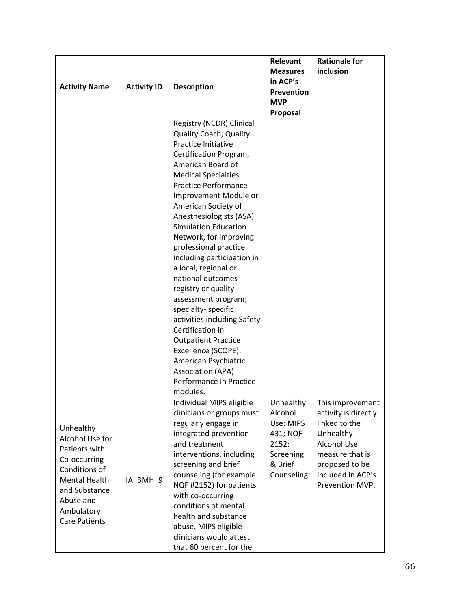|                      |                    |                               | Relevant          | <b>Rationale for</b> |
|----------------------|--------------------|-------------------------------|-------------------|----------------------|
|                      |                    |                               | <b>Measures</b>   | inclusion            |
|                      |                    |                               | in ACP's          |                      |
| <b>Activity Name</b> | <b>Activity ID</b> | <b>Description</b>            | <b>Prevention</b> |                      |
|                      |                    |                               | <b>MVP</b>        |                      |
|                      |                    |                               | Proposal          |                      |
|                      |                    | Registry (NCDR) Clinical      |                   |                      |
|                      |                    | <b>Quality Coach, Quality</b> |                   |                      |
|                      |                    | Practice Initiative           |                   |                      |
|                      |                    | Certification Program,        |                   |                      |
|                      |                    | American Board of             |                   |                      |
|                      |                    | <b>Medical Specialties</b>    |                   |                      |
|                      |                    | <b>Practice Performance</b>   |                   |                      |
|                      |                    | Improvement Module or         |                   |                      |
|                      |                    | American Society of           |                   |                      |
|                      |                    | Anesthesiologists (ASA)       |                   |                      |
|                      |                    | <b>Simulation Education</b>   |                   |                      |
|                      |                    | Network, for improving        |                   |                      |
|                      |                    | professional practice         |                   |                      |
|                      |                    | including participation in    |                   |                      |
|                      |                    | a local, regional or          |                   |                      |
|                      |                    | national outcomes             |                   |                      |
|                      |                    | registry or quality           |                   |                      |
|                      |                    | assessment program;           |                   |                      |
|                      |                    | specialty-specific            |                   |                      |
|                      |                    | activities including Safety   |                   |                      |
|                      |                    | Certification in              |                   |                      |
|                      |                    | <b>Outpatient Practice</b>    |                   |                      |
|                      |                    | Excellence (SCOPE);           |                   |                      |
|                      |                    | American Psychiatric          |                   |                      |
|                      |                    | <b>Association (APA)</b>      |                   |                      |
|                      |                    | Performance in Practice       |                   |                      |
|                      |                    | modules.                      |                   |                      |
|                      |                    | Individual MIPS eligible      | Unhealthy         | This improvement     |
|                      |                    | clinicians or groups must     | Alcohol           | activity is directly |
| Unhealthy            |                    | regularly engage in           | Use: MIPS         | linked to the        |
| Alcohol Use for      |                    | integrated prevention         | 431; NQF          | Unhealthy            |
| Patients with        |                    | and treatment                 | 2152:             | Alcohol Use          |
| Co-occurring         |                    | interventions, including      | Screening         | measure that is      |
| Conditions of        |                    | screening and brief           | & Brief           | proposed to be       |
| Mental Health        | IA_BMH_9           | counseling (for example:      | Counseling        | included in ACP's    |
| and Substance        |                    | NQF #2152) for patients       |                   | Prevention MVP.      |
| Abuse and            |                    | with co-occurring             |                   |                      |
| Ambulatory           |                    | conditions of mental          |                   |                      |
| <b>Care Patients</b> |                    | health and substance          |                   |                      |
|                      |                    | abuse. MIPS eligible          |                   |                      |
|                      |                    | clinicians would attest       |                   |                      |
|                      |                    | that 60 percent for the       |                   |                      |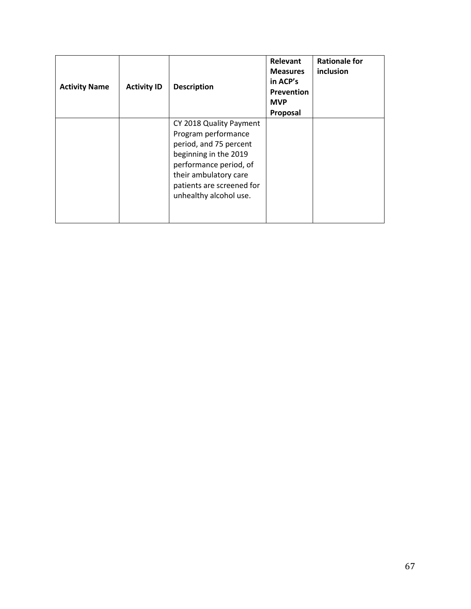| <b>Activity Name</b> | <b>Activity ID</b> | <b>Description</b>                                                                                                                                                                                          | Relevant<br><b>Measures</b><br>in ACP's<br>Prevention<br><b>MVP</b><br>Proposal | <b>Rationale for</b><br>inclusion |
|----------------------|--------------------|-------------------------------------------------------------------------------------------------------------------------------------------------------------------------------------------------------------|---------------------------------------------------------------------------------|-----------------------------------|
|                      |                    | CY 2018 Quality Payment<br>Program performance<br>period, and 75 percent<br>beginning in the 2019<br>performance period, of<br>their ambulatory care<br>patients are screened for<br>unhealthy alcohol use. |                                                                                 |                                   |